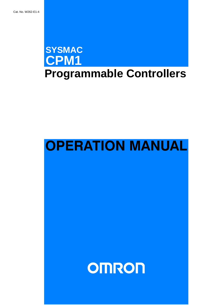# **Programmable Controllers SYSMAC CPM1**

# **OPERATION MANUAL**

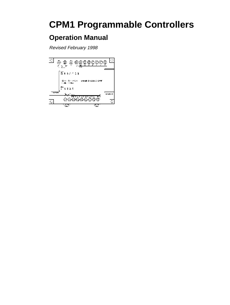# **CPM1 Programmable Controllers**

# **Operation Manual**

Revised February 1998

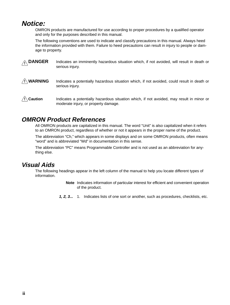# **Notice:**

OMRON products are manufactured for use according to proper procedures by a qualified operator and only for the purposes described in this manual.

The following conventions are used to indicate and classify precautions in this manual. Always heed the information provided with them. Failure to heed precautions can result in injury to people or damage to property.

- A DANGER **DANGER** Indicates an imminently hazardous situation which, if not avoided, will result in death or serious injury.
- **!** Indicates a potentially hazardous situation which, if not avoided, could result in death or serious injury.
- **/!**∖Caution **Caution** Indicates a potentially hazardous situation which, if not avoided, may result in minor or moderate injury, or property damage.

# **OMRON Product References**

All OMRON products are capitalized in this manual. The word "Unit" is also capitalized when it refers to an OMRON product, regardless of whether or not it appears in the proper name of the product.

The abbreviation "Ch," which appears in some displays and on some OMRON products, often means "word" and is abbreviated "Wd" in documentation in this sense.

The abbreviation "PC" means Programmable Controller and is not used as an abbreviation for anything else.

# **Visual Aids**

The following headings appear in the left column of the manual to help you locate different types of information.

- **Note** Indicates information of particular interest for efficient and convenient operation of the product.
- **1, 2, 3...** 1. Indicates lists of one sort or another, such as procedures, checklists, etc.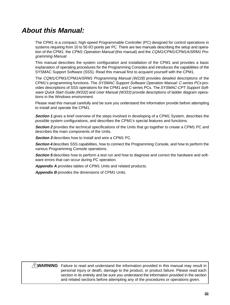# **About this Manual:**

The CPM1 is a compact, high-speed Programmable Controller (PC) designed for control operations in systems requiring from 10 to 50 I/O points per PC. There are two manuals describing the setup and operation of the CPM1: the CPM1 Operation Manual (this manual) and the CQM1/CPM1/CPM1A/SRM1 Programming Manual.

This manual describes the system configuration and installation of the CPM1 and provides a basic explanation of operating procedures for the Programming Consoles and introduces the capabilities of the SYSMAC Support Software (SSS). Read this manual first to acquaint yourself with the CPM1.

The CQM1/CPM1/CPM1A/SRM1 Programming Manual (W228) provides detailed descriptions of the CPM1's programming functions. The SYSMAC Support Software Operation Manual: C-series PCs provides descriptions of SSS operations for the CPM1 and C-series PCs. The SYSMAC-CPT Support Software Quick Start Guide (W332) and User Manual (W333) provide descriptions of ladder diagram operations in the Windows environment.

Please read this manual carefully and be sure you understand the information provide before attempting to install and operate the CPM1.

**Section 1** gives a brief overview of the steps involved in developing of a CPM1 System, describes the possible system configurations, and describes the CPM1's special features and functions.

**Section 2** provides the technical specifications of the Units that go together to create a CPM1 PC and describes the main components of the Units.

**Section 3** describes how to install and wire a CPM1 PC.

**Section 4** describes SSS capabilities, how to connect the Programming Console, and how to perform the various Programming Console operations.

**Section 5** describes how to perform a test run and how to diagnose and correct the hardware and software errors that can occur during PC operation.

**Appendix A** provides tables of CPM1 Units and related products.

**Appendix B** provides the dimensions of CPM1 Units.

### **WARNING** Failure to read and understand the information provided in this manual may result in **!**personal injury or death, damage to the product, or product failure. Please read each section in its entirety and be sure you understand the information provided in the section and related sections before attempting any of the procedures or operations given.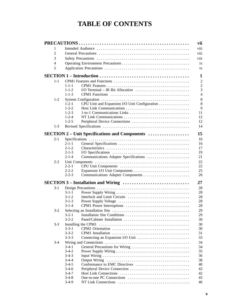# **TABLE OF CONTENTS**

|         | vii                                                               |
|---------|-------------------------------------------------------------------|
| 1       | viii                                                              |
| 2       | viii                                                              |
| 3       | viii                                                              |
| 4       | ix                                                                |
| 5       | ix                                                                |
|         | 1                                                                 |
| $1 - 1$ | $\overline{2}$                                                    |
|         | $\overline{2}$<br>$1 - 1 - 1$                                     |
|         | 3<br>$1 - 1 - 2$                                                  |
|         | $\overline{4}$<br>$1 - 1 - 3$                                     |
| $1-2$   | 8                                                                 |
|         | 8<br>CPU Unit and Expansion I/O Unit Configuration<br>$1 - 2 - 1$ |
|         | 9<br>$1 - 2 - 2$                                                  |
|         | 11<br>$1 - 2 - 3$<br>$1 - 2 - 4$<br>12                            |
|         | $1 - 2 - 5$<br>12                                                 |
| $1 - 3$ | 14                                                                |
|         |                                                                   |
|         | <b>SECTION 2 – Unit Specifications and Components </b><br>15      |
| $2 - 1$ | 16                                                                |
|         | $2 - 1 - 1$<br>16                                                 |
|         | $2 - 1 - 2$<br>17<br>19<br>$2 - 1 - 3$                            |
|         | $2 - 1 - 4$<br>Communications Adapter Specifications<br>21        |
| $2 - 2$ | 22                                                                |
|         | $2 - 2 - 1$<br>22                                                 |
|         | 25<br>$2 - 2 - 2$                                                 |
|         | 26<br>$2 - 2 - 3$                                                 |
|         | 27<br><b>SECTION 3 - Installation and Wiring </b>                 |
| $3-1$   | 28                                                                |
|         | 28<br>$3 - 1 - 1$                                                 |
|         | $3 - 1 - 2$<br>28                                                 |
|         | $3 - 1 - 3$<br>28                                                 |
|         | $3 - 1 - 4$<br>28                                                 |
| $3 - 2$ | 29                                                                |
|         | 3-2-1<br>29                                                       |
|         | $3 - 2 - 2$<br>30                                                 |
| $3-3$   | 30                                                                |
|         | $3 - 3 - 1$<br>30<br>$3 - 3 - 2$<br>31                            |
|         | $3 - 3 - 3$<br>33                                                 |
| 3-4     | 34                                                                |
|         | $3-4-1$<br>34                                                     |
|         | $3-4-2$<br>35                                                     |
|         | $3-4-3$<br>36                                                     |
|         | $3 - 4 - 4$<br>38                                                 |
|         | $3-4-5$<br>Conformance to EMC Directives<br>40                    |
|         | $3-4-6$<br>42                                                     |
|         | $3-4-7$<br>42                                                     |
|         | $3-4-8$<br>45                                                     |
|         | $3-4-9$<br>46                                                     |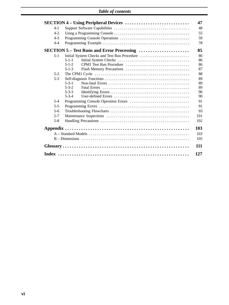|         | <b>SECTION 4 – Using Peripheral Devices </b>       | 47  |
|---------|----------------------------------------------------|-----|
| $4 - 1$ |                                                    | 48  |
| $4 - 2$ |                                                    | 55  |
| $4 - 3$ |                                                    | 59  |
| $4 - 4$ |                                                    | 78  |
|         | <b>SECTION 5 - Test Runs and Error Processing </b> | 85  |
| $5 - 1$ |                                                    | 86  |
|         | $5 - 1 - 1$                                        | 86  |
|         | $5 - 1 - 2$<br>CPM1 Test Run Procedure             | 86  |
|         | $5 - 1 - 3$                                        | 87  |
| $5-2$   |                                                    | 88  |
| $5-3$   |                                                    | 89  |
|         | $5 - 3 - 1$                                        | 89  |
|         | $5 - 3 - 2$                                        | 89  |
|         | $5 - 3 - 3$                                        | 90  |
|         | $5 - 3 - 4$                                        | 90  |
| $5-4$   |                                                    | 91  |
| $5-5$   |                                                    | 91  |
| $5-6$   |                                                    | 93  |
| $5 - 7$ |                                                    | 101 |
| $5-8$   |                                                    | 102 |
|         |                                                    | 103 |
|         |                                                    | 103 |
|         |                                                    | 105 |
|         |                                                    | 111 |
|         |                                                    | 127 |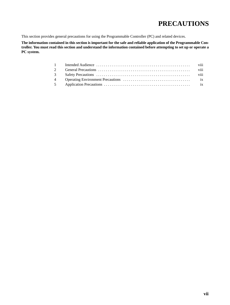# **PRECAUTIONS**

<span id="page-6-0"></span>This section provides general precautions for using the Programmable Controller (PC) and related devices.

**The information contained in this section is important for the safe and reliable application of the Programmable Controller. You must read this section and understand the information contained before attempting to set up or operate a PC system.**

| 2 | $\cdots$ |
|---|----------|
|   |          |
|   |          |
|   |          |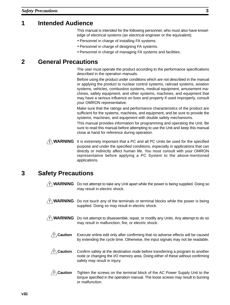### <span id="page-7-0"></span>**1 Intended Audience**

This manual is intended for the following personnel, who must also have knowledge of electrical systems (an electrical engineer or the equivalent).

- Personnel in charge of installing FA systems.
- Personnel in charge of designing FA systems.
- Personnel in charge of managing FA systems and facilities.

### **2 General Precautions**

The user must operate the product according to the performance specifications described in the operation manuals.

Before using the product under conditions which are not described in the manual or applying the product to nuclear control systems, railroad systems, aviation systems, vehicles, combustion systems, medical equipment, amusement machines, safety equipment, and other systems, machines, and equipment that may have a serious influence on lives and property if used improperly, consult your OMRON representative.

Make sure that the ratings and performance characteristics of the product are sufficient for the systems, machines, and equipment, and be sure to provide the systems, machines, and equipment with double safety mechanisms.

This manual provides information for programming and operating the Unit. Be sure to read this manual before attempting to use the Unit and keep this manual close at hand for reference during operation.

**! WARNING** It is extremely important that a PC and all PC Units be used for the specified purpose and under the specified conditions, especially in applications that can directly or indirectly affect human life. You must consult with your OMRON representative before applying a PC System to the above-mentioned applications.

# **3 Safety Precautions**

- **! WARNING** Do not attempt to take any Unit apart while the power is being supplied. Doing so may result in electric shock.
- **! WARNING** Do not touch any of the terminals or terminal blocks while the power is being supplied. Doing so may result in electric shock.
- **! WARNING** Do not attempt to disassemble, repair, or modify any Units. Any attempt to do so may result in malfunction, fire, or electric shock.
	- **/!∖Caution** Execute online edit only after confirming that no adverse effects will be caused by extending the cycle time. Otherwise, the input signals may not be readable.
	- **/!∖** Caution Confirm safety at the destination node before transferring a program to another node or changing the I/O memory area. Doing either of these without confirming safety may result in injury.
	- /!∖Caution Tighten the screws on the terminal block of the AC Power Supply Unit to the torque specified in the operation manual. The loose screws may result in burning or malfunction.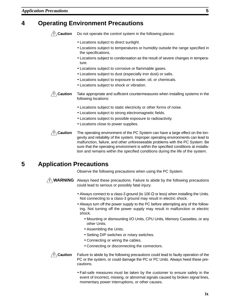# <span id="page-8-0"></span>**4 Operating Environment Precautions**



Do not operate the control system in the following places:

- Locations subject to direct sunlight.
- Locations subject to temperatures or humidity outside the range specified in the specifications.
- Locations subject to condensation as the result of severe changes in temperature.
- Locations subject to corrosive or flammable gases.
- Locations subject to dust (especially iron dust) or salts.
- Locations subject to exposure to water, oil, or chemicals.
- Locations subject to shock or vibration.
- **/!∖Caution** Take appropriate and sufficient countermeasures when installing systems in the following locations:
	- Locations subject to static electricity or other forms of noise.
	- Locations subject to strong electromagnetic fields.
	- Locations subject to possible exposure to radioactivity.
	- Locations close to power supplies.

/**!**∖Caution The operating environment of the PC System can have a large effect on the longevity and reliability of the system. Improper operating environments can lead to malfunction, failure, and other unforeseeable problems with the PC System. Be sure that the operating environment is within the specified conditions at installation and remains within the specified conditions during the life of the system.

# **5 Application Precautions**

Observe the following precautions when using the PC System.

**! WARNING** Always heed these precautions. Failure to abide by the following precautions could lead to serious or possibly fatal injury.

- Always connect to a class-3 ground (to 100  $\Omega$  or less) when installing the Units. Not connecting to a class-3 ground may result in electric shock.
- Always turn off the power supply to the PC before attempting any of the following. Not turning off the power supply may result in malfunction or electric shock.
	- Mounting or dismounting I/O Units, CPU Units, Memory Cassettes, or any other Units.
	- Assembling the Units.
	- Setting DIP switches or rotary switches.
	- Connecting or wiring the cables.
	- Connecting or disconnecting the connectors.

**/!**∖Caution

Failure to abide by the following precautions could lead to faulty operation of the PC or the system, or could damage the PC or PC Units. Always heed these precautions.

• Fail-safe measures must be taken by the customer to ensure safety in the event of incorrect, missing, or abnormal signals caused by broken signal lines, momentary power interruptions, or other causes.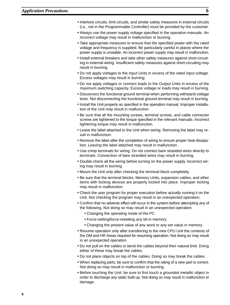- Interlock circuits, limit circuits, and similar safety measures in external circuits (i.e., not in the Programmable Controller) must be provided by the customer.
- Always use the power supply voltage specified in the operation manuals. An incorrect voltage may result in malfunction or burning.
- Take appropriate measures to ensure that the specified power with the rated voltage and frequency is supplied. Be particularly careful in places where the power supply is unstable. An incorrect power supply may result in malfunction.
- Install external breakers and take other safety measures against short-circuiting in external wiring. Insufficient safety measures against short-circuiting may result in burning.
- Do not apply voltages to the Input Units in excess of the rated input voltage. Excess voltages may result in burning.
- Do not apply voltages or connect loads to the Output Units in excess of the maximum switching capacity. Excess voltage or loads may result in burning.
- Disconnect the functional ground terminal when performing withstand voltage tests. Not disconnecting the functional ground terminal may result in burning.
- Install the Unit properly as specified in the operation manual. Improper installation of the Unit may result in malfunction.
- Be sure that all the mounting screws, terminal screws, and cable connector screws are tightened to the torque specified in the relevant manuals. Incorrect tightening torque may result in malfunction.
- Leave the label attached to the Unit when wiring. Removing the label may result in malfunction.
- Remove the label after the completion of wiring to ensure proper heat dissipation. Leaving the label attached may result in malfunction.
- Use crimp terminals for wiring. Do not connect bare stranded wires directly to terminals. Connection of bare stranded wires may result in burning.
- Double-check all the wiring before turning on the power supply. Incorrect wiring may result in burning.
- Mount the Unit only after checking the terminal block completely.
- Be sure that the terminal blocks, Memory Units, expansion cables, and other items with locking devices are properly locked into place. Improper locking may result in malfunction.
- Check the user program for proper execution before actually running it on the Unit. Not checking the program may result in an unexpected operation.
- Confirm that no adverse effect will occur in the system before attempting any of the following. Not doing so may result in an unexpected operation.
	- Changing the operating mode of the PC.
	- Force-setting/force-resetting any bit in memory.
	- Changing the present value of any word or any set value in memory.
- Resume operation only after transferring to the new CPU Unit the contents of the DM and HR Areas required for resuming operation. Not doing so may result in an unexpected operation.
- Do not pull on the cables or bend the cables beyond their natural limit. Doing either of these may break the cables.
- Do not place objects on top of the cables. Doing so may break the cables.
- When replacing parts, be sure to confirm that the rating of a new part is correct. Not doing so may result in malfunction or burning.
- Before touching the Unit, be sure to first touch a grounded metallic object in order to discharge any static built-up. Not doing so may result in malfunction or damage.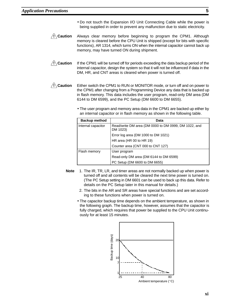- Do not touch the Expansion I/O Unit Connecting Cable while the power is being supplied in order to prevent any malfunction due to static electricity.
- <span id="page-10-0"></span>**/!**∖Caution Always clear memory before beginning to program the CPM1. Although memory is cleared before the CPU Unit is shipped (except for bits with specific functions), AR 1314, which turns ON when the internal capacitor cannot back up memory, may have turned ON during shipment.
- **/!∖Caution** If the CPM1 will be turned off for periods exceeding the data backup period of the internal capacitor, design the system so that it will not be influenced if data in the DM, HR, and CNT areas is cleared when power is turned off.
- **/!**∖Caution Either switch the CPM1 to RUN or MONITOR mode, or turn off and on power to the CPM1 after changing from a Programming Device any data that is backed up in flash memory. This data includes the user program, read-only DM area (DM 6144 to DM 6599), and the PC Setup (DM 6600 to DM 6655).
	- The user program and memory area data in the CPM1 are backed up either by an internal capacitor or in flash memory as shown in the following table.

| <b>Backup method</b> | Data                                                             |
|----------------------|------------------------------------------------------------------|
| Internal capacitor   | Read/write DM area (DM 0000 to DM 0999, DM 1022, and<br>DM 1023) |
|                      | Error log area (DM 1000 to DM 1021)                              |
|                      | HR area (HR 00 to HR 19)                                         |
|                      | Counter area (CNT 000 to CNT 127)                                |
| Flash memory         | User program                                                     |
|                      | Read-only DM area (DM 6144 to DM 6599)                           |
|                      | PC Setup (DM 6600 to DM 6655)                                    |

- **Note** 1. The IR, TR, LR, and timer areas are not normally backed up when power is turned off and all contents will be cleared the next time power is turned on. (The PC Setup setting in DM 6601 can be used to back up this data. Refer to details on the PC Setup later in this manual for details.)
	- 2. The bits in the AR and SR areas have special functions and are set according to these functions when power is turned on.
	- The capacitor backup time depends on the ambient temperature, as shown in the following graph. The backup time, however, assumes that the capacitor is fully charged, which requires that power be supplied to the CPU Unit continuously for at least 15 minutes.

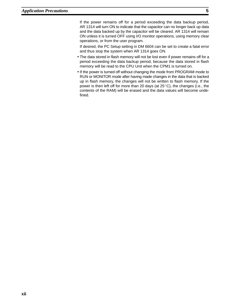If the power remains off for a period exceeding the data backup period, AR 1314 will turn ON to indicate that the capacitor can no longer back up data and the data backed up by the capacitor will be cleared. AR 1314 will remain ON unless it is turned OFF using I/O monitor operations, using memory clear operations, or from the user program.

If desired, the PC Setup setting in DM 6604 can be set to create a fatal error and thus stop the system when AR 1314 goes ON.

- The data stored in flash memory will not be lost even if power remains off for a period exceeding the data backup period, because the data stored in flash memory will be read to the CPU Unit when the CPM1 is turned on.
- If the power is turned off without changing the mode from PROGRAM mode to RUN or MONITOR mode after having made changes in the data that is backed up in flash memory, the changes will not be written to flash memory. If the power is then left off for more than 20 days (at  $25^{\circ}$ C), the changes (i.e., the contents of the RAM) will be erased and the data values will become undefined.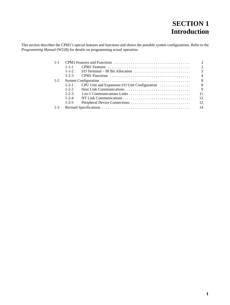# **SECTION 1 Introduction**

<span id="page-12-0"></span>This section describes the CPM1's special features and functions and shows the possible system configurations. Refer to the *Programming Manual* (W228) for details on programming actual operation.

| $1 - 1$ |             |                                                                                            | $\mathcal{D}_{\mathcal{L}}$ |
|---------|-------------|--------------------------------------------------------------------------------------------|-----------------------------|
|         | $1 - 1 - 1$ |                                                                                            | $\mathcal{L}$               |
|         | $1 - 1 - 2$ | I/O Terminal – IR Bit Allocation $\ldots \ldots \ldots \ldots \ldots \ldots \ldots \ldots$ | $\mathcal{R}$               |
|         | $1 - 1 - 3$ |                                                                                            | $\overline{4}$              |
| $1 - 2$ |             |                                                                                            | 8                           |
|         | $1 - 2 - 1$ |                                                                                            |                             |
|         | $1 - 2 - 2$ |                                                                                            | $\mathbf{Q}$                |
|         | $1 - 2 - 3$ |                                                                                            | 11                          |
|         | $1 - 2 - 4$ |                                                                                            | 12                          |
|         | $1 - 2 - 5$ |                                                                                            | 12                          |
| $1 - 3$ |             |                                                                                            | 14                          |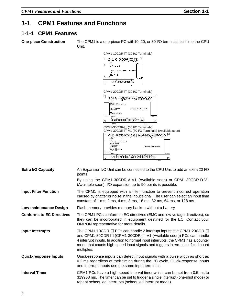# <span id="page-13-0"></span>**1-1 CPM1 Features and Functions**

### **1-1-1 CPM1 Features**

**One-piece Construction** The CPM1 is a one-piece PC with10, 20, or 30 I/O terminals built into the CPU Unit.



| <b>Extra I/O Capacity</b>        | An Expansion I/O Unit can be connected to the CPU Unit to add an extra 20 I/O<br>points.                                                                                                                                                                                                                                                             |
|----------------------------------|------------------------------------------------------------------------------------------------------------------------------------------------------------------------------------------------------------------------------------------------------------------------------------------------------------------------------------------------------|
|                                  | By using the CPM1-30CDR-A-V1 (Available soon) or CPM1-30CDR-D-V1<br>(Available soon), I/O expansion up to 90 points is possible.                                                                                                                                                                                                                     |
| <b>Input Filter Function</b>     | The CPM1 is equipped with a filter function to prevent incorrect operation<br>caused by chatter or noise in the input signal. The user can select an input time<br>constant of 1 ms, 2 ms, 4 ms, 8 ms, 16 ms, 32 ms, 64 ms, or 128 ms.                                                                                                               |
| <b>Low-maintenance Design</b>    | Flash memory provides memory backup without a battery.                                                                                                                                                                                                                                                                                               |
| <b>Conforms to EC Directives</b> | The CPM1 PCs conform to EC directives (EMC and low-voltage directives), so<br>they can be incorporated in equipment destined for the EC. Contact your<br>OMRON representative for more details.                                                                                                                                                      |
| <b>Input Interrupts</b>          | The CPM1-10CDR- $\square$ PCs can handle 2 interrupt inputs; the CPM1-20CDR- $\square$<br>and CPM1-30CDR-□ (CPM1-30CDR-□-V1 (Available soon)) PCs can handle<br>4 interrupt inputs. In addition to normal input interrupts, the CPM1 has a counter<br>mode that counts high-speed input signals and triggers interrupts at fixed count<br>multiples. |
| Quick-response Inputs            | Quick-response inputs can detect input signals with a pulse width as short as<br>0.2 ms regardless of their timing during the PC cycle. Quick-response inputs<br>and interrupt inputs use the same input terminals.                                                                                                                                  |
| <b>Interval Timer</b>            | CPM1 PCs have a high-speed interval timer which can be set from 0.5 ms to<br>319968 ms. The timer can be set to trigger a single interrupt (one-shot mode) or<br>repeat scheduled interrupts (scheduled interrupt mode).                                                                                                                             |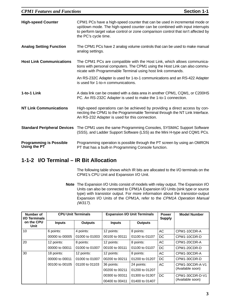<span id="page-14-0"></span>

| <b>High-speed Counter</b>                      | CPM1 PCs have a high-speed counter that can be used in incremental mode or<br>up/down mode. The high-speed counter can be combined with input interrupts<br>to perform target value control or zone comparison control that isn't affected by<br>the PC's cycle time. |
|------------------------------------------------|-----------------------------------------------------------------------------------------------------------------------------------------------------------------------------------------------------------------------------------------------------------------------|
| <b>Analog Setting Function</b>                 | The CPM1 PCs have 2 analog volume controls that can be used to make manual<br>analog settings.                                                                                                                                                                        |
| <b>Host Link Communications</b>                | The CPM1 PCs are compatible with the Host Link, which allows communica-<br>tions with personal computers. The CPM1 using the Host Link can also commu-<br>nicate with Programmable Terminal using host link commands.                                                 |
|                                                | An RS-232C Adapter is used for 1-to-1 communications and an RS-422 Adapter<br>is used for 1-to-n communications.                                                                                                                                                      |
| 1-to-1 Link                                    | A data link can be created with a data area in another CPM1, CQM1, or C200HS<br>PC. An RS-232C Adapter is used to make the 1-to-1 connection.                                                                                                                         |
| <b>NT Link Communications</b>                  | High-speed operations can be achieved by providing a direct access by con-<br>necting the CPM1 to the Programmable Terminal through the NT Link Interface.<br>An RS-232 Adapter is used for this connection.                                                          |
| <b>Standard Peripheral Devices</b>             | The CPM1 uses the same Programming Consoles, SYSMAC Support Software<br>(SSS), and Ladder Support Software (LSS) as the Mini H-type and CQM1 PCs.                                                                                                                     |
| <b>Programming is Possible</b><br>Using the PT | Programming operation is possible through the PT screen by using an OMRON<br>PT that has a built-in Programming Console function.                                                                                                                                     |

### **1-1-2 I/O Terminal – IR Bit Allocation**

The following table shows which IR bits are allocated to the I/O terminals on the CPM1's CPU Unit and Expansion I/O Unit.

**Note** The Expansion I/O Units consist of models with relay output. The Expansion I/O Units can also be connected to CPM1A Expansion I/O Units (sink type or source type) with transistor output. For more information about the transistor-output Expansion I/O Units of the CPM1A, refer to the CPM1A Operation Manual (W317).

| Number of<br><b>VO Terminals</b> | <b>CPU Unit Terminals</b> |                | <b>Expansion I/O Unit Terminals</b> |                | <b>Power</b><br><b>Supply</b> | <b>Model Number</b> |
|----------------------------------|---------------------------|----------------|-------------------------------------|----------------|-------------------------------|---------------------|
| on the CPU<br>Unit               | <b>Inputs</b>             | <b>Outputs</b> | <b>Inputs</b>                       | <b>Outputs</b> |                               |                     |
| 10                               | 6 points:                 | 4 points:      | 12 points:                          | 8 points:      | АC                            | CPM1-10CDR-A        |
|                                  | 00000 to 00005            | 01000 to 01003 | 00100 to 00111                      | 01100 to 01107 | DC.                           | CPM1-10CDR-D        |
| 20                               | 12 points:                | 8 points:      | 12 points:                          | 8 points:      | AC.                           | CPM1-20CDR-A        |
|                                  | 00000 to 00011            | 01000 to 01007 | 00100 to 00111                      | 01100 to 01107 | DC.                           | CPM1-20CDR-D        |
| 30                               | 18 points:                | 12 points:     | 12 points:                          | 8 points:      | AC.                           | CPM1-30CDR-A        |
|                                  | 00000 to 00011            | 01000 to 01007 | 00200 to 00211                      | 01200 to 01207 | DC.                           | CPM1-30CDR-D        |
|                                  | 00100 to 00105            | 01100 to 01103 | 36 points:                          | 24 points:     | AC.                           | CPM1-30CDR-A-V1     |
|                                  |                           |                | 00200 to 00211                      | 01200 to 01207 |                               | (Available soon)    |
|                                  |                           |                | 00300 to 00311                      | 01300 to 01307 | DC.                           | CPM1-30CDR-D-V1     |
|                                  |                           |                | 00400 to 00411                      | 01400 to 01407 |                               | (Available soon)    |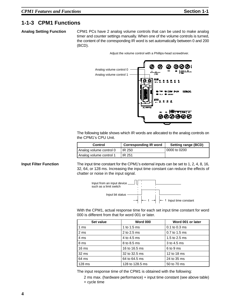### <span id="page-15-0"></span>**1-1-3 CPM1 Functions**

**Analog Setting Function** CPM1 PCs have 2 analog volume controls that can be used to make analog timer and counter settings manually. When one of the volume controls is turned, the content of the corresponding IR word is set automatically between 0 and 200 (BCD).

Adjust the volume control with a Phillips-head screwdriver.



The following table shows which IR words are allocated to the analog controls on the CPM1's CPU Unit.

| Control                 | <b>Corresponding IR word</b> | <b>Setting range (BCD)</b> |
|-------------------------|------------------------------|----------------------------|
| Analog volume control 0 | IR 250                       | 0000 to 0200               |
| Analog volume control 1 | IR 251                       |                            |

**Input Filter Function** The input time constant for the CPM1's external inputs can be set to 1, 2, 4, 8, 16, 32, 64, or 128 ms. Increasing the input time constant can reduce the effects of chatter or noise in the input signal.



With the CPM1, actual response time for each set input time constant for word 000 is different from that for word 001 or later.

| Set value       | <b>Word 000</b> | Word 001 or later |
|-----------------|-----------------|-------------------|
| 1 <sub>ms</sub> | 1 to 1.5 ms     | $0.1$ to $0.3$ ms |
| 2 ms            | 2 to 2.5 ms     | 0.7 to 1.5 ms     |
| 4 ms            | 4 to 4.5 ms     | 1.5 to 2.5 ms     |
| 8 ms            | 8 to 8.5 ms     | 3 to 4.5 ms       |
| $16 \text{ ms}$ | 16 to 16.5 ms   | 6 to 9 ms         |
| $32 \text{ ms}$ | 32 to 32.5 ms   | 12 to 18 ms       |
| 64 ms           | 64 to 64.5 ms   | 24 to 35 ms       |
| $128$ ms        | 128 to 128.5 ms | 50 to 70 ms       |

The input response time of the CPM1 is obtained with the following:

2 ms max. (hardware performance) + input time constant (see above table) + cycle time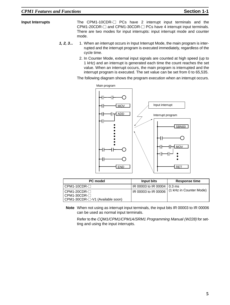**Input Interrupts** The CPM1-10CDR- $\square$  PCs have 2 interrupt input terminals and the CPM1-20CDR- $\Box$  and CPM1-30CDR- $\Box$  PCs have 4 interrupt input terminals. There are two modes for input interrupts: input interrupt mode and counter mode.

- **1, 2, 3...** 1. When an interrupt occurs in Input Interrupt Mode, the main program is interrupted and the interrupt program is executed immediately, regardless of the cycle time.
	- 2. In Counter Mode, external input signals are counted at high speed (up to 1 kHz) and an interrupt is generated each time the count reaches the set value. When an interrupt occurs, the main program is interrupted and the interrupt program is executed. The set value can be set from 0 to 65,535.

The following diagram shows the program execution when an interrupt occurs.



| <b>PC</b> model                                                                                                                                   | Input bits                    | <b>Response time</b>    |
|---------------------------------------------------------------------------------------------------------------------------------------------------|-------------------------------|-------------------------|
| $\mathsf{ICPM1}\text{-}10\mathsf{CDR}\text{-}\square$                                                                                             | IR 00003 to IR 00004   0.3 ms |                         |
| $\mathsf{CPM1}\text{-}20\mathsf{CDR}\text{-}\square$<br>$\mathsf{ICPM1}\text{-}30\mathsf{CDR}\text{-}\square$<br>CPM1-30CDR-□-V1 (Available soon) | IR 00003 to IR 00006          | (1 kHz in Counter Mode) |

**Note** When not using as interrupt input terminals, the input bits IR 00003 to IR 00006 can be used as normal input terminals.

Refer to the CQM1/CPM1/CPM1A/SRM1 Programming Manual (W228) for setting and using the input interrupts.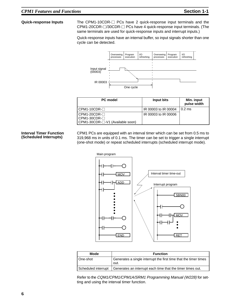**Quick-response Inputs** The CPM1-10CDR-□ PCs have 2 quick-response input terminals and the CPM1-20CDR- $\Box$ /30CDR- $\Box$  PCs have 4 quick-response input terminals. (The same terminals are used for quick-response inputs and interrupt inputs.)

> Quick-response inputs have an internal buffer, so input signals shorter than one cycle can be detected.



| <b>PC</b> model                                                                                                                                  | Input bits           | Min. input<br>pulse width |
|--------------------------------------------------------------------------------------------------------------------------------------------------|----------------------|---------------------------|
| $\mathsf{CPM1\text{-}10CDF\text{-}}\square$                                                                                                      | IR 00003 to IR 00004 | $0.2$ ms                  |
| $\mathsf{CPM1}\text{-}20\mathsf{CDR}\text{-}\square$<br>$\mathsf{CPM1}\text{-}30\mathsf{CDR}\text{-}\square$<br>CPM1-30CDR-□-V1 (Available soon) | IR 00003 to IR 00006 |                           |

### **Interval Timer Function (Scheduled Interrupts)**

CPM1 PCs are equipped with an interval timer which can be set from 0.5 ms to 319,968 ms in units of 0.1 ms. The timer can be set to trigger a single interrupt (one-shot mode) or repeat scheduled interrupts (scheduled interrupt mode).



| Mode                | <b>Function</b>                                                          |
|---------------------|--------------------------------------------------------------------------|
| One-shot            | Generates a single interrupt the first time that the timer times<br>out. |
| Scheduled interrupt | Generates an interrupt each time that the timer times out.               |

Refer to the CQM1/CPM1/CPM1A/SRM1 Programming Manual (W228) for setting and using the interval timer function.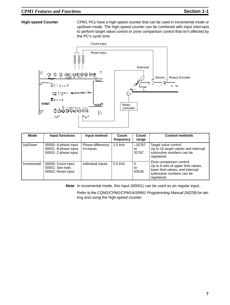**High-speed Counter** CPM1 PCs have a high-speed counter that can be used in incremental mode or up/down mode. The high-speed counter can be combined with input interrupts to perform target value control or zone comparison control that isn't affected by the PC's cycle time.



| <b>Mode</b> | <b>Input functions</b>                                               | Input method                          | Count<br>frequency | Count<br>range          | <b>Control methods</b>                                                                                                                           |
|-------------|----------------------------------------------------------------------|---------------------------------------|--------------------|-------------------------|--------------------------------------------------------------------------------------------------------------------------------------------------|
| Up/Down     | 00000: A-phase input<br>00001: B-phase input<br>00002: Z-phase input | Phase-difference,<br>$4\times$ inputs | 2.5 kHz            | $-32767$<br>to<br>32767 | Target value control:<br>Up to 16 target values and interrupt<br>subroutine numbers can be<br>registered.                                        |
| Incremental | 00000: Count input<br>00001: See note.<br>00002: Reset input         | Individual inputs                     | $5.0$ kHz          | 0<br>to<br>65535        | Zone comparison control:<br>Up to 8 sets of upper limit values,<br>lower limit values, and interrupt<br>subroutine numbers can be<br>registered. |

**Note** In incremental mode, this input (00001) can be used as an regular input.

Refer to the CQM1/CPM1/CPM1A/SRM1 Programming Manual (W228) for setting and using the high-speed counter.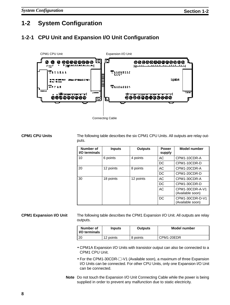# <span id="page-19-0"></span>**1-2 System Configuration**

### **1-2-1 CPU Unit and Expansion I/O Unit Configuration**



**CPM1 CPU Units** The following table describes the six CPM1 CPU Units. All outputs are relay outputs.

| Number of<br>I/O terminals | <b>Inputs</b> | <b>Outputs</b> | <b>Power</b><br>supply | Model number                        |
|----------------------------|---------------|----------------|------------------------|-------------------------------------|
| 10                         | 6 points      | 4 points       | AC.                    | CPM1-10CDR-A                        |
|                            |               |                | DC.                    | CPM1-10CDR-D                        |
| 20                         | 12 points     | 8 points       | AC                     | CPM1-20CDR-A                        |
|                            |               |                | DC                     | CPM1-20CDR-D                        |
| 30                         | 18 points     | 12 points      | AC                     | CPM1-30CDR-A                        |
|                            |               |                | DC                     | CPM1-30CDR-D                        |
|                            |               |                | AC                     | CPM1-30CDR-A-V1<br>(Available soon) |
|                            |               |                | DC                     | CPM1-30CDR-D-V1<br>(Available soon) |

**CPM1 Expansion I/O Unit** The following table describes the CPM1 Expansion I/O Unit. All outputs are relay outputs.

| Number of<br>I I/O terminals | Inputs    | <b>Outputs</b> | Model number |
|------------------------------|-----------|----------------|--------------|
| 20                           | 12 points | 8 points       | CPM1-20EDR   |

- CPM1A Expansion I/O Units with transistor output can also be connected to a CPM1 CPU Unit.
- For the CPM1-30CDR- $\square$ -V1 (Available soon), a maximum of three Expansion I/O Units can be connected. For other CPU Units, only one Expansion I/O Unit can be connected.
- **Note** Do not touch the Expansion I/O Unit Connecting Cable while the power is being supplied in order to prevent any malfunction due to static electricity.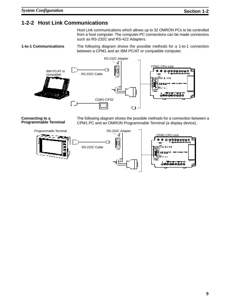### <span id="page-20-0"></span>**1-2-2 Host Link Communications**

Host Link communications which allows up to 32 OMRON PCs to be controlled from a host computer. The computer-PC connections can be made connectors such as RS-232C and RS-422 Adapters.

**1-to-1 Communications** The following diagram shows the possible methods for a 1-to-1 connection between a CPM1 and an IBM PC/AT or compatible computer.



### **Connecting to a Programmable Terminal**

The following diagram shows the possible methods for a connection between a CPM1 PC and an OMRON Programmable Terminal (a display device).



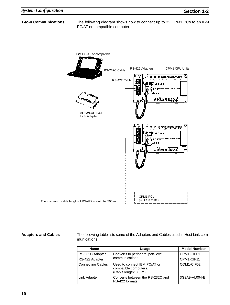**1-to-n Communications** The following diagram shows how to connect up to 32 CPM1 PCs to an IBM PC/AT or compatible computer.



**Adapters and Cables** The following table lists some of the Adapters and Cables used in Host Link communications.

| <b>Name</b>              | Usage                                                                          | <b>Model Number</b> |
|--------------------------|--------------------------------------------------------------------------------|---------------------|
| RS-232C Adapter          | Converts to peripheral port-level                                              | CPM1-CIF01          |
| RS-422 Adapter           | communications.                                                                | CPM1-CIF11          |
| <b>Connecting Cables</b> | Used to connect IBM PC/AT or<br>compatible computers.<br>(Cable length: 3.3 m) | CQM1-CIF02          |
| Link Adapter             | Converts between the RS-232C and<br>RS-422 formats.                            | 3G2A9-AL004-E       |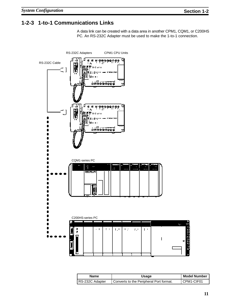### <span id="page-22-0"></span>**1-2-3 1-to-1 Communications Links**

A data link can be created with a data area in another CPM1, CQM1, or C200HS PC. An RS-232C Adapter must be used to make the 1-to-1 connection.



| Name            | Usage                                   | <b>Model Number</b> |
|-----------------|-----------------------------------------|---------------------|
| RS-232C Adapter | Converts to the Peripheral Port format. | CPM1-CIF01          |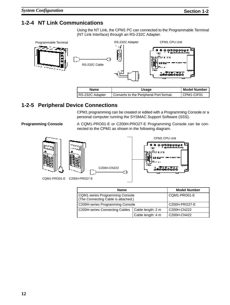### <span id="page-23-0"></span>**1-2-4 NT Link Communications**

Using the NT Link, the CPM1 PC can connected to the Programmable Terminal (NT Link Interface) through an RS-232C Adapter.



nected to the CPM1 as shown in the following diagram.

| Name            | Usage                                   | <b>Model Number</b> |
|-----------------|-----------------------------------------|---------------------|
| RS-232C Adapter | Converts to the Peripheral Port format. | CPM1-CIF01          |

### **1-2-5 Peripheral Device Connections**

CPM1 programming can be created or edited with a Programming Console or a personal computer running the SYSMAC Support Software (SSS).

### **Programming Console** A CQM1-PRO01-E or C200H-PRO27-E Programming Console can be con-









CQM1-PRO01-E C200H-PRO27-E

| <b>Name</b>                                                                   | <b>Model Number</b> |               |
|-------------------------------------------------------------------------------|---------------------|---------------|
| <b>CQM1-series Programming Console</b><br>(The Connecting Cable is attached.) |                     | CQM1-PRO01-E  |
| C200H-series Programming Console                                              |                     | C200H-PRO27-E |
| Cable length: 2 m<br>C200H-series Connecting Cables                           |                     | C200H-CN222   |
| Cable length: 4 m                                                             |                     | C200H-CN422   |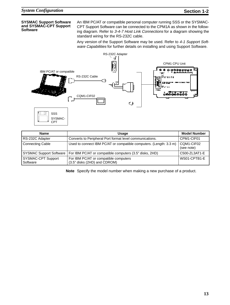### **SYSMAC Support Software and SYSMAC-CPT Support Software**

An IBM PC/AT or compatible personal computer running SSS or the SYSMAC-CPT Support Software can be connected to the CPM1A as shown in the following diagram. Refer to [3-4-7 Host Link Connections](#page-53-0) for a diagram showing the standard wiring for the RS-232C cable.

Any version of the Support Software may be used. Refer to [4-1 Support Soft](#page-59-0)[ware Capabilities](#page-59-0) for further details on installing and using Support Software.



| <b>Name</b>                    | <b>Usage</b>                                                          | <b>Model Number</b>      |
|--------------------------------|-----------------------------------------------------------------------|--------------------------|
| RS-232C Adapter                | Converts to Peripheral Port format level communications.              | CPM1-CIF01               |
| <b>Connecting Cable</b>        | Used to connect IBM PC/AT or compatible computers. (Length: 3.3 m)    | CQM1-CIF02<br>(see note) |
| <b>SYSMAC Support Software</b> | For IBM PC/AT or compatible computers (3.5" disks, 2HD)               | C500-ZL3AT1-E            |
| SYSMAC-CPT Support<br>Software | For IBM PC/AT or compatible computers<br>(3.5" disks (2HD) and CDROM) | WS01-CPTB1-E             |

**Note** Specify the model number when making a new purchase of a product.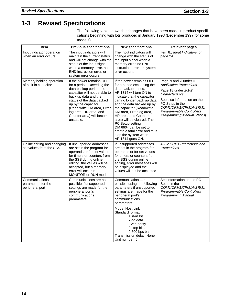# <span id="page-25-0"></span>**1-3 Revised Specifications**

The following table shows the changes that have been made in product specifications beginning with lots produced in January 1998 (December 1997 for some models).

| Item                                                    | <b>Previous specifications</b>                                                                                                                                                                                                                                                                   | <b>New specifications</b>                                                                                                                                                                                                                                                                                                                                                                                                                      | <b>Relevant pages</b>                                                                                                                                                                                                             |
|---------------------------------------------------------|--------------------------------------------------------------------------------------------------------------------------------------------------------------------------------------------------------------------------------------------------------------------------------------------------|------------------------------------------------------------------------------------------------------------------------------------------------------------------------------------------------------------------------------------------------------------------------------------------------------------------------------------------------------------------------------------------------------------------------------------------------|-----------------------------------------------------------------------------------------------------------------------------------------------------------------------------------------------------------------------------------|
| Input indicator operation<br>when an error occurs       | The input indicators will<br>maintain the current status<br>and will not change with the<br>status of the input signal<br>when a memory error, no<br>END instruction error, or<br>system error occurs.                                                                                           | The input indicators will<br>change with the status of<br>the input signal when a<br>memory error, no END<br>instruction error, or system<br>error occurs.                                                                                                                                                                                                                                                                                     | Item 8., <i>Input Indicators</i> , on<br>page 24.                                                                                                                                                                                 |
| Memory holding operation<br>of built-in capacitor       | If the power remains OFF<br>for a period exceeding the<br>data backup period, the<br>capacitor will not be able to<br>back up data and the<br>status of the data backed<br>up by the capacitor<br>(Read/write DM area, Error<br>log area, HR area, and<br>Counter area) will become<br>unstable. | If the power remains OFF<br>for a period exceeding the<br>data backup period,<br>AR 1314 will turn ON to<br>indicate that the capacitor<br>can no longer back up data<br>and the data backed up by<br>the capacitor (Read/write<br>DM area, Error log area,<br>HR area, and Counter<br>area) will be cleared. The<br>PC Setup setting in<br>DM 6604 can be set to<br>create a fatal error and thus<br>stop the system when<br>AR 1314 goes ON. | Page ix and xi under 5<br>Application Precautions.<br>Page 18 under 2-1-2<br>Characteristics.<br>See also information on the<br>PC Setup in the<br>CQM1/CPM1/CPM1A/SRM1<br>Programmable Controllers<br>Programming Manual (W228). |
| Online editing and changing<br>set values from the SSS  | If unsupported addresses<br>are set in the program for<br>operands or for set values<br>for timers or counters from<br>the SSS during online<br>editing, the values will be<br>accepted, but a memory<br>error will occur in<br><b>MONITOR or RUN mode.</b>                                      | If unsupported addresses<br>are set in the program for<br>operands or for set values<br>for timers or counters from<br>the SSS during online<br>editing, error messages will<br>be displayed and the<br>values will not be accepted.                                                                                                                                                                                                           | 4-1-2 CPM1 Restrictions and<br>Precautions                                                                                                                                                                                        |
| Communications<br>parameters for the<br>peripheral port | Communications are not<br>possible if unsupported<br>settings are made for the<br>peripheral port's<br>communications<br>parameters.                                                                                                                                                             | Communications are<br>possible using the following<br>parameters if unsupported<br>settings are made for the<br>peripheral port's<br>communications<br>parameters.<br>Mode: Host Link<br>Standard format<br>1 start bit<br>7-bit data<br>Even parity<br>2 stop bits<br>9,600 bps baud<br>Transmission delay: None<br>Unit number: 0                                                                                                            | See information on the PC<br>Setup in the<br>CQM1/CPM1/CPM1A/SRM1<br>Programmable Controllers<br>Programming Manual.                                                                                                              |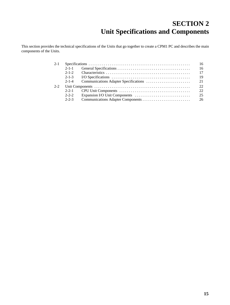# **SECTION 2 Unit Specifications and Components**

<span id="page-26-0"></span>This section provides the technical specifications of the Units that go together to create a CPM1 PC and describes the main components of the Units.

|             | 16                                                                                                       |
|-------------|----------------------------------------------------------------------------------------------------------|
| $2 - 1 - 1$ | 16                                                                                                       |
| $2 - 1 - 2$ | 17                                                                                                       |
| $2 - 1 - 3$ | 19                                                                                                       |
| $2 - 1 - 4$ | 21                                                                                                       |
|             | 22                                                                                                       |
| $2 - 2 - 1$ | 22                                                                                                       |
| $2 - 2 - 2$ | 25                                                                                                       |
| $2 - 2 - 3$ | - 26                                                                                                     |
|             | I/O Specifications $\ldots \ldots \ldots \ldots \ldots \ldots \ldots \ldots \ldots \ldots \ldots \ldots$ |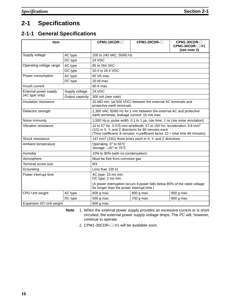# <span id="page-27-0"></span>**2-1 Specifications**

### **2-1-1 General Specifications**

| <b>Item</b>                             |                                                                                                                     | CPM1-10CDR-□                                                                                                                                                                                                                    | CPM1-20CDR-□                                                               | CPM1-30CDR-□<br>CPM1-30CDR-□-V1<br>(see note 2) |  |
|-----------------------------------------|---------------------------------------------------------------------------------------------------------------------|---------------------------------------------------------------------------------------------------------------------------------------------------------------------------------------------------------------------------------|----------------------------------------------------------------------------|-------------------------------------------------|--|
| Supply voltage                          | AC type                                                                                                             | 100 to 240 VAC, 50/60 Hz                                                                                                                                                                                                        |                                                                            |                                                 |  |
|                                         | DC type                                                                                                             | 24 VDC                                                                                                                                                                                                                          |                                                                            |                                                 |  |
| Operating voltage range                 | AC type                                                                                                             | 85 to 264 VAC                                                                                                                                                                                                                   |                                                                            |                                                 |  |
|                                         | DC type                                                                                                             | 20.4 to 26.4 VDC                                                                                                                                                                                                                |                                                                            |                                                 |  |
| Power consumption                       | AC type                                                                                                             | 60 VA max.                                                                                                                                                                                                                      |                                                                            |                                                 |  |
|                                         | DC type                                                                                                             | 20 W max.                                                                                                                                                                                                                       |                                                                            |                                                 |  |
| Inrush current                          |                                                                                                                     | 60 A max.                                                                                                                                                                                                                       |                                                                            |                                                 |  |
| External power supply                   | Supply voltage                                                                                                      | 24 VDC                                                                                                                                                                                                                          |                                                                            |                                                 |  |
| (AC type only)                          | Output capacity                                                                                                     | 300 mA (see note)                                                                                                                                                                                                               |                                                                            |                                                 |  |
| Insulation resistance                   |                                                                                                                     | protective earth terminals                                                                                                                                                                                                      | 20 M $\Omega$ min. (at 500 VDC) between the external AC terminals and      |                                                 |  |
| Dielectric strength                     | 2,300 VAC 50/60 Hz for 1 min between the external AC and protective<br>earth terminals, leakage current: 10 mA max. |                                                                                                                                                                                                                                 |                                                                            |                                                 |  |
| Noise immunity                          |                                                                                                                     | 1,500 Vp-p, pulse width: 0.1 to 1 µs, rise time: 1 ns (via noise simulation)                                                                                                                                                    |                                                                            |                                                 |  |
| Vibration resistance                    |                                                                                                                     | 10 to 57 Hz, 0.075-mm amplitude, 57 to 150 Hz, acceleration: 9.8 m/s <sup>2</sup><br>(1G) in X, Y, and Z directions for 80 minutes each<br>(Time coefficient; 8 minutes $\times$ coefficient factor 10 = total time 80 minutes) |                                                                            |                                                 |  |
| Shock resistance                        |                                                                                                                     |                                                                                                                                                                                                                                 | 147 m/s <sup>2</sup> (15G) three times each in X, Y, and Z directions      |                                                 |  |
| Ambient temperature                     |                                                                                                                     | Operating: 0° to 55°C<br>Storage: - 20° to 75°C                                                                                                                                                                                 |                                                                            |                                                 |  |
| Humidity                                |                                                                                                                     | 10% to 90% (with no condensation)                                                                                                                                                                                               |                                                                            |                                                 |  |
| Atmosphere                              |                                                                                                                     | Must be free from corrosive gas                                                                                                                                                                                                 |                                                                            |                                                 |  |
| Terminal screw size                     |                                                                                                                     | M <sub>3</sub>                                                                                                                                                                                                                  |                                                                            |                                                 |  |
| Grounding                               |                                                                                                                     |                                                                                                                                                                                                                                 |                                                                            |                                                 |  |
| Power interrupt time                    |                                                                                                                     | AC type: 10 ms min.<br>DC type: 2 ms min.                                                                                                                                                                                       |                                                                            |                                                 |  |
|                                         |                                                                                                                     | for longer than the power interrupt time.)                                                                                                                                                                                      | (A power interruption occurs if power falls below 85% of the rated voltage |                                                 |  |
| CPU Unit weight                         | AC type                                                                                                             | 600 g max.                                                                                                                                                                                                                      | 800 g max.                                                                 | 900 g max.                                      |  |
|                                         | DC type                                                                                                             | 500 g max.                                                                                                                                                                                                                      | 700 g max.                                                                 | 800 g max.                                      |  |
| Expansion I/O Unit weight<br>600 g max. |                                                                                                                     |                                                                                                                                                                                                                                 |                                                                            |                                                 |  |

**Note** 1. When the external power supply provides an excessive current or is short circuited, the external power supply voltage drops. The PC will, however, continue to operate.

2. CPM1-30CDR- $\square$ -V1 will be available soon.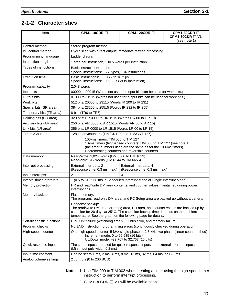### <span id="page-28-0"></span>**2-1-2 Characteristics**

| Item                      | CPM1-10CDR-□                                                                                                                                                                                                                                                              | CPM1-20CDR-□                                           | $CPM1-30CDR-$<br>$CPM1-30CDR-T-V1$<br>(see note 2) |  |
|---------------------------|---------------------------------------------------------------------------------------------------------------------------------------------------------------------------------------------------------------------------------------------------------------------------|--------------------------------------------------------|----------------------------------------------------|--|
| Control method            | Stored program method                                                                                                                                                                                                                                                     |                                                        |                                                    |  |
| I/O control method        | Cyclic scan with direct output; immediate refresh processing                                                                                                                                                                                                              |                                                        |                                                    |  |
| Programming language      | Ladder diagram                                                                                                                                                                                                                                                            |                                                        |                                                    |  |
| Instruction length        | 1 step per instruction, 1 to 5 words per instruction                                                                                                                                                                                                                      |                                                        |                                                    |  |
| Types of instructions     | Basic instructions:<br>14<br>Special instructions:                                                                                                                                                                                                                        | 77 types, 134 instructions                             |                                                    |  |
| Execution time            | Basic instructions:<br>0.72 to 16.2 us<br>Special instructions:                                                                                                                                                                                                           | 16.3 µs (MOV instruction)                              |                                                    |  |
| Program capacity          | 2,048 words                                                                                                                                                                                                                                                               |                                                        |                                                    |  |
| Input bits                | 00000 to 00915 (Words not used for input bits can be used for work bits.)                                                                                                                                                                                                 |                                                        |                                                    |  |
| Output bits               | 01000 to 01915 (Words not used for output bits can be used for work bits.)                                                                                                                                                                                                |                                                        |                                                    |  |
| Work bits                 | 512 bits: 20000 to 23115 (Words IR 200 to IR 231)                                                                                                                                                                                                                         |                                                        |                                                    |  |
| Special bits (SR area)    | 384 bits: 23200 to 25515 (Words IR 232 to IR 255)                                                                                                                                                                                                                         |                                                        |                                                    |  |
| Temporary bits (TR area)  | 8 bits (TR0 to TR7)                                                                                                                                                                                                                                                       |                                                        |                                                    |  |
| Holding bits (HR area)    | 320 bits: HR 0000 to HR 1915 (Words HR 00 to HR 19)                                                                                                                                                                                                                       |                                                        |                                                    |  |
| Auxiliary bits (AR area)  | 256 bits: AR 0000 to AR 1515 (Words AR 00 to AR 15)                                                                                                                                                                                                                       |                                                        |                                                    |  |
| Link bits (LR area)       | 256 bits: LR 0000 to LR 1515 (Words LR 00 to LR 15)                                                                                                                                                                                                                       |                                                        |                                                    |  |
| <b>Timers/Counters</b>    | 128 timers/counters (TIM/CNT 000 to TIM/CNT 127)                                                                                                                                                                                                                          |                                                        |                                                    |  |
|                           | 100-ms timers: TIM 000 to TIM 127<br>10-ms timers (high-speed counter): TIM 000 to TIM 127 (see note 1)<br>(the timer numbers used are the same as for the 100-ms timers)<br>Decrementing counters and reversible counters                                                |                                                        |                                                    |  |
| Data memory               | Read/Write: 1,024 words (DM 0000 to DM 1023)<br>Read-only: 512 words (DM 6144 to DM 6655)                                                                                                                                                                                 |                                                        |                                                    |  |
| Interrupt processing      | External interrupts: 2<br>(Response time: 0.3 ms max.)                                                                                                                                                                                                                    | External interrupts: 4<br>(Response time: 0.3 ms max.) |                                                    |  |
| Input interrupts          | $\overline{2}$                                                                                                                                                                                                                                                            | $\boldsymbol{\Lambda}$                                 |                                                    |  |
| Interval timer interrupts | 1 (0.5 to 319,968 ms in Scheduled Interrupt Mode or Single Interrupt Mode)                                                                                                                                                                                                |                                                        |                                                    |  |
| Memory protection         | HR and read/write DM area contents; and counter values maintained during power<br>interruptions.                                                                                                                                                                          |                                                        |                                                    |  |
| Memory backup             | Flash memory:<br>The program, read-only DM area, and PC Setup area are backed up without a battery.                                                                                                                                                                       |                                                        |                                                    |  |
|                           | Capacitor backup:<br>The read/write DM area, error log area, HR area, and counter values are backed up by a<br>capacitor for 20 days at $25^{\circ}$ C. The capacitor backup time depends on the ambient<br>temperature. See the graph on the following page for details. |                                                        |                                                    |  |
| Self-diagnostic functions | CPU Unit failure (watchdog timer), I/O bus error, and memory failure                                                                                                                                                                                                      |                                                        |                                                    |  |
| Program checks            | No END instruction, programming errors (continuously checked during operation)                                                                                                                                                                                            |                                                        |                                                    |  |
| High-speed counter        | One high-speed counter: 5 kHz single-phase or 2.5 kHz two-phase (linear count method)<br>Increment mode: 0 to 65,535 (16 bits)<br>Up/Down mode: -32,767 to 32,767 (16 bits)                                                                                               |                                                        |                                                    |  |
| Quick-response inputs     | The same inputs are used for quick-response inputs and external interrupt inputs.<br>(Min. input puls width: 0.2 ms)                                                                                                                                                      |                                                        |                                                    |  |
| Input time constant       | Can be set to 1 ms, 2 ms, 4 ms, 8 ms, 16 ms, 32 ms, 64 ms, or 128 ms.                                                                                                                                                                                                     |                                                        |                                                    |  |
| Analog volume settings    | 2 controls (0 to 200 BCD)                                                                                                                                                                                                                                                 |                                                        |                                                    |  |

- **Note** 1. Use TIM 000 to TIM 003 when creating a timer using the high-speed timer instruction to perform interrupt processing.
	- 2. CPM1-30CDR- $\square$ -V1 will be available soon.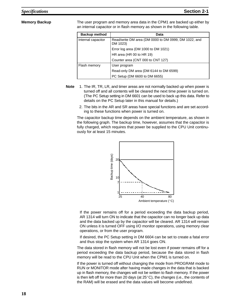<span id="page-29-0"></span>**Memory Backup** The user program and memory area data in the CPM1 are backed up either by an internal capacitor or in flash memory as shown in the following table.

| <b>Backup method</b> | Data                                                             |  |  |
|----------------------|------------------------------------------------------------------|--|--|
| Internal capacitor   | Read/write DM area (DM 0000 to DM 0999, DM 1022, and<br>DM 1023) |  |  |
|                      | Error log area (DM 1000 to DM 1021)                              |  |  |
|                      | HR area (HR 00 to HR 19)                                         |  |  |
|                      | Counter area (CNT 000 to CNT 127)                                |  |  |
| Flash memory         | User program                                                     |  |  |
|                      | Read-only DM area (DM 6144 to DM 6599)                           |  |  |
|                      | PC Setup (DM 6600 to DM 6655)                                    |  |  |

- **Note** 1. The IR, TR, LR, and timer areas are not normally backed up when power is turned off and all contents will be cleared the next time power is turned on. (The PC Setup setting in DM 6601 can be used to back up this data. Refer to details on the PC Setup later in this manual for details.)
	- 2. The bits in the AR and SR areas have special functions and are set according to these functions when power is turned on.

The capacitor backup time depends on the ambient temperature, as shown in the following graph. The backup time, however, assumes that the capacitor is fully charged, which requires that power be supplied to the CPU Unit continuously for at least 15 minutes.



If the power remains off for a period exceeding the data backup period, AR 1314 will turn ON to indicate that the capacitor can no longer back up data and the data backed up by the capacitor will be cleared. AR 1314 will remain ON unless it is turned OFF using I/O monitor operations, using memory clear operations, or from the user program.

If desired, the PC Setup setting in DM 6604 can be set to create a fatal error and thus stop the system when AR 1314 goes ON.

The data stored in flash memory will not be lost even if power remains off for a period exceeding the data backup period, because the data stored in flash memory will be read to the CPU Unit when the CPM1 is turned on.

If the power is turned off without changing the mode from PROGRAM mode to RUN or MONITOR mode after having made changes in the data that is backed up in flash memory, the changes will not be written to flash memory. If the power is then left off for more than 20 days (at  $25^{\circ}$ C), the changes (i.e., the contents of the RAM) will be erased and the data values will become undefined.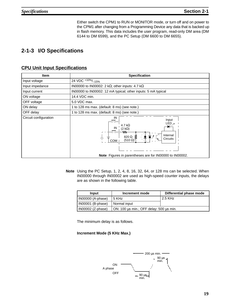Either switch the CPM1 to RUN or MONITOR mode, or turn off and on power to the CPM1 after changing from a Programming Device any data that is backed up in flash memory. This data includes the user program, read-only DM area (DM 6144 to DM 6599), and the PC Setup (DM 6600 to DM 6655).

### <span id="page-30-0"></span>**2-1-3 I/O Specifications**

### **CPU Unit Input Specifications**

| Item                  | <b>Specification</b>                                                                                                                                                                    |  |  |
|-----------------------|-----------------------------------------------------------------------------------------------------------------------------------------------------------------------------------------|--|--|
| Input voltage         | 24 VDC +10%/ <sub>-15%</sub>                                                                                                                                                            |  |  |
| Input impedance       | IN00000 to IN00002: 2 kΩ; other inputs: 4.7 kΩ                                                                                                                                          |  |  |
| Input current         | IN00000 to IN00002: 12 mA typical; other inputs: 5 mA typical                                                                                                                           |  |  |
| ON voltage            | 14.4 VDC min.                                                                                                                                                                           |  |  |
| OFF voltage           | 5.0 VDC max.                                                                                                                                                                            |  |  |
| ON delay              | 1 to 128 ms max. (default: 8 ms) (see note.)                                                                                                                                            |  |  |
| OFF delay             | 1 to 128 ms max. (default: 8 ms) (see note.)                                                                                                                                            |  |  |
| Circuit configuration | IN<br>Input<br>LED<br>4.7 k $\Omega$<br>(2 kΩ)<br>W۰<br>Internal<br>820 $\Omega$ $\leq$<br>Circuits<br>$(510 \Omega)$<br>COM<br>Note Figures in parentheses are for IN00000 to IN00002. |  |  |

**Note** Using the PC Setup, 1, 2, 4, 8, 16, 32, 64, or 128 ms can be selected. When IN00000 through IN00002 are used as high-speed counter inputs, the delays are as shown in the following table.

| <b>Input</b>      | Increment mode                                            | Differential phase mode |
|-------------------|-----------------------------------------------------------|-------------------------|
| IN00000 (A-phase) | 5 KHz                                                     | 2.5 KHz                 |
| IN00001 (B-phase) | I Normal input                                            |                         |
| IN00002 (Z-phase) | $\vert$ ON: 100 $\mu$ s min.; OFF delay: 500 $\mu$ s min. |                         |

The minimum delay is as follows.

### **Increment Mode (5 KHz Max.)**

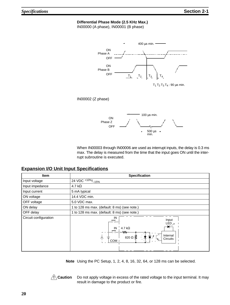### **Differential Phase Mode (2.5 KHz Max.)**

IN00000 (A phase), IN00001 (B phase)



IN00002 (Z phase)



When IN00003 through IN00006 are used as interrupt inputs, the delay is 0.3 ms max. The delay is measured from the time that the input goes ON until the interrupt subroutine is executed.

|  |  |  | <b>Expansion I/O Unit Input Specifications</b> |
|--|--|--|------------------------------------------------|
|  |  |  |                                                |

| <b>Item</b>           | <b>Specification</b>                                                                                            |  |  |
|-----------------------|-----------------------------------------------------------------------------------------------------------------|--|--|
| Input voltage         | 24 VDC +10%/ <sub>-15%</sub>                                                                                    |  |  |
| Input impedance       | 4.7 k $\Omega$                                                                                                  |  |  |
| Input current         | 5 mA typical                                                                                                    |  |  |
| ON voltage            | 14.4 VDC min.                                                                                                   |  |  |
| OFF voltage           | 5.0 VDC max.                                                                                                    |  |  |
| ON delay              | 1 to 128 ms max. (default: 8 ms) (see note.)                                                                    |  |  |
| OFF delay             | 1 to 128 ms max. (default: 8 ms) (see note.)                                                                    |  |  |
| Circuit configuration | IN<br>Input<br>$LED_A$<br>4.7 k $\Omega$<br>IN<br>Internal<br>820 $\Omega$ $\lessgtr$<br>Circuits<br><b>COM</b> |  |  |

**Note** Using the PC Setup, 1, 2, 4, 8, 16, 32, 64, or 128 ms can be selected.



Do not apply voltage in excess of the rated voltage to the input terminal. It may result in damage to the product or fire.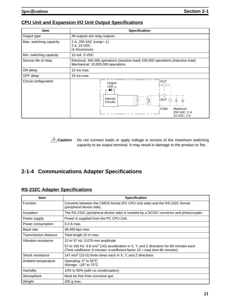### <span id="page-32-0"></span>**CPU Unit and Expansion I/O Unit Output Specifications**

| <b>Item</b>             | <b>Specification</b>                                                                                                     |  |  |
|-------------------------|--------------------------------------------------------------------------------------------------------------------------|--|--|
| Output type             | All outputs are relay outputs.                                                                                           |  |  |
| Max. switching capacity | 2 A, 250 VAC $(cos \phi = 1)$<br>2 A, 24 VDC<br>(4 A/common)                                                             |  |  |
| Min. switching capacity | 10 mA, 5 VDC                                                                                                             |  |  |
| Service life of relay   | Electrical: 300,000 operations (resistive load) 100,000 operations (inductive load)<br>Mechanical: 10,000,000 operations |  |  |
| ON delay                | 15 ms max.                                                                                                               |  |  |
| OFF delay               | 15 ms max.                                                                                                               |  |  |
| Circuit configuration   | OUT<br>Output<br>LED ,<br>Internal<br>OUT<br>Circuits<br><b>COM</b><br>Maximum<br>250 VAC: 2 A<br>24 VDC: 2 A            |  |  |

**! Caution** Do not connect loads or apply voltage in excess of the maximum switching capacity to an output terminal. It may result in damage to the product or fire.

### **2-1-4 Communications Adapter Specifications**

### **RS-232C Adapter Specifications**

| <b>Item</b>           | <b>Specification</b>                                                                                                                                                                       |
|-----------------------|--------------------------------------------------------------------------------------------------------------------------------------------------------------------------------------------|
| Function              | Converts between the CMOS format (PC CPU Unit side) and the RS-232C format<br>(peripheral device side).                                                                                    |
| Insulation            | The RS-232C (peripheral device side) is isolated by a DC/DC convertor and photocoupler.                                                                                                    |
| Power supply          | Power is supplied from the PC CPU Unit.                                                                                                                                                    |
| Power consumption     | $0.3$ A max.                                                                                                                                                                               |
| Baud rate             | 38,400 bps max.                                                                                                                                                                            |
| Transmission distance | Total length:15 m max.                                                                                                                                                                     |
| Vibration resistance  | 10 to 57 Hz: 0.075-mm amplitude                                                                                                                                                            |
|                       | 57 to 150 Hz: 9.8 m/s <sup>2</sup> (1G) acceleration in X, Y, and Z directions for 80 minutes each<br>(Time coefficient; 8 minutes $\times$ coefficient factor 10 = total time 80 minutes) |
| Shock resistance      | 147 m/s <sup>2</sup> (15 G) three times each in X, Y, and Z directions                                                                                                                     |
| Ambient temperature   | Operating: $0^\circ$ to 55 $^\circ$ C<br>Storage: $-20^\circ$ to 75 $^\circ$ C                                                                                                             |
| Humidity              | 10% to 90% (with no condensation)                                                                                                                                                          |
| Atmosphere            | Must be free from corrosive gas                                                                                                                                                            |
| Weight                | 200 g max.                                                                                                                                                                                 |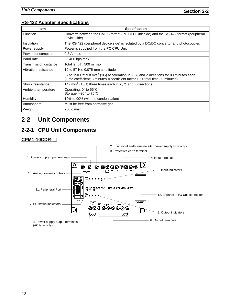### <span id="page-33-0"></span>**RS-422 Adapter Specifications**

| Item                  | <b>Specification</b>                                                                                                                                                                       |
|-----------------------|--------------------------------------------------------------------------------------------------------------------------------------------------------------------------------------------|
| <b>Function</b>       | Converts between the CMOS format (PC CPU Unit side) and the RS-422 format (peripheral<br>device side).                                                                                     |
| Insulation            | The RS-422 (peripheral device side) is isolated by a DC/DC convertor and photocoupler.                                                                                                     |
| Power supply          | Power is supplied from the PC CPU Unit.                                                                                                                                                    |
| Power consumption     | $0.3A$ max.                                                                                                                                                                                |
| Baud rate             | 38,400 bps max.                                                                                                                                                                            |
| Transmission distance | Total length: 500 m max.                                                                                                                                                                   |
| Vibration resistance  | 10 to 57 Hz: 0.075-mm amplitude                                                                                                                                                            |
|                       | 57 to 150 Hz: 9.8 m/s <sup>2</sup> (1G) acceleration in X, Y, and Z directions for 80 minutes each<br>(Time coefficient; 8 minutes $\times$ coefficient factor 10 = total time 80 minutes) |
| Shock resistance      | 147 m/s <sup>2</sup> (15G) three times each in X, Y, and Z directions                                                                                                                      |
| Ambient temperature   | Operating: $0^\circ$ to 55 $^\circ$ C<br>Storage: -20° to 75°C                                                                                                                             |
| Humidity              | 10% to 90% (with no condensation)                                                                                                                                                          |
| Atmosphere            | Must be free from corrosive gas                                                                                                                                                            |
| Weight                | 200 g max.                                                                                                                                                                                 |

# **2-2 Unit Components**

### **2-2-1 CPU Unit Components**

### **CPM1-10CDR-**j

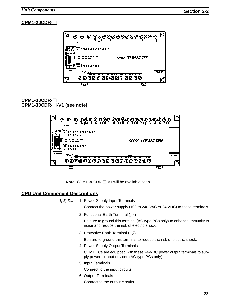### *Unit Components* **Section 2-2**

### **CPM1-20CDR-**j



### **CPM1-30CDR-**j **CPM1-30CDR-**j**-V1 (see note)**



**Note** CPM1-30CDR-<sup>1</sup>-V1 will be available soon

### **CPU Unit Component Descriptions**

**1, 2, 3...** 1. Power Supply Input Terminals

Connect the power supply (100 to 240 VAC or 24 VDC) to these terminals.

2. Functional Earth Terminal  $\phi$ 

Be sure to ground this terminal (AC-type PCs only) to enhance immunity to noise and reduce the risk of electric shock.

3. Protective Earth Terminal  $(\bigoplus)$ 

Be sure to ground this terminal to reduce the risk of electric shock.

4. Power Supply Output Terminals

CPM1 PCs are equipped with these 24-VDC power output terminals to supply power to input devices (AC-type PCs only).

5. Input Terminals

Connect to the input circuits.

6. Output Terminals

Connect to the output circuits.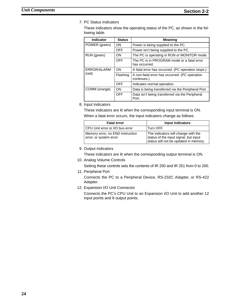<span id="page-35-0"></span>7. PC Status Indicators

These indicators show the operating status of the PC, as shown in the following table.

| <b>Indicator</b> | <b>Status</b> | <b>Meaning</b>                                               |  |
|------------------|---------------|--------------------------------------------------------------|--|
| POWER (green)    | <b>ON</b>     | Power is being supplied to the PC.                           |  |
|                  | OFF           | Power isn't being supplied to the PC.                        |  |
| RUN (green)      | <b>ON</b>     | The PC is operating in RUN or MONITOR mode.                  |  |
|                  | <b>OFF</b>    | The PC is in PROGRAM mode or a fatal error<br>has occurred.  |  |
| ERROR/ALARM      | <b>ON</b>     | A fatal error has occurred. (PC operation stops.)            |  |
| (red)            | Flashing      | A non-fatal error has occurred. (PC operation<br>continues.) |  |
|                  | OFF           | Indicates normal operation.                                  |  |
| COMM (orange)    | <b>ON</b>     | Data is being transferred via the Peripheral Port.           |  |
|                  | OFF           | Data isn't being transferred via the Peripheral<br>Port.     |  |

### 8. Input Indicators

These indicators are lit when the corresponding input terminal is ON. When a fatal error occurs, the input indicators change as follows:

| <b>Fatal error</b>                                         | Input indicators                                                                                                      |  |
|------------------------------------------------------------|-----------------------------------------------------------------------------------------------------------------------|--|
| CPU Unit error or I/O bus error                            | Turn OFF.                                                                                                             |  |
| Memory error, no END instruction<br>error, or system error | The indicators will change with the<br>status of the input signal, but input<br>status will not be updated in memory. |  |

9. Output Indicators

These indicators are lit when the corresponding output terminal is ON.

10. Analog Volume Controls

Setting these controls sets the contents of IR 250 and IR 251 from 0 to 200.

11. Peripheral Port

Connects the PC to a Peripheral Device, RS-232C Adapter, or RS-422 Adapter.

12. Expansion I/O Unit Connector

Connects the PC's CPU Unit to an Expansion I/O Unit to add another 12 input points and 8 output points.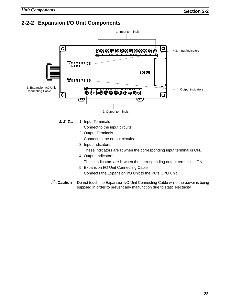# **2-2-2 Expansion I/O Unit Components**



- Connect to the output circuits.
- 3. Input Indicators

These indicators are lit when the corresponding input terminal is ON.

4. Output Indicators

These indicators are lit when the corresponding output terminal is ON.

- 5. Expansion I/O Unit Connecting Cable Connects the Expansion I/O Unit to the PC's CPU Unit.
- **/!**∖Caution Do not touch the Expansion I/O Unit Connecting Cable while the power is being supplied in order to prevent any malfunction due to static electricity.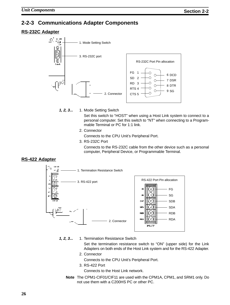## **2-2-3 Communications Adapter Components**

### **RS-232C Adapter**



**1, 2, 3...** 1. Mode Setting Switch

Set this switch to "HOST" when using a Host Link system to connect to a personal computer. Set this switch to "NT" when connecting to a Programmable Terminal or PC for 1:1 link.

2. Connector

Connects to the CPU Unit's Peripheral Port.

3. RS-232C Port

Connects to the RS-232C cable from the other device such as a personal computer, Peripheral Device, or Programmable Terminal.

#### **RS-422 Adapter**



**1, 2, 3...** 1. Termination Resistance Switch

Set the termination resistance switch to "ON" (upper side) for the Link Adapters on both ends of the Host Link system and for the RS-422 Adapter.

- 2. Connector
	- Connects to the CPU Unit's Peripheral Port.
- 3. RS-422 Port

Connects to the Host Link network.

**Note** The CPM1-CIF01/CIF11 are used with the CPM1A, CPM1, and SRM1 only. Do not use them with a C200HS PC or other PC.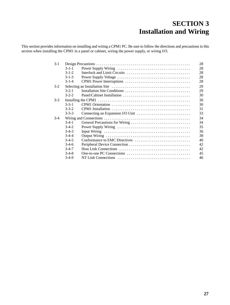# **SECTION 3 Installation and Wiring**

This section provides information on installing and wiring a CPM1 PC. Be sure to follow the directions and precautions in this section when installing the CPM1 in a panel or cabinet, wiring the power supply, or wiring I/O.

| $3-1$ |             |  |    |  |  |
|-------|-------------|--|----|--|--|
|       | $3 - 1 - 1$ |  | 28 |  |  |
|       | $3 - 1 - 2$ |  | 28 |  |  |
|       | $3 - 1 - 3$ |  | 28 |  |  |
|       | $3 - 1 - 4$ |  | 28 |  |  |
| $3-2$ |             |  | 29 |  |  |
|       | $3 - 2 - 1$ |  | 29 |  |  |
|       | $3 - 2 - 2$ |  | 30 |  |  |
| $3-3$ |             |  | 30 |  |  |
|       | $3 - 3 - 1$ |  | 30 |  |  |
|       | $3 - 3 - 2$ |  | 31 |  |  |
|       | $3 - 3 - 3$ |  | 33 |  |  |
| $3-4$ |             |  |    |  |  |
|       | $3-4-1$     |  | 34 |  |  |
|       | $3-4-2$     |  | 35 |  |  |
|       | $3 - 4 - 3$ |  | 36 |  |  |
|       | $3 - 4 - 4$ |  | 38 |  |  |
|       | $3-4-5$     |  | 40 |  |  |
|       | $3-4-6$     |  | 42 |  |  |
|       | $3 - 4 - 7$ |  | 42 |  |  |
|       | $3-4-8$     |  | 45 |  |  |
|       | $3-4-9$     |  | 46 |  |  |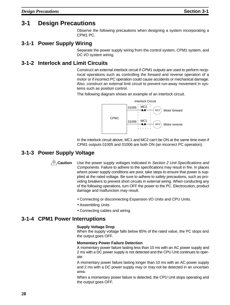# <span id="page-39-0"></span>**3-1 Design Precautions**

Observe the following precautions when designing a system incorporating a CPM1 PC.

## **3-1-1 Power Supply Wiring**

Separate the power supply wiring from the control system, CPM1 system, and DC I/O system wiring.

## **3-1-2 Interlock and Limit Circuits**

Construct an external interlock circuit if CPM1 outputs are used to perform reciprocal operations such as controlling the forward and reverse operation of a motor or if incorrect PC operation could cause accidents or mechanical damage. Also, construct an external limit circuit to prevent run-away movement in systems such as position control.

The following diagram shows an example of an interlock circuit.



In the interlock circuit above, MC1 and MC2 can't be ON at the same time even if CPM1 outputs 01005 and 01006 are both ON (an incorrect PC operation).

## **3-1-3 Power Supply Voltage**

**/!∖Caution** 

Use the power supply voltages indicated in [Section 2 Unit Specifications and](#page-26-0) [Components](#page-26-0). Failure to adhere to the specifications may result in fire. In places where power supply conditions are poor, take steps to ensure that power is supplied at the rated voltage. Be sure to adhere to safety precautions, such as providing breakers to prevent short circuits in external wiring. When conducting any of the following operations, turn OFF the power to the PC. Electrocution, product damage and malfunction may result.

- Connecting or disconnecting Expansion I/O Units and CPU Units.
- Assembling Units
- Connecting cables and wiring.

## **3-1-4 CPM1 Power Interruptions**

#### **Supply Voltage Drop**

When the supply voltage falls below 85% of the rated value, the PC stops and the output goes OFF.

#### **Momentary Power Failure Detection**

A momentary power failure lasting less than 10 ms with an AC power supply and 2 ms with a DC power supply is not detected and the CPU Unit continues to operate.

A momentary power failure lasting longer than 10 ms with an AC power supply and 2 ms with a DC power supply may or may not be detected in an uncertain area.

When a momentary power failure is detected, the CPU Unit stops operating and the output goes OFF.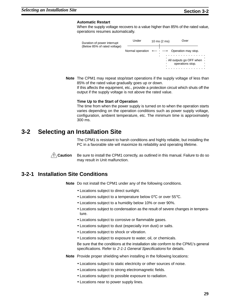#### <span id="page-40-0"></span>**Automatic Restart**

When the supply voltage recovers to a value higher than 85% of the rated value, operations resumes automatically.



**Note** The CPM1 may repeat stop/start operations if the supply voltage of less than 85% of the rated value gradually goes up or down.

If this affects the equipment, etc., provide a protection circuit which shuts off the output if the supply voltage is not above the rated value.

#### **Time Up to the Start of Operation**

The time from when the power supply is turned on to when the operation starts varies depending on the operation conditions such as power supply voltage, configuration, ambient temperature, etc. The minimum time is approximately 300 ms.

## **3-2 Selecting an Installation Site**

The CPM1 is resistant to harsh conditions and highly reliable, but installing the PC in a favorable site will maximize its reliability and operating lifetime.



**Caution** Be sure to install the CPM1 correctly, as outlined in this manual. Failure to do so may result in Unit malfunction.

#### **3-2-1 Installation Site Conditions**

**Note** Do not install the CPM1 under any of the following conditions.

- Locations subject to direct sunlight.
- Locations subject to a temperature below 0°C or over 55°C.
- Locations subject to a humidity below 10% or over 90%.
- Locations subject to condensation as the result of severe changes in temperature.
- Locations subject to corrosive or flammable gases.
- Locations subject to dust (especially iron dust) or salts.
- Locations subject to shock or vibration.
- Locations subject to exposure to water, oil, or chemicals.

Be sure that the conditions at the installation site conform to the CPM1's general specifications. Refer to [2-1-1 General Specifications](#page-27-0) for details.

- **Note** Provide proper shielding when installing in the following locations:
	- Locations subject to static electricity or other sources of noise.
	- Locations subject to strong electromagnetic fields.
	- Locations subject to possible exposure to radiation.
	- Locations near to power supply lines.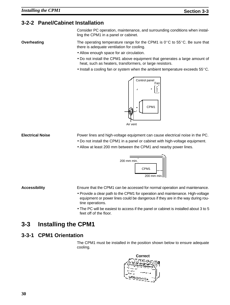## <span id="page-41-0"></span>**3-2-2 Panel/Cabinet Installation**

Consider PC operation, maintenance, and surrounding conditions when installing the CPM1 in a panel or cabinet.

**Overheating** The operating temperature range for the CPM1 is 0<sup>o</sup>C to 55<sup>o</sup>C. Be sure that there is adequate ventilation for cooling.

- Allow enough space for air circulation.
- Do not install the CPM1 above equipment that generates a large amount of heat, such as heaters, transformers, or large resistors.
- Install a cooling fan or system when the ambient temperature exceeds 55°C.





**Electrical Noise** Power lines and high-voltage equipment can cause electrical noise in the PC.

- Do not install the CPM1 in a panel or cabinet with high-voltage equipment.
- Allow at least 200 mm between the CPM1 and nearby power lines.



**Accessibility** Ensure that the CPM1 can be accessed for normal operation and maintenance.

- Provide a clear path to the CPM1 for operation and maintenance. High-voltage equipment or power lines could be dangerous if they are in the way during routine operations.
- The PC will be easiest to access if the panel or cabinet is installed about 3 to 5 feet off of the floor.

# **3-3 Installing the CPM1**

### **3-3-1 CPM1 Orientation**

The CPM1 must be installed in the position shown below to ensure adequate cooling.

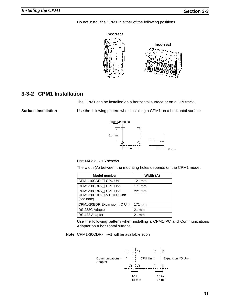<span id="page-42-0"></span>Do not install the CPM1 in either of the following positions.



## **3-3-2 CPM1 Installation**

The CPM1 can be installed on a horizontal surface or on a DIN track.

**Surface Installation** Use the following pattern when installing a CPM1 on a horizontal surface.





The width (A) between the mounting holes depends on the CPM1 model.

| <b>Model number</b>                                             | Width (A)       |
|-----------------------------------------------------------------|-----------------|
| CPM1-10CDR-□ CPU Unit                                           | 121 mm          |
| l CPM1-20CDR-⊟ CPU Unit                                         | 171 mm          |
| CPM1-30CDR-□ CPU Unit<br>CPM1-30CDR-□-V1 CPU Unit<br>(see note) | 221 mm          |
| CPM1-20EDR Expansion I/O Unit                                   | 171 mm          |
| RS-232C Adapter                                                 | $21 \text{ mm}$ |
| RS-422 Adapter                                                  | 21 mm           |

Use the following pattern when installing a CPM1 PC and Communications Adapter on a horizontal surface.

Note CPM1-30CDR-<sup>[]</sup>-V1 will be available soon

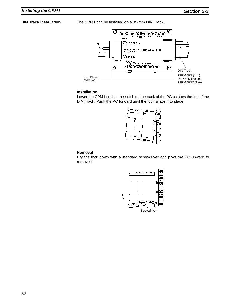**DIN Track Installation** The CPM1 can be installed on a 35-mm DIN Track.



#### **Installation**

Lower the CPM1 so that the notch on the back of the PC catches the top of the DIN Track. Push the PC forward until the lock snaps into place.



#### **Removal**

Pry the lock down with a standard screwdriver and pivot the PC upward to remove it.

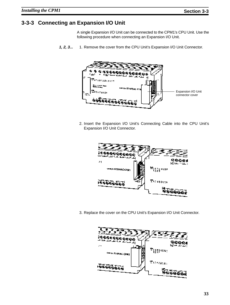## <span id="page-44-0"></span>**3-3-3 Connecting an Expansion I/O Unit**

A single Expansion I/O Unit can be connected to the CPM1's CPU Unit. Use the following procedure when connecting an Expansion I/O Unit.

**1, 2, 3...** 1. Remove the cover from the CPU Unit's Expansion I/O Unit Connector.



2. Insert the Expansion I/O Unit's Connecting Cable into the CPU Unit's Expansion I/O Unit Connector.



3. Replace the cover on the CPU Unit's Expansion I/O Unit Connector.

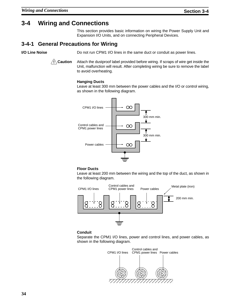# <span id="page-45-0"></span>**3-4 Wiring and Connections**

This section provides basic information on wiring the Power Supply Unit and Expansion I/O Units, and on connecting Peripheral Devices.

## **3-4-1 General Precautions for Wiring**

**I/O Line Noise Do not run CPM1 I/O lines in the same duct or conduit as power lines.** 

 $\sqrt{!}$  Caution Attach the dustproof label provided before wiring. If scraps of wire get inside the Unit, malfunction will result. After completing wiring be sure to remove the label to avoid overheating.

#### **Hanging Ducts**

Leave at least 300 mm between the power cables and the I/O or control wiring, as shown in the following diagram.



#### **Floor Ducts**

Leave at least 200 mm between the wiring and the top of the duct, as shown in the following diagram.



#### **Conduit**

Separate the CPM1 I/O lines, power and control lines, and power cables, as shown in the following diagram.

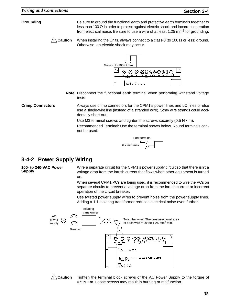<span id="page-46-0"></span>**Grounding** Be sure to ground the functional earth and protective earth terminals together to less than 100  $\Omega$  in order to protect against electric shock and incorrect operation from electrical noise. Be sure to use a wire of at least 1.25 mm<sup>2</sup> for grounding.



When installing the Units, always connect to a class-3 (to 100  $\Omega$  or less) ground. Otherwise, an electric shock may occur.



**Note** Disconnect the functional earth terminal when performing withstand voltage tests.

**Crimp Connectors** Always use crimp connectors for the CPM1's power lines and I/O lines or else use a single-wire line (instead of a stranded wire). Stray wire strands could accidentally short out.

Use M3 terminal screws and tighten the screws securely  $(0.5 N \cdot m)$ .

Recommended Terminal: Use the terminal shown below. Round terminals cannot be used.



### **3-4-2 Power Supply Wiring**

**100- to 240-VAC Power Supply**

Wire a separate circuit for the CPM1's power supply circuit so that there isn't a voltage drop from the inrush current that flows when other equipment is turned on.

When several CPM1 PCs are being used, it is recommended to wire the PCs on separate circuits to prevent a voltage drop from the inrush current or incorrect operation of the circuit breaker.

Use twisted power supply wires to prevent noise from the power supply lines. Adding a 1:1 isolating transformer reduces electrical noise even further.





Tighten the terminal block screws of the AC Power Supply to the torque of  $0.5 N \cdot m$ . Loose screws may result in burning or malfunction.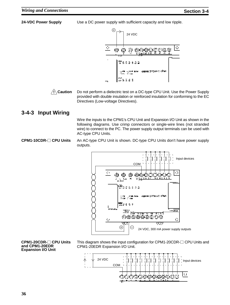<span id="page-47-0"></span>**24-VDC Power Supply** Use a DC power supply with sufficient capacity and low ripple.





Do not perform a dielectric test on a DC-type CPU Unit. Use the Power Supply provided with double insulation or reinforced insulation for conforming to the EC Directives (Low-voltage Directives).

## **3-4-3 Input Wiring**

Wire the inputs to the CPM1's CPU Unit and Expansion I/O Unit as shown in the following diagrams. Use crimp connectors or single-wire lines (not stranded wire) to connect to the PC. The power supply output terminals can be used with AC-type CPU Units.

**CPM1-10CDR-**j **CPU Units** An AC-type CPU Unit is shown. DC-type CPU Units don't have power supply outputs.



#### **CPM1-20CDR-**j **CPU Units and CPM1-20EDR Expansion I/O Unit**

This diagram shows the input configuration for CPM1-20CDR- $\Box$  CPU Units and CPM1-20EDR Expansion I/O Unit.

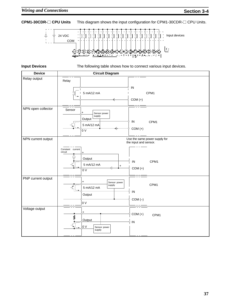**CPM1-30CDR-□ CPU Units** This diagram shows the input configuration for CPM1-30CDR-□ CPU Units.



**Input Devices** The following table shows how to connect various input devices.

| <b>Device</b>      | <b>Circuit Diagram</b>                                                                                                                                                               |
|--------------------|--------------------------------------------------------------------------------------------------------------------------------------------------------------------------------------|
| Relay output       | Relay<br>IN<br>5 mA/12 mA<br>CPM1<br>$COM (+)$                                                                                                                                       |
| NPN open collector | Sensor<br>$\ddot{}$<br>Sensor power<br>supply<br>Output<br>${\sf IN}$<br>CPM1<br>5 mA/12 mA<br>$COM (+)$<br>$\overline{0 V}$                                                         |
| NPN current output | Use the same power supply for<br>the input and sensor.<br>Constant current<br>circuit<br>+<br>Output<br>${\sf IN}$<br>CPM1<br>5 mA/12 mA<br>$\ddot{}$<br>$COM (+)$<br>0 <sub>V</sub> |
| PNP current output | $\ddot{}$<br>Sensor power<br>supply<br>CPM1<br>5 mA/12 mA<br>$\sf IN$<br>Output<br>$COM(-)$<br>0 V                                                                                   |
| Voltage output     | $\ddot{}$<br>$COM (+)$<br>CPM1<br>ξ<br>Output<br>Ϋ́ IN<br>0 V<br>Sensor power<br>supply                                                                                              |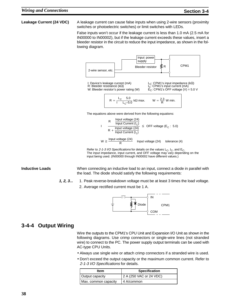<span id="page-49-0"></span>**Leakage Current (24 VDC)** A leakage current can cause false inputs when using 2-wire sensors (proximity switches or photoelectric switches) or limit switches with LEDs.

> False inputs won't occur if the leakage current is less than 1.0 mA (2.5 mA for IN00000 to IN00002), but if the leakage current exceeds these values, insert a bleeder resistor in the circuit to reduce the input impedance, as shown in the following diagram.





Refer to *[2-1-3 I/O Specifications](#page-30-0)* for details on the values L<sub>C</sub>, I<sub>C</sub>, and E<sub>C</sub>.<br>The input impedance, input current, and OFF voltage may vary depending on the input being used. (IN00000 through IN00002 have different values.)

**Inductive Loads** When connecting an inductive load to an input, connect a diode in parallel with the load. The diode should satisfy the following requirements:

- **1, 2, 3...** 1. Peak reverse-breakdown voltage must be at least 3 times the load voltage.
	- 2. Average rectified current must be 1 A.



## **3-4-4 Output Wiring**

Wire the outputs to the CPM1's CPU Unit and Expansion I/O Unit as shown in the following diagrams. Use crimp connectors or single-wire lines (not stranded wire) to connect to the PC. The power supply output terminals can be used with AC-type CPU Units.

- Always use single wire or attach crimp connectors if a stranded wire is used.
- Don't exceed the output capacity or the maximum common current. Refer to [2-1-3 I/O Specifications](#page-30-0) for details.

| Item                 | <b>Specification</b>    |
|----------------------|-------------------------|
| Output capacity      | 2 A (250 VAC or 24 VDC) |
| Max. common capacity | 4 A/common              |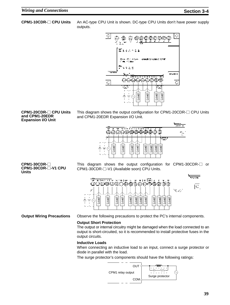**CPM1-10CDR-**j **CPU Units** An AC-type CPU Unit is shown. DC-type CPU Units don't have power supply outputs.



#### **CPM1-20CDR-**j **CPU Units and CPM1-20EDR Expansion I/O Unit**

This diagram shows the output configuration for CPM1-20CDR- $\square$  CPU Units and CPM1-20EDR Expansion I/O Unit.



**CPM1-30CDR-**j **CPM1-30CDR-**j**-V1 CPU Units**

This diagram shows the output configuration for CPM1-30CDR- $\Box$  or CPM1-30CDR-□-V1 (Available soon) CPU Units.



**Output Wiring Precautions** Observe the following precautions to protect the PC's internal components.

#### **Output Short Protection**

The output or internal circuitry might be damaged when the load connected to an output is short-circuited, so it is recommended to install protective fuses in the output circuits.

#### **Inductive Loads**

When connecting an inductive load to an input, connect a surge protector or diode in parallel with the load.

The surge protector's components should have the following ratings:

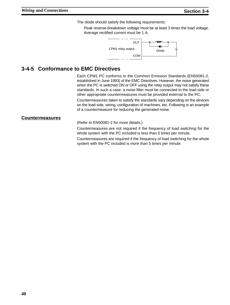The diode should satisfy the following requirements:

Peak reverse-breakdown voltage must be at least 3 times the load voltage. Average rectified current must be 1 A.



### <span id="page-51-0"></span>**3-4-5 Conformance to EMC Directives**

Each CPM1 PC conforms to the Common Emission Standards (EN50081-2, established in June 1993) of the EMC Directives. However, the noise generated when the PC is switched ON or OFF using the relay output may not satisfy these standards. In such a case, a noise filter must be connected to the load side or other appropriate countermeasures must be provided external to the PC.

Countermeasures taken to satisfy the standards vary depending on the devices on the load side, wiring, configuration of machines, etc. Following is an example of a countermeasure for reducing the generated noise.

#### **Countermeasures**

(Refer to EN50081-2 for more details.)

Countermeasures are not required if the frequency of load switching for the whole system with the PC included is less than 5 times per minute.

Countermeasures are required if the frequency of load switching for the whole system with the PC included is more than 5 times per minute.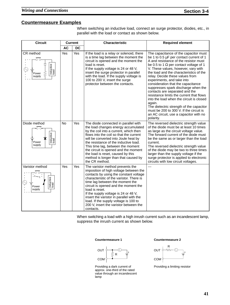#### **Countermeasure Examples**

When switching an inductive load, connect an surge protector, diodes, etc., in parallel with the load or contact as shown below.

| <b>Circuit</b>                                                                              | <b>Current</b> |           | <b>Characteristic</b>                                                                                                                                                                                                                                                                                                                                                                                                                             | <b>Required element</b>                                                                                                                                                                                                                                                                                                                                                                                                                                                                                                                                                                                                                                                                      |
|---------------------------------------------------------------------------------------------|----------------|-----------|---------------------------------------------------------------------------------------------------------------------------------------------------------------------------------------------------------------------------------------------------------------------------------------------------------------------------------------------------------------------------------------------------------------------------------------------------|----------------------------------------------------------------------------------------------------------------------------------------------------------------------------------------------------------------------------------------------------------------------------------------------------------------------------------------------------------------------------------------------------------------------------------------------------------------------------------------------------------------------------------------------------------------------------------------------------------------------------------------------------------------------------------------------|
|                                                                                             | <b>AC</b>      | <b>DC</b> |                                                                                                                                                                                                                                                                                                                                                                                                                                                   |                                                                                                                                                                                                                                                                                                                                                                                                                                                                                                                                                                                                                                                                                              |
| CR method<br>Inductive<br>load<br>Power<br>supply                                           | Yes            | Yes       | If the load is a relay or solenoid, there<br>is a time lag between the moment the<br>circuit is opened and the moment the<br>load is reset.<br>If the supply voltage is 24 or 48 V,<br>insert the surge protector in parallel<br>with the load. If the supply voltage is<br>100 to 200 V, insert the surge<br>protector between the contacts.                                                                                                     | The capacitance of the capacitor must<br>be 1 to 0.5 µF per contact current of 1<br>A and resistance of the resistor must<br>be 0.5 to 1 $\Omega$ per contact voltage of 1<br>V. These values, however, vary with<br>the load and the characteristics of the<br>relay. Decide these values from<br>experiments, and take into<br>consideration that the capacitance<br>suppresses spark discharge when the<br>contacts are separated and the<br>resistance limits the current that flows<br>into the load when the circuit is closed<br>again.<br>The dielectric strength of the capacitor<br>must be 200 to 300 V. If the circuit is<br>an AC circuit, use a capacitor with no<br>polarity. |
| Diode method<br>o o<br>Inductive<br>load<br>Power<br>supply                                 | No             | Yes       | The diode connected in parallel with<br>the load changes energy accumulated<br>by the coil into a current, which then<br>flows into the coil so that the current<br>will be converted into Joule heat by<br>the resistance of the inductive load.<br>This time lag, between the moment<br>the circuit is opened and the moment<br>the load is reset, caused by this<br>method is longer than that caused by<br>the CR method.                     | The reversed dielectric strength value<br>of the diode must be at least 10 times<br>as large as the circuit voltage value.<br>The forward current of the diode must<br>be the same as or larger than the load<br>current.<br>The reversed dielectric strength value<br>of the diode may be two to three times<br>larger than the supply voltage if the<br>surge protector is applied to electronic<br>circuits with low circuit voltages.                                                                                                                                                                                                                                                    |
| Varistor method<br>O<br>$\bigcirc$<br>$\sim$ $\sim$<br>Inductive<br>load<br>Power<br>supply | Yes            | Yes       | The varistor method prevents the<br>imposition of high voltage between the<br>contacts by using the constant voltage<br>characteristic of the varistor. There is<br>time lag between the moment the<br>circuit is opened and the moment the<br>load is reset.<br>If the supply voltage is 24 or 48 V,<br>insert the varistor in parallel with the<br>load. If the supply voltage is 100 to<br>200 V, insert the varistor between the<br>contacts. | $\overline{a}$                                                                                                                                                                                                                                                                                                                                                                                                                                                                                                                                                                                                                                                                               |

When switching a load with a high inrush current such as an incandescent lamp, suppress the inrush current as shown below.

#### **Countermeasure 1**



Providing a dark current of approx. one-third of the rated value through an incandescent lamp

#### **Countermeasure 2**



Providing a limiting resistor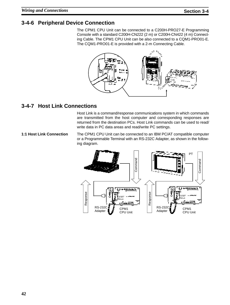## <span id="page-53-0"></span>**3-4-6 Peripheral Device Connection**

The CPM1 CPU Unit can be connected to a C200H-PRO27-E Programming Console with a standard C200H-CN222 (2 m) or C200H-CN422 (4 m) Connecting Cable. The CPM1 CPU Unit can be also connected to a CQM1-PRO01-E. The CQM1-PRO01-E is provided with a 2-m Connecting Cable.



## **3-4-7 Host Link Connections**

Host Link is a command/response communications system in which commands are transmitted from the host computer and corresponding responses are returned from the destination PCs. Host Link commands can be used to read/ write data in PC data areas and read/write PC settings.

**1:1 Host Link Connection** The CPM1 CPU Unit can be connected to an IBM PC/AT compatible computer or a Programmable Terminal with an RS-232C Adapter, as shown in the following diagram.

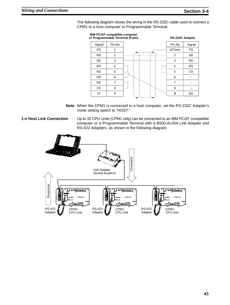The following diagram shows the wiring in the RS-232C cable used to connect a CPM1 to a host computer or Programmable Terminal.



- **Note** When the CPM1 is connected to a host computer, set the RS-232C Adapter's mode setting switch to "HOST."
- **1:n Host Link Connection** Up to 32 CPU Units (CPM1 only) can be connected to an IBM PC/AT compatible computer or a Programmable Terminal with a B500-AL004 Link Adapter and RS-422 Adapters, as shown in the following diagram.

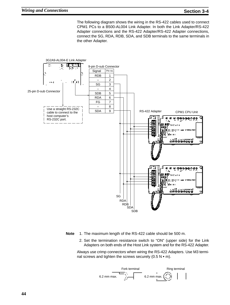#### *Wiring and Connections* **Section 3-4**

The following diagram shows the wiring in the RS-422 cables used to connect CPM1 PCs to a B500-AL004 Link Adapter. In both the Link Adapter/RS-422 Adapter connections and the RS-422 Adapter/RS-422 Adapter connections, connect the SG, RDA, RDB, SDA, and SDB terminals to the same terminals in the other Adapter.



- **Note** 1. The maximum length of the RS-422 cable should be 500 m.
	- 2. Set the termination resistance switch to "ON" (upper side) for the Link Adapters on both ends of the Host Link system and for the RS-422 Adapter.

Always use crimp connectors when wiring the RS-422 Adapters. Use M3 terminal screws and tighten the screws securely  $(0.5 N \cdot m)$ .

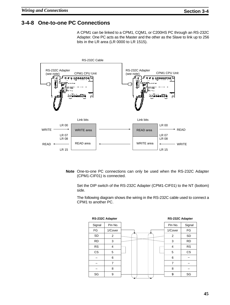## <span id="page-56-0"></span>**3-4-8 One-to-one PC Connections**

A CPM1 can be linked to a CPM1, CQM1, or C200HS PC through an RS-232C Adapter. One PC acts as the Master and the other as the Slave to link up to 256 bits in the LR area (LR 0000 to LR 1515).



**Note** One-to-one PC connections can only be used when the RS-232C Adapter (CPM1-CIF01) is connected.

Set the DIP switch of the RS-232C Adapter (CPM1-CIF01) to the NT (bottom) side.

The following diagram shows the wiring in the RS-232C cable used to connect a CPM1 to another PC.

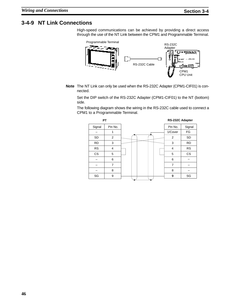## <span id="page-57-0"></span>**3-4-9 NT Link Connections**

High-speed communications can be achieved by providing a direct access through the use of the NT Link between the CPM1 and Programmable Terminal.



**Note** The NT Link can only be used when the RS-232C Adapter (CPM1-CIF01) is connected.

Set the DIP switch of the RS-232C Adapter (CPM1-CIF01) to the NT (bottom) side.

The following diagram shows the wiring in the RS-232C cable used to connect a CPM1 to a Programmable Terminal.

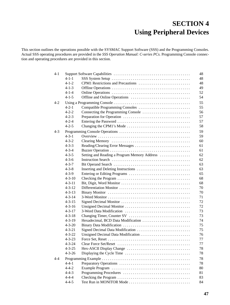# **SECTION 4 Using Peripheral Devices**

This section outlines the operations possible with the SYSMAC Support Software (SSS) and the Programming Consoles. Actual SSS operating procedures are provided in the *SSS Operation Manual: C-series PCs*. Programming Console connection and operating procedures are provided in this section.

| $4-1$   |              |                                              | 48 |
|---------|--------------|----------------------------------------------|----|
|         | $4 - 1 - 1$  |                                              | 48 |
|         | $4 - 1 - 2$  |                                              | 48 |
|         | $4 - 1 - 3$  |                                              | 49 |
|         | 4-1-4        |                                              | 52 |
|         | $4 - 1 - 5$  |                                              | 54 |
| $4 - 2$ |              |                                              | 55 |
|         | $4 - 2 - 1$  |                                              | 55 |
|         | $4 - 2 - 2$  |                                              | 56 |
|         | $4 - 2 - 3$  |                                              | 57 |
|         | $4 - 2 - 4$  |                                              | 57 |
|         | $4 - 2 - 5$  |                                              | 58 |
| $4 - 3$ |              |                                              | 59 |
|         | $4 - 3 - 1$  |                                              | 59 |
|         | $4 - 3 - 2$  |                                              | 60 |
|         | $4 - 3 - 3$  |                                              | 61 |
|         | $4 - 3 - 4$  |                                              | 61 |
|         | $4 - 3 - 5$  | Setting and Reading a Program Memory Address | 62 |
|         | $4 - 3 - 6$  |                                              | 62 |
|         | $4 - 3 - 7$  |                                              | 63 |
|         | $4 - 3 - 8$  |                                              | 63 |
|         | $4 - 3 - 9$  |                                              | 65 |
|         | $4 - 3 - 10$ |                                              | 68 |
|         | $4 - 3 - 11$ |                                              | 68 |
|         | $4 - 3 - 12$ |                                              | 70 |
|         |              |                                              |    |
|         | $4 - 3 - 13$ |                                              | 70 |
|         | $4 - 3 - 14$ |                                              | 71 |
|         | $4 - 3 - 15$ |                                              | 72 |
|         | $4 - 3 - 16$ |                                              | 72 |
|         | $4 - 3 - 17$ |                                              | 73 |
|         | $4 - 3 - 18$ |                                              | 73 |
|         | $4 - 3 - 19$ | Hexadecimal, BCD Data Modification           | 74 |
|         | $4 - 3 - 20$ |                                              | 75 |
|         | $4 - 3 - 21$ |                                              | 75 |
|         | $4 - 3 - 22$ |                                              | 76 |
|         | $4 - 3 - 23$ |                                              | 77 |
|         | $4 - 3 - 24$ |                                              | 77 |
|         | $4 - 3 - 25$ |                                              | 78 |
|         | $4 - 3 - 26$ |                                              | 78 |
| 4-4     |              |                                              | 78 |
|         | $4 - 4 - 1$  |                                              | 78 |
|         | $4 - 4 - 2$  |                                              | 80 |
|         | $4 - 4 - 3$  |                                              | 81 |
|         | $4 - 4 - 4$  |                                              | 83 |
|         | $4 - 4 - 5$  | Test Run in MONITOR Mode                     | 84 |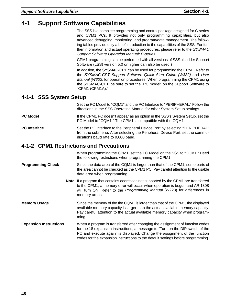# <span id="page-59-0"></span>**4-1 Support Software Capabilities**

The SSS is a complete programming and control package designed for C-series and CVM1 PCs. It provides not only programming capabilities, but also advanced debugging, monitoring, and program/data management. The following tables provide only a brief introduction to the capabilities of the SSS. For further information and actual operating procedures, please refer to the SYSMAC Support Software Operation Manual: C-series.

CPM1 programming can be performed with all versions of SSS. (Ladder Support Software (LSS) version 5.0 or higher can also be used.)

In addition, the SYSMAC-CPT can be used for programming the CPM1. Refer to the SYSMAC-CPT Support Software Quick Start Guide (W332) and User Manual (W333) for operation procedures. When programming the CPM1 using the SYSMAC-CPT, be sure to set the "PC model" on the Support Software to "CPM1 (CPM1A)."

## **4-1-1 SSS System Setup**

Set the PC Model to "CQM1" and the PC Interface to "PERIPHERAL." Follow the directions in the SSS Operating Manual for other System Setup settings.

- **PC Model If the CPM1 PC doesn't appear as an option in the SSS's System Setup, set the** PC Model to "CQM1." The CPM1 is compatible with the CQM1.
- **PC Interface** Set the PC Interface to the Peripheral Device Port by selecting "PERIPHERAL" from the submenu. After selecting the Peripheral Device Port, set the communications baud rate to 9,600 baud.

## **4-1-2 CPM1 Restrictions and Precautions**

When programming the CPM1, set the PC Model on the SSS to "CQM1." Heed the following restrictions when programming the CPM1.

- **Programming Check** Since the data area of the CQM1 is larger than that of the CPM1, some parts of the area cannot be checked as the CPM1 PC. Pay careful attention to the usable data area when programming.
	- **Note** If a program that contains addresses not supported by the CPM1 are transferred to the CPM1, a memory error will occur when operation is begun and AR 1308 will turn ON. Refer to the Programming Manual (W228) for differences in memory areas.
- **Memory Usage** Since the memory of the the CQM1 is larger than that of the CPM1, the displayed available memory capacity is larger than the actual available memory capacity. Pay careful attention to the actual available memory capacity when programming.
- **Expansion Instructions** When a program is transferred after changing the assignment of function codes for the 18 expansion instructions, a message to "Turn on the DIP switch of the PC and execute again" is displayed. Change the assignment of the function codes for the expansion instructions to the default settings before programming.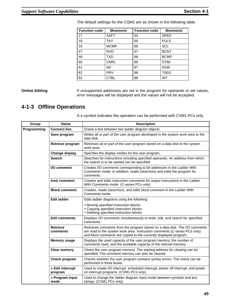| <b>Function code</b> | <b>Mnemonic</b> | <b>Function code</b> | <b>Mnemonic</b> |
|----------------------|-----------------|----------------------|-----------------|
| 17                   | <b>ASFT</b>     | 64                   | <b>SPED</b>     |
| 18                   | <b>TKY</b>      | 65                   | <b>PULS</b>     |
| 19                   | <b>MCMP</b>     | 66                   | <b>SCL</b>      |
| 47                   | <b>RXD</b>      | 67                   | <b>BCNT</b>     |
| 48                   | <b>TXD</b>      | 68                   | <b>BCMP</b>     |
| 60                   | <b>CMPL</b>     | 69                   | <b>STIM</b>     |
| 61                   | INI             | 87                   | <b>DSW</b>      |
| 62                   | <b>PRV</b>      | 88                   | 7SEG            |
| 63                   | <b>CTBL</b>     | 89                   | <b>INT</b>      |

<span id="page-60-0"></span>The default settings for the CQM1 are as shown in the following table.

**Online Editing If unsupported addresses are set in the program for operands or set values,** error messages will be displayed and the values will not be accepted.

# **4-1-3 Offline Operations**

| Group       | <b>Name</b>                       | <b>Description</b>                                                                                                                                                                                                             |
|-------------|-----------------------------------|--------------------------------------------------------------------------------------------------------------------------------------------------------------------------------------------------------------------------------|
| Programming | <b>Connect line</b>               | Draws a line between two ladder diagram objects.                                                                                                                                                                               |
|             | Save program                      | Writes all or part of the user program developed in the system work area to the<br>data disk.                                                                                                                                  |
|             | Retrieve program                  | Retrieves all or part of the user program stored on a data disk to the system<br>work area.                                                                                                                                    |
|             | <b>Change display</b>             | Specifies the display modes for the user program.                                                                                                                                                                              |
|             | <b>Search</b>                     | Searches for instructions including specified operands. An address from which<br>the search is to be started can be specified                                                                                                  |
|             | I/O comment                       | Creates I/O comments corresponding to bit addresses in the Ladder With<br>Comments mode. In addition, reads (searches) and edits the program for<br>comments.                                                                  |
|             | Instr comment                     | Creates and edits instruction comments for output instructions in the Ladder<br>With Comments mode. (C-series PCs only)                                                                                                        |
|             | <b>Block comment</b>              | Creates, reads (searches), and edits block comment in the Ladder With<br>Comments mode.                                                                                                                                        |
|             | <b>Edit ladder</b>                | Edits ladder diagrams using the following:                                                                                                                                                                                     |
|             |                                   | • Moving specified instruction blocks<br>• Copying specified instruction blocks<br>• Deleting specified instruction blocks                                                                                                     |
|             | <b>Edit comments</b>              | Displays I/O comments simultaneously to write, edit, and search for specified<br>comments.                                                                                                                                     |
|             | <b>Retrieve</b><br>comments       | Retrieves comments from the program stored on a data disk. The I/O comments<br>are read to the system work area. Instruction comments (C-series PCs only)<br>and block comments are copied to the currently displayed program. |
|             | <b>Memory usage</b>               | Displays the used capacity of the user program memory, the number of<br>comments used, and the available capacity of the internal memory.                                                                                      |
|             | <b>Clear memory</b>               | Clears the user program memory. The starting address for clearing can be<br>specified. The comment memory can also be cleared.                                                                                                 |
|             | Check program                     | Checks whether the user program contains syntax errors. The check can be<br>performed in three levels.                                                                                                                         |
|             | $\star$ Edit interrupt<br>program | Used to create I/O interrupt, scheduled interrupt, power off interrupt, and power<br>on interrupt programs. (CVM1 PCs only)                                                                                                    |
|             | $\star$ Program input<br>mode     | Used to change the ladder diagram input mode between symbols and text<br>strings. (CVM1 PCs only)                                                                                                                              |

 $A \star$  symbol indicates the operation can be performed with CVM1 PCs only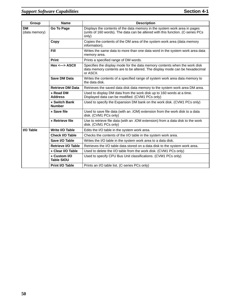| Group                      | <b>Name</b>                             | <b>Description</b>                                                                                                                                                     |
|----------------------------|-----------------------------------------|------------------------------------------------------------------------------------------------------------------------------------------------------------------------|
| <b>DM</b><br>(data memory) | Go To Page                              | Displays the contents of the data memory in the system work area in pages<br>(units of 160 words). The data can be altered with this function. (C-series PCs<br>only)  |
|                            | Copy                                    | Copies the contents of the DM area of the system work area (data memory<br>information).                                                                               |
|                            | Fill                                    | Writes the same data to more than one data word in the system work area data<br>memory area.                                                                           |
|                            | <b>Print</b>                            | Prints a specified range of DM words.                                                                                                                                  |
|                            | $Hex \leftarrow > ASCII$                | Specifies the display mode for the data memory contents when the work disk<br>data memory contents are to be altered. The display mode can be hexadecimal<br>or ASCII. |
|                            | Save DM Data                            | Writes the contents of a specified range of system work area data memory to<br>the data disk.                                                                          |
|                            | <b>Retrieve DM Data</b>                 | Retrieves the saved data disk data memory to the system work area DM area.                                                                                             |
|                            | $\star$ Read DM<br><b>Address</b>       | Used to display DM data from the work disk up to 160 words at a time.<br>Displayed data can be modified. (CVM1 PCs only)                                               |
|                            | $\star$ Switch Bank<br><b>Number</b>    | Used to specify the Expansion DM bank on the work disk. (CVM1 PCs only)                                                                                                |
|                            | $\star$ Save file                       | Used to save file data (with an .IOM) extension from the work disk to a data<br>disk. (CVM1 PCs only)                                                                  |
|                            | $\star$ Retrieve file                   | Use to retrieve file data (with an .IOM extension) from a data disk to the work<br>disk. (CVM1 PCs only)                                                               |
| I/O Table                  | Write I/O Table                         | Edits the I/O table in the system work area.                                                                                                                           |
|                            | <b>Check I/O Table</b>                  | Checks the contents of the I/O table in the system work area.                                                                                                          |
|                            | Save I/O Table                          | Writes the I/O table in the system work area to a data disk.                                                                                                           |
|                            | <b>Retrieve I/O Table</b>               | Retrieves the I/O table data stored on a data disk to the system work area.                                                                                            |
|                            | ★ Clear I/O Table                       | Used to delete the I/O table from the work disk. (CVM1 PCs only)                                                                                                       |
|                            | $\star$ Custom I/O<br><b>Table SIOU</b> | Used to specify CPU Bus Unit classifications. (CVM1 PCs only)                                                                                                          |
|                            | <b>Print I/O Table</b>                  | Prints an I/O table list. (C-series PCs only)                                                                                                                          |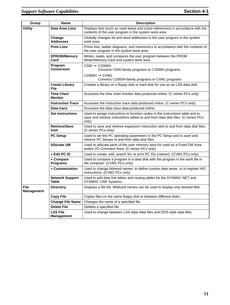| Group                            | Name                                 | <b>Description</b>                                                                                                                                                          |
|----------------------------------|--------------------------------------|-----------------------------------------------------------------------------------------------------------------------------------------------------------------------------|
| <b>Utility</b>                   | Data Area Lists                      | Displays lists (such as used areas and cross-references) in accordance with the<br>contents of the user program in the system work area.                                    |
|                                  | Change<br><b>Addresses</b>           | Globally changes bit and word addresses in the user program in the system<br>work area.                                                                                     |
|                                  | <b>Print Lists</b>                   | Prints lists, ladder diagrams, and mnemonics in accordance with the contents of<br>the user program in the system work area.                                                |
|                                  | <b>EPROM/Memory</b><br>Card          | Writes, reads, and compares the user program between the PROM<br>Writer/Memory Card and system work area.                                                                   |
|                                  | Program<br><b>Conversion</b>         | $C500 \rightarrow C2000H$ :<br>Converts C500-family programs to C2000H programs.                                                                                            |
|                                  |                                      | $C2000H \rightarrow CVM1$ :<br>Converts C2000H-family programs to CVM1 programs                                                                                             |
|                                  | <b>Create Library</b><br><b>File</b> | Creates a library on a floppy disk or hard disk for use as an LSS data disk.                                                                                                |
|                                  | <b>Time Chart</b><br><b>Monitor</b>  | Accesses the time chart monitor data produced online. (C-series PCs only)                                                                                                   |
|                                  | <b>Instruction Trace</b>             | Accesses the instruction trace data produced online. (C-series PCs only)                                                                                                    |
|                                  | Data trace                           | Accesses the data trace data produced online.                                                                                                                               |
|                                  | <b>Set Instructions</b>              | Used to assign instructions to function codes in the instructions table and to<br>save and retrieve instructions tables to and from data disk files. (C-series PCs<br>only) |
|                                  | <b>Retrieve/Save</b><br>Instr        | Used to save and retrieve expansion instruction sets to and from data disk files.<br>(C-series PCs only)                                                                    |
|                                  | <b>PC Setup</b>                      | Used to set the PC operating parameters in the PC Setup and to save and<br>retrieve PC Setups to and from data disk files.                                                  |
|                                  | <b>Allocate UM</b>                   | Used to allocate parts of the user memory area for used as a Fixed DM Area<br>and/or I/O Comment Area. (C-series PCs only)                                                  |
|                                  | ★ Edit PC ID                         | Used to create, edit, search for, or print PC IDs (names). (CVM1 PCs only)                                                                                                  |
|                                  | $\star$ Compare<br><b>Programs</b>   | Used to compare a program in a data disk with the program in the work file in<br>the computer. (CVM1 PCs only)                                                              |
|                                  | $\star$ Customization                | Used to change bit/word names, to define custom data areas, or to register HIS<br>instructions. (CVM1 PCs only)                                                             |
|                                  | <b>Network Support</b><br>Table      | Used to edit data link tables and routing tables for the SYSMAC NET and<br>SYSMAC LINK Systems.                                                                             |
| <b>File</b><br><b>Management</b> | <b>Directory</b>                     | Displays a file list. Wildcard names can be used to display only desired files.                                                                                             |
|                                  | <b>Copy File</b>                     | Copies files on the same floppy disk or between different disks.                                                                                                            |
|                                  | <b>Change File Name</b>              | Changes the name of a specified file.                                                                                                                                       |
|                                  | <b>Delete File</b>                   | Deletes a specified file.                                                                                                                                                   |
|                                  | <b>LSS File</b><br><b>Management</b> | Used to change between LSS-style data files and DOS-style data files.                                                                                                       |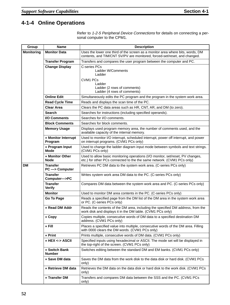# <span id="page-63-0"></span>**4-1-4 Online Operations**

Refer to [1-2-5 Peripheral Device Connections](#page-23-0) for details on connecting a personal computer to the CPM1.

| Group             | <b>Name</b>                           | <b>Description</b>                                                                                                                                          |
|-------------------|---------------------------------------|-------------------------------------------------------------------------------------------------------------------------------------------------------------|
| <b>Monitoring</b> | <b>Monitor Data</b>                   | Uses the lower one third of the screen as a monitor area where bits, words, DM<br>contents, and TIM/CNT SV/PV are monitored, forced-set/reset, and changed. |
|                   | <b>Transfer Program</b>               | Transfers and compares the user program between the computer and PC.                                                                                        |
|                   | <b>Change Display</b>                 | C-series PCs<br>Ladder W/Comments<br>Ladder<br>CVM1 PCs                                                                                                     |
|                   |                                       | Ladder<br>Ladder (2 rows of comments)<br>Ladder (4 rows of comments)                                                                                        |
|                   | <b>Online Edit</b>                    | Simultaneously edits the PC program and the program in the system work area.                                                                                |
|                   | <b>Read Cycle Time</b>                | Reads and displays the scan time of the PC.                                                                                                                 |
|                   | <b>Clear Area</b>                     | Clears the PC data areas such as HR, CNT, AR, and DM (to zero).                                                                                             |
|                   | <b>Search</b>                         | Searches for instructions (including specified operands).                                                                                                   |
|                   | <b>I/O Comments</b>                   | Searches for I/O comments.                                                                                                                                  |
|                   | <b>Block Comments</b>                 | Searches for block comments.                                                                                                                                |
|                   | <b>Memory Usage</b>                   | Displays used program memory area, the number of comments used, and the<br>available capacity of the internal memory.                                       |
|                   | $\star$ Monitor Interrupt<br>Program  | Used to monitor I/O interrupt, scheduled interrupt, power off interrupt, and power<br>on interrupt programs. (CVM1 PCs only)                                |
|                   | ★ Program Input<br>Mode               | Used to change the ladder diagram input mode between symbols and text strings.<br>(CVM1 PCs only)                                                           |
|                   | $\star$ Monitor Other<br><b>Node</b>  | Used to allow basic monitoring operations (I/O monitor, set/reset, PV changes,<br>etc.) for other PCs connected to the the same network. (CVM1 PCs only)    |
| <b>DM</b>         | <b>Transfer</b><br>PC -> Computer     | Retrieves PC DM data to the system work area. (C-series PCs only)                                                                                           |
|                   | <b>Transfer</b><br>Computer->PC       | Writes system work area DM data to the PC. (C-series PCs only)                                                                                              |
|                   | <b>Transfer</b><br><b>Verify</b>      | Compares DM data between the system work area and PC. (C-series PCs only)                                                                                   |
|                   | <b>Monitor</b>                        | Used to monitor DM area contents in the PC. (C-series PCs only)                                                                                             |
|                   | Go To Page                            | Reads a specified page from the DM list of the DM area in the system work area<br>or PC. (C-series PCs only)                                                |
|                   | ★ Read DM Addr                        | Reads the contents of the DM area, including the specified DM address, from the<br>work disk and displays it in the DM table. (CVM1 PCs only)               |
|                   | $\star$ Copy                          | Copies multiple, consecutive words of DM data to a specified destination DM<br>address. (CVM1 PCs only)                                                     |
|                   | $\star$ Fill                          | Places a specified value into multiple, consecutive words of the DM area. Filling<br>with 0000 clears the DM words. (CVM1 PCs only)                         |
|                   | $\star$ Print                         | Prints multiple, consecutive words of DM data. (CVM1 PCs only)                                                                                              |
|                   | ★ HEX <-> ASCII                       | Specified inputs using hexadecimal or ASCII. The mode set will be displayed in<br>the top-right of the screen. (CVM1 PCs only)                              |
|                   | <b>★ Switch Bank</b><br><b>Number</b> | Switches editing between the standard DM and EM banks. (CVM1 PCs only)                                                                                      |
|                   | ★ Save DM data                        | Saves the DM data from the work disk to the data disk or hard disk. (CVM1 PCs<br>only)                                                                      |
|                   | $\star$ Retrieve DM data              | Retrieves the DM data on the data disk or hard disk to the work disk. (CVM1 PCs<br>only)                                                                    |
|                   | <b>★ Transfer DM</b>                  | Transfers and compares DM data between the SSS and the PC. (CVM1 PCs<br>only)                                                                               |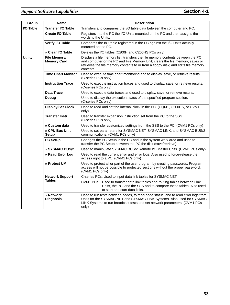| Group          | <b>Name</b>                           | <b>Description</b>                                                                                                                                                                                                                                                |
|----------------|---------------------------------------|-------------------------------------------------------------------------------------------------------------------------------------------------------------------------------------------------------------------------------------------------------------------|
| I/O Table      | <b>Transfer I/O Table</b>             | Transfers and compares the I/O table data between the computer and PC.                                                                                                                                                                                            |
|                | <b>Create I/O Table</b>               | Registers into the PC the I/O Units mounted on the PC and then assigns the<br>words to the Units.                                                                                                                                                                 |
|                | Verify I/O Table                      | Compares the I/O table registered in the PC against the I/O Units actually<br>mounted on the PC.                                                                                                                                                                  |
|                | ★ Clear I/O Table                     | Deletes the I/O tables (C200H and C200HS PCs only)                                                                                                                                                                                                                |
| <b>Utility</b> | File Memory/<br><b>Memory Card</b>    | Displays a file memory list; transfers the file memory contents between the PC<br>and computer or the PC and File Memory Unit; clears the file memory; saves or<br>retrieves the file memory contents to or from a floppy disk; and edits file memory<br>contents |
|                | <b>Time Chart Monitor</b>             | Used to execute time chart monitoring and to display, save, or retrieve results.<br>(C-series PCs only)                                                                                                                                                           |
|                | <b>Instruction Trace</b>              | Used to execute instruction traces and used to display, save, or retrieve results.<br>(C-series PCs only)                                                                                                                                                         |
|                | <b>Data Trace</b>                     | Used to execute data traces and used to display, save, or retrieve results.                                                                                                                                                                                       |
|                | Debug                                 | Used to display the execution status of the specified program section.<br>(C-series PCs only)                                                                                                                                                                     |
|                | <b>Display/Set Clock</b>              | Used to read and set the internal clock in the PC. (CQM1, C200HS, or CVM1<br>only)                                                                                                                                                                                |
|                | <b>Transfer Instr</b>                 | Used to transfer expansion instruction set from the PC to the SSS.<br>(C-series PCs only)                                                                                                                                                                         |
|                | $\star$ Custom data                   | Used to transfer customized settings from the SSS to the PC. (CVM1 PCs only)                                                                                                                                                                                      |
|                | <b>★ CPU Bus Unit</b><br><b>Setup</b> | Used to set parameters for SYSMAC NET, SYSMAC LINK, and SYSMAC BUS/2<br>communications. (CVM1 PCs only)                                                                                                                                                           |
|                | <b>PC Setup</b>                       | Changes the PC Setup in the PC and in the system work area and used to<br>transfer the PC Setup between the PC the disk (save/retrieve).                                                                                                                          |
|                | ★ SYSMAC BUS/2                        | Used to manipulate SYSMAC BUS/2 Remote I/O Master Units. (CVM1 PCs only)                                                                                                                                                                                          |
|                | * Read Error Log                      | Used to read the current error and error logs. Also used to force-release the<br>access right to a PC. (CVM1 PCs only)                                                                                                                                            |
|                | $\star$ Protect UM                    | Used to protect all or part of the user program by creating passwords. Program<br>access will not be possible to protected sections without the proper password.<br>(CVM1 PCs only)                                                                               |
|                | <b>Network Support</b>                | C-series PCs: Used to input data link tables for SYSMAC NET.                                                                                                                                                                                                      |
|                | <b>Tables</b>                         | CVM1 PCs: Used to transfer data link tables and routing tables between Link<br>Units, the PC, and the SSS and to compare these tables. Also used<br>to start and start data links.                                                                                |
|                | $\star$ Network<br><b>Diagnosis</b>   | Used to run tests between nodes, to read node status, and to read error logs from<br>Units for the SYSMAC NET and SYSMAC LINK Systems. Also used for SYSMAC<br>LINK Systems to run broadcast tests and set network parameters. (CVM1 PCs<br>only)                 |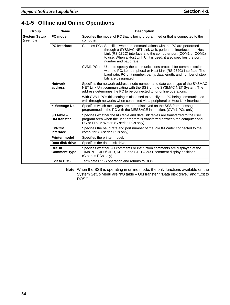# <span id="page-65-0"></span>**4-1-5 Offline and Online Operations**

| Group                             | <b>Name</b>                          | <b>Description</b>                                                                                                                                                                                                                                                                                         |  |  |  |
|-----------------------------------|--------------------------------------|------------------------------------------------------------------------------------------------------------------------------------------------------------------------------------------------------------------------------------------------------------------------------------------------------------|--|--|--|
| <b>System Setup</b><br>(see note) | PC model                             | Specifies the model of PC that is being programmed or that is connected to the<br>computer.                                                                                                                                                                                                                |  |  |  |
|                                   | <b>PC</b> Interface                  | C-series PCs: Specifies whether communications with the PC are performed<br>through a SYSMAC NET Link Unit, peripheral interface, or a Host<br>Link (RS-232C) interface and the computer port (COM1 or COM2)<br>to use. When a Host Link Unit is used, it also specifies the port<br>number and baud rate. |  |  |  |
|                                   |                                      | CVM1 PCs:<br>Used to specify the communications protocol for communications<br>with the PC, i.e., peripheral or Host Link (RS-232C) interface. The<br>baud rate, PC unit number, parity, data length, and number of stop<br>bits are designated.                                                           |  |  |  |
|                                   | <b>Network</b><br>address            | Specifies the network address, node number, and data code type of the SYSMAC<br>NET Link Unit communicating with the SSS on the SYSMAC NET System. The<br>address determines the PC to be connected to for online operations.                                                                              |  |  |  |
|                                   |                                      | With CVM1 PCs this setting is also used to specify the PC being communicated<br>with through networks when connected via a peripheral or Host Link interface.                                                                                                                                              |  |  |  |
|                                   | * Message No.                        | Specifies which messages are to be displayed on the SSS from messages<br>programmed in the PC with the MESSAGE instruction. (CVM1 PCs only)                                                                                                                                                                |  |  |  |
|                                   | $IO$ table $-$<br><b>UM</b> transfer | Specifies whether the I/O table and data link tables are transferred to the user<br>program area when the user program is transferred between the computer and<br>PC or PROM Writer. (C-series PCs only)                                                                                                   |  |  |  |
|                                   | <b>EPROM</b><br>interface            | Specifies the baud rate and port number of the PROM Writer connected to the<br>computer. (C-series PCs only)                                                                                                                                                                                               |  |  |  |
|                                   | <b>Printer model</b>                 | Specifies the printer model.                                                                                                                                                                                                                                                                               |  |  |  |
|                                   | Data disk drive                      | Specifies the data disk drive.                                                                                                                                                                                                                                                                             |  |  |  |
|                                   | <b>OutBit</b><br><b>Comment Type</b> | Specifies whether I/O comments or instruction comments are displayed at the<br>TIM/CNT, DIFU/DIFD, KEEP, and STEP/SNXT comment display positions.<br>(C-series PCs only)                                                                                                                                   |  |  |  |
|                                   | <b>Exit to DOS</b>                   | Terminates SSS operation and returns to DOS.                                                                                                                                                                                                                                                               |  |  |  |

**Note** When the SSS is operating in online mode, the only functions available on the System Setup Menu are "I/O table – UM transfer," "Data disk drive," and "Exit to DOS."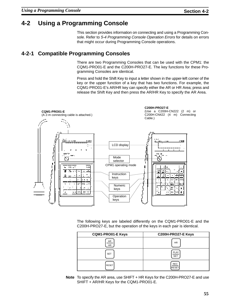# <span id="page-66-0"></span>**4-2 Using a Programming Console**

This section provides information on connecting and using a Programming Console. Refer to [5-4 Programming Console Operation Errors](#page-102-0) for details on errors that might occur during Programming Console operations.

## **4-2-1 Compatible Programming Consoles**

There are two Programming Consoles that can be used with the CPM1: the CQM1-PRO01-E and the C200H-PRO27-E. The key functions for these Programming Consoles are identical.

Press and hold the Shift Key to input a letter shown in the upper-left corner of the key or the upper function of a key that has two functions. For example, the CQM1-PRO01-E's AR/HR key can specify either the AR or HR Area; press and release the Shift Key and then press the AR/HR Key to specify the AR Area.



The following keys are labeled differently on the CQM1-PRO01-E and the C200H-PRO27-E, but the operation of the keys in each pair is identical.

| <b>CQM1-PRO01-E Keys</b> | C200H-PRO27-E Keys         |
|--------------------------|----------------------------|
| AR<br><b>HR</b>          | <b>HR</b>                  |
| <b>SET</b>               | PLAY<br><b>SET</b>         |
| <b>RESET</b>             | <b>REC</b><br><b>RESET</b> |

**Note** To specify the AR area, use SHIFT + HR Keys for the C200H-PRO27-E and use SHIFT + AR/HR Keys for the CQM1-PRO01-E.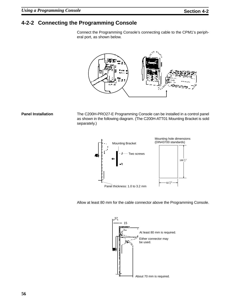# <span id="page-67-0"></span>**4-2-2 Connecting the Programming Console**

Connect the Programming Console's connecting cable to the CPM1's peripheral port, as shown below.



**Panel Installation** The C200H-PRO27-E Programming Console can be installed in a control panel as shown in the following diagram. (The C200H-ATT01 Mounting Bracket is sold separately.)



Allow at least 80 mm for the cable connector above the Programming Console.

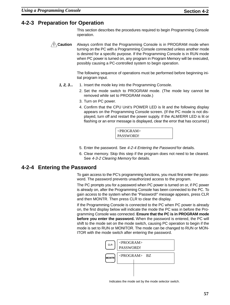## <span id="page-68-0"></span>**4-2-3 Preparation for Operation**

This section describes the procedures required to begin Programming Console operation.

**/!∖Caution** Always confirm that the Programming Console is in PROGRAM mode when turning on the PC with a Programming Console connected unless another mode is desired for a specific purpose. If the Programming Console is in RUN mode when PC power is turned on, any program in Program Memory will be executed, possibly causing a PC-controlled system to begin operation.

> The following sequence of operations must be performed before beginning initial program input.

- **1, 2, 3...** 1. Insert the mode key into the Programming Console.
	- 2. Set the mode switch to PROGRAM mode. (The mode key cannot be removed while set to PROGRAM mode.)
	- 3. Turn on PC power.
	- 4. Confirm that the CPU Unit's POWER LED is lit and the following display appears on the Programming Console screen. (If the PC mode is not displayed, turn off and restart the power supply. If the ALM/ERR LED is lit or flashing or an error message is displayed, clear the error that has occurred.)

| <program></program> |  |
|---------------------|--|
| PASSWORD!           |  |

- 5. Enter the password. See 4-2-4 Entering the Password for details.
- 6. Clear memory. Skip this step if the program does not need to be cleared. See [4-3-2 Clearing Memory](#page-71-0) for details.

#### **4-2-4 Entering the Password**

To gain access to the PC's programming functions, you must first enter the password. The password prevents unauthorized access to the program.

The PC prompts you for a password when PC power is turned on or, if PC power is already on, after the Programming Console has been connected to the PC. To gain access to the system when the "Password!" message appears, press CLR and then MONTR. Then press CLR to clear the display.

If the Programming Console is connected to the PC when PC power is already on, the first display below will indicate the mode the PC was in before the Programming Console was connected. **Ensure that the PC is in PROGRAM mode before you enter the password.** When the password is entered, the PC will shift to the mode set on the mode switch, causing PC operation to begin if the mode is set to RUN or MONITOR. The mode can be changed to RUN or MON-ITOR with the mode switch after entering the password.



Indicates the mode set by the mode selector switch.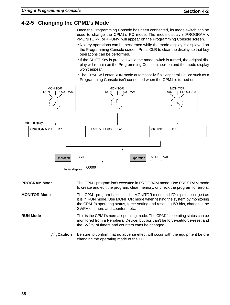## <span id="page-69-0"></span>**4-2-5 Changing the CPM1's Mode**

Once the Programming Console has been connected, its mode switch can be used to change the CPM1's PC mode. The mode display (<PROGRAM>, <MONITOR>, or <RUN>) will appear on the Programming Console screen.

- No key operations can be performed while the mode display is displayed on the Programming Console screen. Press CLR to clear the display so that key operations can be performed.
- If the SHIFT Key is pressed while the mode switch is turned, the original display will remain on the Programming Console's screen and the mode display won't appear.
- The CPM1 will enter RUN mode automatically if a Peripheral Device such as a Programming Console isn't connected when the CPM1 is turned on.



**/!∖** Caution Be sure to confirm that no adverse effect will occur with the equipment before changing the operating mode of the PC.

the SV/PV of timers and counters can't be changed.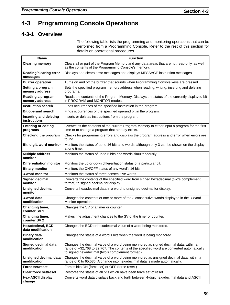# <span id="page-70-0"></span>**4-3 Programming Console Operations**

# **4-3-1 Overview**

The following table lists the programming and monitoring operations that can be performed from a Programming Console. Refer to the rest of this section for details on operational procedures.

| <b>Name</b>                                   | <b>Function</b>                                                                                                                                                                                                                        |  |  |
|-----------------------------------------------|----------------------------------------------------------------------------------------------------------------------------------------------------------------------------------------------------------------------------------------|--|--|
| <b>Clearing memory</b>                        | Clears all or part of the Program Memory and any data areas that are not read-only, as well<br>as the contents of the Programming Console's memory.                                                                                    |  |  |
| <b>Reading/clearing error</b><br>messages     | Displays and clears error messages and displays MESSAGE instruction messages.                                                                                                                                                          |  |  |
| <b>Buzzer operation</b>                       | Turns on and off the buzzer that sounds when Programming Console keys are pressed.                                                                                                                                                     |  |  |
| Setting a program<br>memory address           | Sets the specified program memory address when reading, writing, inserting and deleting<br>programs.                                                                                                                                   |  |  |
| Reading a program<br>memory address           | Reads the contents of the Program Memory. Displays the status of the currently displayed bit<br>in PROGRAM and MONITOR modes.                                                                                                          |  |  |
| <b>Instruction search</b>                     | Finds occurrences of the specified instruction in the program.                                                                                                                                                                         |  |  |
| <b>Bit operand search</b>                     | Finds occurrences of the specified operand bit in the program.                                                                                                                                                                         |  |  |
| <b>Inserting and deleting</b><br>instructions | Inserts or deletes instructions from the program.                                                                                                                                                                                      |  |  |
| <b>Entering or editing</b><br>programs        | Overwrites the contents of the current Program Memory to either input a program for the first<br>time or to change a program that already exists.                                                                                      |  |  |
| Checking the program                          | Checks for programming errors and displays the program address and error when errors are<br>found.                                                                                                                                     |  |  |
| Bit, digit, word monitor                      | Monitors the status of up to 16 bits and words, although only 3 can be shown on the display<br>at one time.                                                                                                                            |  |  |
| <b>Multiple address</b><br>monitor            | Monitors the status of up to 6 bits and words simultaneously.                                                                                                                                                                          |  |  |
| <b>Differentiation monitor</b>                | Monitors the up or down differentiation status of a particular bit.                                                                                                                                                                    |  |  |
| <b>Binary monitor</b>                         | Monitors the ON/OFF status of any word's 16 bits.                                                                                                                                                                                      |  |  |
| 3-word monitor                                | Monitors the status of three consecutive words.                                                                                                                                                                                        |  |  |
| <b>Signed decimal</b><br>monitor              | Converts the contents of the specified word from signed hexadecimal (two's complement<br>format) to signed decimal for display.                                                                                                        |  |  |
| <b>Unsigned decimal</b><br>monitor            | Converts hexadecimal data in a word to unsigned decimal for display.                                                                                                                                                                   |  |  |
| 3-word data<br>modification                   | Changes the contents of one or more of the 3 consecutive words displayed in the 3-Word<br>Monitor operation.                                                                                                                           |  |  |
| Changing timer,<br>counter SV 1               | Changes the SV of a timer or counter.                                                                                                                                                                                                  |  |  |
| Changing timer,<br>counter SV 2               | Makes fine adjustment changes to the SV of the timer or counter.                                                                                                                                                                       |  |  |
| <b>Hexadecimal, BCD</b><br>data modification  | Changes the BCD or hexadecimal value of a word being monitored.                                                                                                                                                                        |  |  |
| <b>Binary data</b><br>modification            | Changes the status of a word's bits when the word is being monitored.                                                                                                                                                                  |  |  |
| Signed decimal data<br>modification           | Changes the decimal value of a word being monitored as signed decimal data, within a<br>range of -32,768 to 32,767. The contents of the specified word are converted automatically<br>to signed hexadecimal (two's complement format.) |  |  |
| <b>Unsigned decimal data</b><br>modification  | Changes the decimal value of a word being monitored as unsigned decimal data, within a<br>range of 0 to 65,535. A change into hexadecimal data is made automatically.                                                                  |  |  |
| Force set/reset                               | Forces bits ON (force set) or OFF (force reset.)                                                                                                                                                                                       |  |  |
| Clear force set/reset                         | Restores the status of all bits which have been force set of reset.                                                                                                                                                                    |  |  |
| <b>Hex-ASCII display</b><br>change            | Converts word data displays back and forth between 4-digit hexadecimal data and ASCII.                                                                                                                                                 |  |  |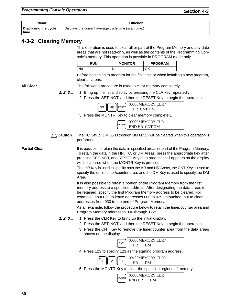<span id="page-71-0"></span>

| <b>Name</b>                  | <b>Function</b><br>Displays the current average cycle time (scan time.)                                                                                                                                                            |  |  |
|------------------------------|------------------------------------------------------------------------------------------------------------------------------------------------------------------------------------------------------------------------------------|--|--|
| Displaying the cycle<br>time |                                                                                                                                                                                                                                    |  |  |
| 4-3-2 Clearing Memory        |                                                                                                                                                                                                                                    |  |  |
|                              | This operation is used to clear all or part of the Program Memory and any data<br>areas that are not read-only, as well as the contents of the Programming Con-<br>sole's memory. This operation is possible in PROGRAM mode only. |  |  |

| <b>RUN</b> | <b>MONITOR</b> | <b>PROGRAM</b> |
|------------|----------------|----------------|
| l No       | No             | ОK             |

Before beginning to program for the first time or when installing a new program, clear all areas.

- **All Clear** The following procedure is used to clear memory completely.
	- **1, 2, 3...** 1. Bring up the initial display by pressing the CLR key repeatedly.
		- 2. Press the SET, NOT, and then the RESET Key to begin the operation.

| SET    NOT   RESET |  | 00000MEMORY CLR?<br>HR CNT DM |
|--------------------|--|-------------------------------|
|                    |  |                               |

3. Press the MONTR Key to clear memory completely.





The PC Setup (DM 6600 through DM 6655) will be cleared when this operation is performed.

**Partial Clear** It is possible to retain the data in specified areas or part of the Program Memory. To retain the data in the HR, TC, or DM Areas, press the appropriate key after pressing SET, NOT, and RESET. Any data area that still appears on the display will be cleared when the MONTR Key is pressed.

> The HR Key is used to specify both the AR and HR Areas, the CNT Key is used to specify the entire timer/counter area, and the DM Key is used to specify the DM Area.

It is also possible to retain a portion of the Program Memory from the first memory address to a specified address. After designating the data areas to be retained, specify the first Program Memory address to be cleared. For example, input 030 to leave addresses 000 to 029 untouched, but to clear addresses from 030 to the end of Program Memory.

As an example, follow the procedure below to retain the timer/counter area and Program Memory addresses 000 through 122:

- **1, 2, 3...** 1. Press the CLR Key to bring up the initial display.
	- 2. Press the SET, NOT, and then the RESET Key to begin the operation.
	- 3. Press the CNT Key to remove the timer/counter area from the data areas shown on the display.

|  | $^{\circ}$ 00000MEMORY CLR? |  |  |  |
|--|-----------------------------|--|--|--|
|  | H <sub>R</sub>              |  |  |  |
|  |                             |  |  |  |

4. Press 123 to specify 123 as the starting program address.

|  | )0123MEMORY CLR? |  |  |
|--|------------------|--|--|
|  |                  |  |  |

5. Press the MONTR Key to clear the specified regions of memory.

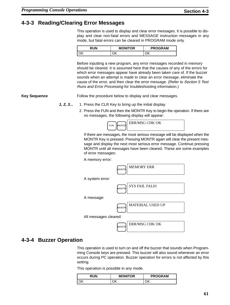#### <span id="page-72-0"></span>**4-3-3 Reading/Clearing Error Messages**

This operation is used to display and clear error messages. It is possible to display and clear non-fatal errors and MESSAGE instruction messages in any mode, but fatal errors can be cleared in PROGRAM mode only.

| RUN | <b>MONITOR</b> | <b>PROGRAM</b> |
|-----|----------------|----------------|
|     | ЭK             | DК             |

Before inputting a new program, any error messages recorded in memory should be cleared. It is assumed here that the causes of any of the errors for which error messages appear have already been taken care of. If the buzzer sounds when an attempt is made to clear an error message, eliminate the cause of the error, and then clear the error message. (Refer to [Section 5 Test](#page-96-0) [Runs and Error Processing](#page-96-0) for troubleshooting information.)

**Key Sequence** Follow the procedure below to display and clear messages.

- **1, 2, 3...** 1. Press the CLR Key to bring up the initial display.
	- 2. Press the FUN and then the MONTR Key to begin the operation. If there are no messages, the following display will appear:



If there are messages, the most serious message will be displayed when the MONTR Key is pressed. Pressing MONTR again will clear the present message and display the next most serious error message. Continue pressing MONTR until all messages have been cleared. These are some examples of error messages:

A memory error:



## **4-3-4 Buzzer Operation**

This operation is used to turn on and off the buzzer that sounds when Programming Console keys are pressed. This buzzer will also sound whenever an error occurs during PC operation. Buzzer operation for errors is not affected by this setting.

This operation is possible in any mode.

|    | <b>MONITOR</b> | <b>PROGRAM</b> |
|----|----------------|----------------|
| ١ĸ |                |                |

**IONT**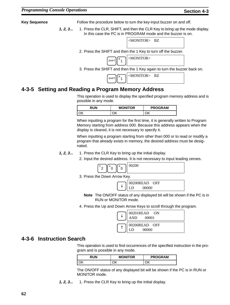**Key Sequence** Follow the procedure below to turn the key-input buzzer on and off.

**1, 2, 3...** 1. Press the CLR, SHIFT, and then the CLR Key to bring up the mode display. In this case the PC is in PROGRAM mode and the buzzer is on.

<MONITOR> BZ

2. Press the SHIFT and then the 1 Key to turn off the buzzer.

**SHIF** 

1 <MONITOR>

3. Press the SHIFT and then the 1 Key again to turn the buzzer back on.



#### **4-3-5 Setting and Reading a Program Memory Address**

This operation is used to display the specified program memory address and is possible in any mode.

| <b>RUN</b> | <b>MONITOR</b> | <b>PROGRAM</b> |
|------------|----------------|----------------|
|            | ١k             | ٦ĸ             |

When inputting a program for the first time, it is generally written to Program Memory starting from address 000. Because this address appears when the display is cleared, it is not necessary to specify it.

When inputting a program starting from other than 000 or to read or modify a program that already exists in memory, the desired address must be designated.

- **1, 2, 3...** 1. Press the CLR Key to bring up the initial display.
	- 2. Input the desired address. It is not necessary to input leading zeroes.

|  | )0200 |
|--|-------|
|--|-------|

3. Press the Down Arrow Key.



- **Note** The ON/OFF status of any displayed bit will be shown if the PC is in RUN or MONITOR mode.
- 4. Press the Up and Down Arrow Keys to scroll through the program.



#### **4-3-6 Instruction Search**

This operation is used to find occurrences of the specified instruction in the program and is possible in any mode.

| <b>RUN</b> | <b>MONITOR</b> | <b>PROGRAM</b> |
|------------|----------------|----------------|
| ∩ĸ         | . W            |                |

The ON/OFF status of any displayed bit will be shown if the PC is in RUN or MONITOR mode.

**1, 2, 3...** 1. Press the CLR Key to bring up the initial display.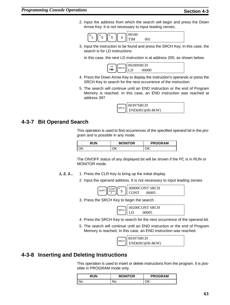2. Input the address from which the search will begin and press the Down Arrow Key. It is not necessary to input leading zeroes.



3. Input the instruction to be found and press the SRCH Key. In this case, the search is for LD instructions.

In this case, the next LD instruction is at address 200, as shown below.



- 4. Press the Down Arrow Key to display the instruction's operands or press the SRCH Key to search for the next occurrence of the instruction.
- 5. The search will continue until an END instruction or the end of Program Memory is reached. In this case, an END instruction was reached at address 397.

| $ $ SRCH $ $ | 00397SRCH                    |
|--------------|------------------------------|
|              | $\parallel$ END(001)(00.4KW) |

#### **4-3-7 Bit Operand Search**

This operation is used to find occurrences of the specified operand bit in the program and is possible in any mode.

| RUN | <b>MONITOR</b> | <b>PROGRAM</b> |
|-----|----------------|----------------|
| NК  | ОK             | DК             |

The ON/OFF status of any displayed bit will be shown if the PC is in RUN or MONITOR mode.

- **1, 2, 3...** 1. Press the CLR Key to bring up the initial display.
	- 2. Input the operand address. It is not necessary to input leading zeroes.



3. Press the SRCH Key to begin the search.



- 4. Press the SRCH Key to search for the next occurrence of the operand bit.
- 5. The search will continue until an END instruction or the end of Program Memory is reached. In this case, an END instruction was reached.



#### **4-3-8 Inserting and Deleting Instructions**

This operation is used to insert or delete instructions from the program. It is possible in PROGRAM mode only.

| IJΝ | <b>MONITOR</b> | <b>PROGRAM</b> |
|-----|----------------|----------------|
| No  | ٩o             | าk             |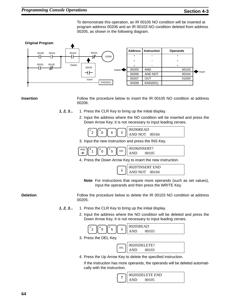To demonstrate this operation, an IR 00105 NO condition will be inserted at program address 00206 and an IR 00103 NO condition deleted from address 00205, as shown in the following diagram.



**Insertion** Follow the procedure below to insert the IR 00105 NO condition at address 00206.

- **1, 2, 3...** 1. Press the CLR Key to bring up the initial display.
	- 2. Input the address where the NO condition will be inserted and press the Down Arrow Key. It is not necessary to input leading zeroes.

|  |   | 1206READ |  |
|--|---|----------|--|
|  | s | ND NOT   |  |

3. Input the new instruction and press the INS Key.

| -<br>ш<br><b>AND</b><br>י<br><b>INS</b><br>- | EPT9 |
|----------------------------------------------|------|
| Ш<br>∽<br>◡<br><br>ш                         |      |

4. Press the Down Arrow Key to insert the new instruction.

| )0207INSERT END |        |
|-----------------|--------|
| AND NOT /       | (0110) |

**Note** For instructions that require more operands (such as set values), input the operands and then press the WRITE Key.

**Deletion** Follow the procedure below to delete the IR 00103 NO condition at address 00205.

- **1, 2, 3...** 1. Press the CLR Key to bring up the initial display.
	- 2. Input the address where the NO condition will be deleted and press the Down Arrow Key. It is not necessary to input leading zeroes.

| ≎<br>NZ.<br>֊ | ີ |
|---------------|---|

3. Press the DEL Key.



4. Press the Up Arrow Key to delete the specified instruction.

If the instruction has more operands, the operands will be deleted automatically with the instruction.

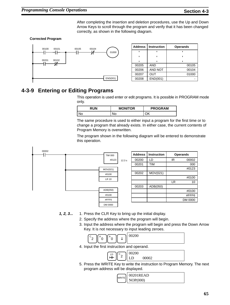After completing the insertion and deletion procedures, use the Up and Down Arrow Keys to scroll through the program and verify that it has been changed correctly, as shown in the following diagram.

#### **Corrected Program**



| <b>Address</b> | <b>Instruction</b> | <b>Operands</b> |
|----------------|--------------------|-----------------|
|                |                    |                 |
|                |                    |                 |
|                |                    |                 |
| 00205          | AND                | 00105           |
| 00206          | <b>AND NOT</b>     | 00104           |
| 00207          | OUT                | 01000           |
| 00208          | END(001)           |                 |

#### **4-3-9 Entering or Editing Programs**

This operation is used enter or edit programs. It is possible in PROGRAM mode only.

| <b>RUN</b> | <b>MONITOR</b> | <b>PROGRAM</b> |
|------------|----------------|----------------|
| No.        | No             | ОK             |

The same procedure is used to either input a program for the first time or to change a program that already exists. In either case, the current contents of Program Memory is overwritten.

The program shown in the following diagram will be entered to demonstrate this operation.



- **1, 2, 3...** 1. Press the CLR Key to bring up the initial display.
	- 2. Specify the address where the program will begin.
	- 3. Input the address where the program will begin and press the Down Arrow Key. It is not necessary to input leading zeroes.



4. Input the first instruction and operand.



5. Press the WRITE Key to write the instruction to Program Memory. The next program address will be displayed.

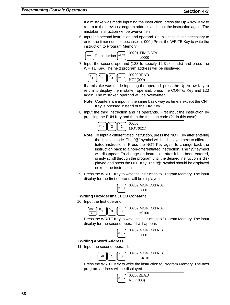If a mistake was made inputting the instruction, press the Up Arrow Key to return to the previous program address and input the instruction again. The mistaken instruction will be overwritten

6. Input the second instruction and operand. (In this case it isn't necessary to enter the timer number, because it's 000.) Press the WRITE Key to write the instruction to Program Memory.



7. Input the second operand (123 to specify 12.3 seconds) and press the WRITE Key. The next program address will be displayed.



If a mistake was made inputting the operand, press the Up Arrow Key to return to display the mistaken operand, press the CONT/# Key and 123 again. The mistaken operand will be overwritten.

- **Note** Counters are input in the same basic way as timers except the CNT Key is pressed instead of the TIM Key.
- 8. Input the third instruction and its operands. First input the instruction by pressing the FUN Key and then the function code (21 in this case).



- **Note** To input a differentiated instruction, press the NOT Key after entering the function code. The "@" symbol will be displayed next to differentiated instructions. Press the NOT Key again to change back the instruction back to a non-differentiated instruction. The "@" symbol will disappear. To change an instruction after it has been entered, simply scroll through the program until the desired instruction is displayed and press the NOT Key. The "@" symbol should be displayed next to the instruction.
- 9. Press the WRITE Key to write the instruction to Program Memory. The input display for the first operand will be displayed.



- **Writing Hexadecimal, BCD Constant**
- 10. Input the first operand.



Press the WRITE Key to write the instruction to Program Memory. The input display for the second operand will appear.



#### • **Writing a Word Address**

11. Input the second operand.



Press the WRITE Key to write the instruction to Program Memory. The next program address will be displayed.

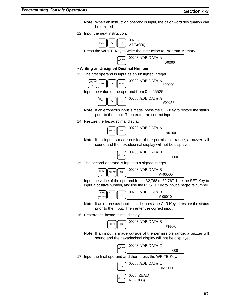- **Note** When an instruction operand is input, the bit or word designation can be omitted.
- 12. Input the next instruction.



Press the WRITE Key to write the instruction to Program Memory.

 $\left[\bigcap_{\text{WRITE}}\right]$  00203 ADB DATA A #0000

#### • **Writing an Unsigned Decimal Number**

13. The first operand is input as an unsigned integer.

| <b>CONT</b> | <b>SHIFT II</b> | TR. | Ш<br><b>NOT</b> | 00203 ADB DATA A<br>M M |
|-------------|-----------------|-----|-----------------|-------------------------|
|             |                 |     |                 |                         |

Input the value of the operand from 0 to 65535.

|   |   | ADR DATA<br>A |
|---|---|---------------|
| u | c |               |

- **Note** If an erroneous input is made, press the CLR Key to restore the status prior to the input. Then enter the correct input.
- 14. Restore the hexadecimal display.



**Note** If an input is made outside of the permissible range, a buzzer will sound and the hexadecimal display will not be displayed.



15. The second operand is input as a signed integer.



Input the value of the operand from –32,768 to 32,767. Use the SET Key to input a positive number, and use the RESET Key to input a negative number.



- **Note** If an erroneous input is made, press the CLR Key to restore the status prior to the input. Then enter the correct input.
- 16. Restore the hexadecimal display.



**Note** If an input is made outside of the permissible range, a buzzer will sound and the hexadecimal display will not be displayed.



 $\sum_{\text{WRITE}}$  00204READ NOP(000)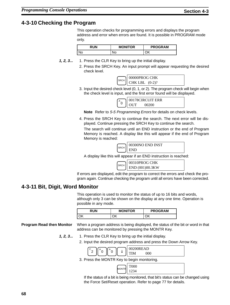#### <span id="page-79-0"></span>**4-3-10 Checking the Program**

This operation checks for programming errors and displays the program address and error when errors are found. It is possible in PROGRAM mode only.

| <b>RUN</b> | <b>MONITOR</b> | <b>PROGRAM</b> |
|------------|----------------|----------------|
| No.        | No             | ОK             |

- **1, 2, 3...** 1. Press the CLR Key to bring up the initial display.
	- 2. Press the SRCH Key. An input prompt will appear requesting the desired check level.



3. Input the desired check level (0, 1, or 2). The program check will begin when the check level is input, and the first error found will be displayed.

|            | 00178CIRCUIT ERR |  |
|------------|------------------|--|
| <b>OUT</b> | 00200            |  |

**Note** Refer to [5-5 Programming Errors](#page-102-0) for details on check levels.

4. Press the SRCH Key to continue the search. The next error will be displayed. Continue pressing the SRCH Key to continue the search.

The search will continue until an END instruction or the end of Program Memory is reached. A display like this will appear if the end of Program Memory is reached:



A display like this will appear if an END instruction is reached:

| SRCH $\left \begin{array}{c} 0.0310\text{PROG CHK} \\ \text{END } (0.01)00.3\text{KW} \end{array}\right $ |
|-----------------------------------------------------------------------------------------------------------|
|                                                                                                           |

If errors are displayed, edit the program to correct the errors and check the program again. Continue checking the program until all errors have been corrected.

#### **4-3-11 Bit, Digit, Word Monitor**

This operation is used to monitor the status of up to 16 bits and words, although only 3 can be shown on the display at any one time. Operation is possible in any mode.

| <b>RUN</b> | <b>MONITOR</b> | <b>PROGRAM</b> |
|------------|----------------|----------------|
| ∩K         | ∩ĸ             | ОK             |

**Program Read then Monitor** When a program address is being displayed, the status of the bit or word in that address can be monitored by pressing the MONTR Key.

- **1, 2, 3...** 1. Press the CLR Key to bring up the initial display.
	- 2. Input the desired program address and press the Down Arrow Key.



3. Press the MONTR Key to begin monitoring.



If the status of a bit is being monitored, that bit's status can be changed using the Force Set/Reset operation. [Refer to page 77 for details.](#page-88-0)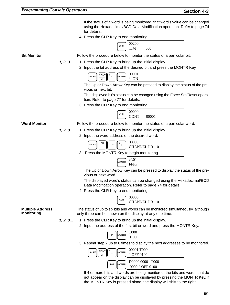If the status of a word is being monitored, that word's value can be changed using the Hexadecimal/BCD Data Modification operation. [Refer to page 74](#page-85-0) for details.

4. Press the CLR Key to end monitoring.



**Bit Monitor Follow the procedure below to monitor the status of a particular bit.** 

- **1, 2, 3...** 1. Press the CLR Key to bring up the initial display.
	- 2. Input the bit address of the desired bit and press the MONTR Key.

| <b>SHIFT</b> | <b>CONT</b> | II B | <b>AONTR</b> | )0001 |
|--------------|-------------|------|--------------|-------|
|              |             |      |              |       |

The Up or Down Arrow Key can be pressed to display the status of the previous or next bit.

The displayed bit's status can be changed using the Force Set/Reset operation. [Refer to page 77 for details.](#page-88-0)

3. Press the CLR Key to end monitoring.



- **Word Monitor** Follow the procedure below to monitor the status of a particular word.
	- **1, 2, 3...** 1. Press the CLR Key to bring up the initial display.
		- 2. Input the word address of the desired word.



3. Press the MONTR Key to begin monitoring.



The Up or Down Arrow Key can be pressed to display the status of the previous or next word.

The displayed word's status can be changed using the Hexadecimal/BCD Data Modification operation. [Refer to page 74 for details.](#page-85-0)

4. Press the CLR Key to end monitoring.



**Multiple Address Monitoring**

The status of up to six bits and words can be monitored simultaneously, although only three can be shown on the display at any one time.

- **1, 2, 3...** 1. Press the CLR Key to bring up the initial display.
	- 2. Input the address of the first bit or word and press the MONTR Key.



3. Repeat step 2 up to 6 times to display the next addresses to be monitored.



If 4 or more bits and words are being monitored, the bits and words that do not appear on the display can be displayed by pressing the MONTR Key. If the MONTR Key is pressed alone, the display will shift to the right.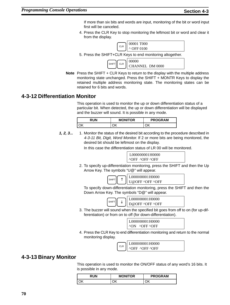If more than six bits and words are input, monitoring of the bit or word input first will be canceled.

<span id="page-81-0"></span>4. Press the CLR Key to stop monitoring the leftmost bit or word and clear it from the display.



5. Press the SHIFT+CLR Keys to end monitoring altogether.



**Note** Press the SHIFT + CLR Keys to return to the display with the multiple address monitoring state unchanged. Press the SHIFT + MONTR Keys to display the retained multiple address monitoring state. The monitoring states can be retained for 6 bits and words.

#### **4-3-12 Differentiation Monitor**

This operation is used to monitor the up or down differentiation status of a particular bit. When detected, the up or down differentiation will be displayed and the buzzer will sound. It is possible in any mode.

| RUN | <b>MONITOR</b> | <b>PROGRAM</b> |
|-----|----------------|----------------|
|     | าk             | ٦K             |

**1, 2, 3...** 1. Monitor the status of the desired bit according to the procedure described in [4-3-11 Bit, Digit, Word Monitor](#page-79-0). If 2 or more bits are being monitored, the desired bit should be leftmost on the display.

In this case the differentiation status of LR 00 will be monitored.



2. To specify up-differentiation monitoring, press the SHIFT and then the Up Arrow Key. The symbols "U@" will appear.

|  | $ $ L000000001H0000 |
|--|---------------------|
|  | I U@OFF ^OFF ^OFF   |

To specify down-differentiation monitoring, press the SHIFT and then the Down Arrow Key. The symbols "D@" will appear.



3. The buzzer will sound when the specified bit goes from off to on (for up-differentiation) or from on to off (for down-differentiation).

| L000000001H0000      |  |
|----------------------|--|
| <b>AON AOFF AOFF</b> |  |

4. Press the CLR Key to end differentiation monitoring and return to the normal monitoring display.



#### **4-3-13 Binary Monitor**

This operation is used to monitor the ON/OFF status of any word's 16 bits. It is possible in any mode.

| RUN | <b>MONITOR</b> | <b>PROGRAM</b> |
|-----|----------------|----------------|
| ΟK  | ∕اد            | ∩K             |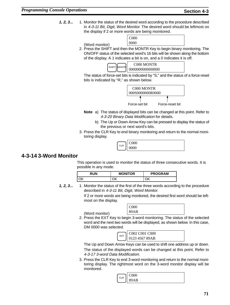<span id="page-82-0"></span>**1, 2, 3...** 1. Monitor the status of the desired word according to the procedure described in [4-3-11 Bit, Digit, Word Monitor](#page-79-0). The desired word should be leftmost on the display if 2 or more words are being monitored.



2. Press the SHIFT and then the MONTR Key to begin binary monitoring. The ON/OFF status of the selected word's 16 bits will be shown along the bottom of the display. A 1 indicates a bit is on, and a 0 indicates it is off.



The status of force-set bits is indicated by "S," and the status of a force-reset bits is indicated by "R," as shown below.



- **Note** a) The status of displayed bits can be changed at this point. Refer to [4-3-20 Binary Data Modification](#page-86-0) for details.
	- b) The Up or Down Arrow Key can be pressed to display the status of the previous or next word's bits.
- 3. Press the CLR Key to end binary monitoring and return to the normal monitoring display.



#### **4-3-14 3-Word Monitor**

This operation is used to monitor the status of three consecutive words. It is possible in any mode.

| <b>RUN</b> | <b>MONITOR</b> | <b>PROGRAM</b> |
|------------|----------------|----------------|
| ∩K         | ١V             | ОK             |

**1, 2, 3...** 1. Monitor the status of the first of the three words according to the procedure described in [4-3-11 Bit, Digit, Word Monitor](#page-79-0).

> If 2 or more words are being monitored, the desired first word should be leftmost on the display.

(Word monitor)

(Word monitor)

- C000 89AB 2. Press the EXT Key to begin 3-word monitoring. The status of the selected
- word and the next two words will be displayed, as shown below. In this case, DM 0000 was selected.



The Up and Down Arrow Keys can be used to shift one address up or down. The status of the displayed words can be changed at this point. Refer to 4-3-17 [3-word Data Modification](#page-84-0).

3. Press the CLR Key to end 3-word monitoring and return to the normal monitoring display. The rightmost word on the 3-word monitor display will be monitored.

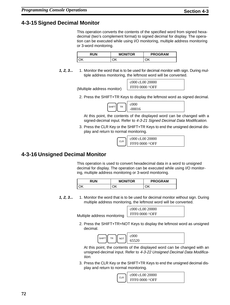#### **4-3-15 Signed Decimal Monitor**

This operation converts the contents of the specified word from signed hexadecimal (two's complement format) to signed decimal for display. The operation can be executed while using I/O monitoring, multiple address monitoring or 3-word monitoring.

| <b>RUN</b> | <b>MONITOR</b> | <b>PROGRAM</b> |
|------------|----------------|----------------|
|            | $\sim$         |                |

**1, 2, 3...** 1. Monitor the word that is to be used for decimal monitor with sign. During multiple address monitoring, the leftmost word will be converted.

(Multiple address monitor)

2. Press the SHIFT+TR Keys to display the leftmost word as signed decimal.

 c000 cL00 20000 FFF0 0000 ^OFF



At this point, the contents of the displayed word can be changed with a signed-decimal input. Refer to [4-3-21 Signed Decimal Data Modification](#page-86-0).

3. Press the CLR Key or the SHIFT+TR Keys to end the unsigned decimal display and return to normal monitoring.

| CLR | c000 cL00 20000 |
|-----|-----------------|
|     | FFF0 0000 ^OFF  |

#### **4-3-16 Unsigned Decimal Monitor**

This operation is used to convert hexadecimal data in a word to unsigned decimal for display. The operation can be executed while using I/O monitoring, multiple address monitoring or 3-word monitoring.

| RUN | <b>MONITOR</b> | <b>PROGRAM</b> |
|-----|----------------|----------------|
| ∩K  |                | ОK             |

**1, 2, 3...** 1. Monitor the word that is to be used for decimal monitor without sign. During multiple address monitoring, the leftmost word will be converted.

> Multiple address monitoring c000 cL00 20000 FFF0 0000 ^OFF

2. Press the SHIFT+TR+NOT Keys to display the leftmost word as unsigned decimal.



At this point, the contents of the displayed word can be changed with an unsigned-decimal input. Refer to [4-3-22 Unsigned Decimal Data Modifica](#page-87-0)[tion](#page-87-0).

3. Press the CLR Key or the SHIFT+TR Keys to end the unsigned decimal display and return to normal monitoring.

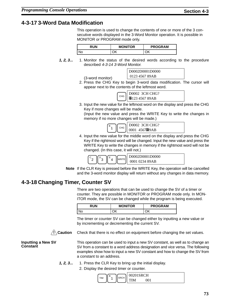#### <span id="page-84-0"></span>**4-3-17 3-Word Data Modification**

This operation is used to change the contents of one or more of the 3 consecutive words displayed in the 3-Word Monitor operation. It is possible in MONITOR or PROGRAM mode only.

| RIIN | <b>MONITOR</b> | <b>PROGRAM</b> |
|------|----------------|----------------|
| No   | DК             | ОK             |

(3-word monitor)

**1, 2, 3...** 1. Monitor the status of the desired words according to the procedure described [4-3-14 3-Word Monitor](#page-82-0).

| D0002D0001D0000 |
|-----------------|
| 0123 4567 89AB  |

2. Press the CHG Key to begin 3-word data modification. The cursor will appear next to the contents of the leftmost word.



3. Input the new value for the leftmost word on the display and press the CHG Key if more changes will be made.

(Input the new value and press the WRITE Key to write the changes in memory if no more changes will be made.)



4. Input the new value for the middle word on the display and press the CHG Key if the rightmost word will be changed. Input the new value and press the WRITE Key to write the changes in memory if the rightmost word will not be changed. (In this case, it will not.)



**Note** If the CLR Key is pressed before the WRITE Key, the operation will be cancelled and the 3-word monitor display will return without any changes in data memory.

## **4-3-18 Changing Timer, Counter SV**

There are two operations that can be used to change the SV of a timer or counter. They are possible in MONITOR or PROGRAM mode only. In MON-ITOR mode, the SV can be changed while the program is being executed.

| <b>RUN</b> | <b>MONITOR</b> | <b>PROGRAM</b> |
|------------|----------------|----------------|
| Nr         |                | DК             |

The timer or counter SV can be changed either by inputting a new value or by incrementing or decrementing the current SV.

**!**

Check that there is no effect on equipment before changing the set values.

**Inputting a New SV Constant**

This operation can be used to input a new SV constant, as well as to change an SV from a constant to a word address designation and vice versa. The following examples show how to input a new SV constant and how to change the SV from a constant to an address.

- **1, 2, 3...** 1. Press the CLR Key to bring up the initial display.
	- 2. Display the desired timer or counter.

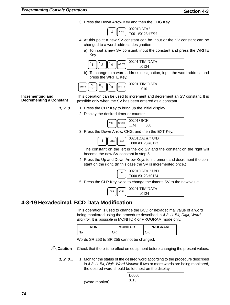<span id="page-85-0"></span>3. Press the Down Arrow Key and then the CHG Key.



- 4. At this point a new SV constant can be input or the SV constant can be changed to a word address designation
	- a) To input a new SV constant, input the constant and press the WRITE Key.



b) To change to a word address designation, input the word address and press the WRITE Key.



**Incrementing and Decrementing a Constant** This operation can be used to increment and decrement an SV constant. It is possible only when the SV has been entered as a constant.

- **1, 2, 3...** 1. Press the CLR Key to bring up the initial display.
	- 2. Display the desired timer or counter.



3. Press the Down Arrow, CHG, and then the EXT Key.



The constant on the left is the old SV and the constant on the right will become the new SV constant in step 5.

4. Press the Up and Down Arrow Keys to increment and decrement the constant on the right. (In this case the SV is incremented once.)

| $  00201$ DATA ? U/D         |
|------------------------------|
| $\parallel$ T000 #0123 #0124 |

5. Press the CLR Key twice to change the timer's SV to the new value.

| CLR II | <b>CLR</b> | 00201 TIM DATA |
|--------|------------|----------------|
|        |            |                |

#### **4-3-19 Hexadecimal, BCD Data Modification**

This operation is used to change the BCD or hexadecimal value of a word being monitored using the procedure described in [4-3-11 Bit, Digit, Word](#page-79-0) [Monitor](#page-79-0). It is possible in MONITOR or PROGRAM mode only.

| <b>RUN</b> | <b>MONITOR</b> | <b>PROGRAM</b> |
|------------|----------------|----------------|
| No         | ОK             | ОK             |

Words SR 253 to SR 255 cannot be changed.

(Word monitor)

/!∖Caution Check that there is no effect on equipment before changing the present values.

**1, 2, 3...** 1. Monitor the status of the desired word according to the procedure described in 4-3-11 [Bit, Digit, Word Monitor](#page-79-0). If two or more words are being monitored, the desired word should be leftmost on the display.

|                | __ |
|----------------|----|
| റററ<br>ı<br>້. |    |
| 10             |    |

**74**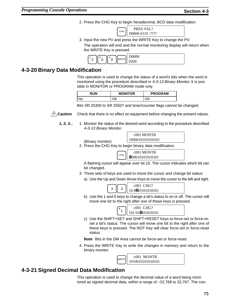2. Press the CHG Key to begin hexadecimal, BCD data modification.



3. Input the new PV and press the WRITE Key to change the PV.

The operation will end and the normal monitoring display will return when the WRITE Key is pressed.



### <span id="page-86-0"></span>**4-3-20 Binary Data Modification**

This operation is used to change the status of a word's bits when the word is monitored using the procedure described in [4-3-13 Binary Monitor](#page-81-0). It is possible in MONITOR or PROGRAM mode only.

| <b>RUN</b> | <b>MONITOR</b> | <b>PROGRAM</b> |
|------------|----------------|----------------|
| No         |                | DК             |

Bits SR 25300 to SR 25507 and timer/counter flags cannot be changed.



Check that there is no effect on equipment before changing the present values.

**1, 2, 3...** 1. Monitor the status of the desired word according to the procedure described [4-3-13 Binary Monitor](#page-81-0).



(BInary monitor) 2. Press the CHG Key to begin binary data modification.



A flashing cursor will appear over bit 15. The cursor indicates which bit can be changed.

- 3. Three sets of keys are used to move the cursor and change bit status:
	- a) Use the Up and Down Arrow Keys to move the cursor to the left and right.



b) Use the 1 and 0 keys to change a bit's status to on or off. The cursor will move one bit to the right after one of these keys is pressed.



c) Use the SHIFT+SET and SHIFT+RESET Keys to force-set or force-reset a bit's status. The cursor will move one bit to the right after one of these keys is pressed. The NOT Key will clear force-set or force-reset status.

**Note** Bits in the DM Area cannot be force-set or force-reset.

4. Press the WRITE Key to write the changes in memory and return to the binary monitor.



#### **4-3-21 Signed Decimal Data Modification**

This operation is used to change the decimal value of a word being monitored as signed decimal data, within a range of –32,768 to 32,767. The con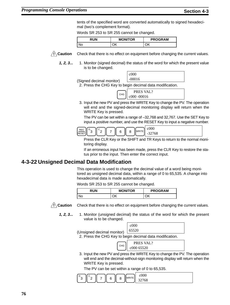tents of the specified word are converted automatically to signed hexadecimal (two's complement format).

Words SR 253 to SR 255 cannot be changed.

| <b>RUN</b> | <b>MONITOR</b> | <b>PROGRAM</b> |
|------------|----------------|----------------|
| No         | ОK             | ΟK             |

<span id="page-87-0"></span>

Check that there is no effect on equipment before changing the current values.

**1, 2, 3...** 1. Monitor (signed decimal) the status of the word for which the present value is to be changed.

|                          | c000                                                     |  |
|--------------------------|----------------------------------------------------------|--|
| (Signed decimal monitor) | $-00016$                                                 |  |
|                          | 2. Press the CHG Key to begin decimal data modification. |  |



3. Input the new PV and press the WRITE Key to change the PV. The operation will end and the signed-decimal monitoring display will return when the WRITE Key is pressed.

The PV can be set within a range of –32,768 and 32,767. Use the SET Key to input a positive number, and use the RESET Key to input a negative number.



Press the CLR Key or the SHIFT and TR Keys to return to the normal monitoring display.

If an erroneous input has been made, press the CLR Key to restore the status prior to the input. Then enter the correct input.

#### **4-3-22 Unsigned Decimal Data Modification**

This operation is used to change the decimal value of a word being monitored as unsigned decimal data, within a range of 0 to 65,535. A change into hexadecimal data is made automatically.

Words SR 253 to SR 255 cannot be changed.

| <b>RUN</b> | <b>MONITOR</b> | <b>PROGRAM</b> |
|------------|----------------|----------------|
| No         | 0k             | ЭK             |



Check that there is no effect on equipment before changing the current values.

**1, 2, 3...** 1. Monitor (unsigned decimal) the status of the word for which the present value is to be changed.

| c000  |  |  |
|-------|--|--|
| 65520 |  |  |

(Unsigned decimal monitor) 2. Press the CHG Key to begin decimal data modification.



3. Input the new PV and press the WRITE Key to change the PV. The operation will end and the decimal-without-sign monitoring display will return when the WRITE Key is pressed.

The PV can be set within a range of 0 to 65,535.

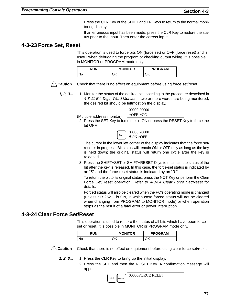Press the CLR Key or the SHIFT and TR Keys to return to the normal monitoring display.

If an erroneous input has been made, press the CLR Key to restore the status prior to the input. Then enter the correct input.

#### <span id="page-88-0"></span>**4-3-23 Force Set, Reset**

This operation is used to force bits ON (force set) or OFF (force reset) and is useful when debugging the program or checking output wiring. It is possible in MONITOR or PROGRAM mode only.

| <b>RUN</b> | <b>MONITOR</b> | <b>PROGRAM</b> |
|------------|----------------|----------------|
| No         | าk             | ١V             |

**!**

**Caution** Check that there is no effect on equipment before using force set/reset.

**1, 2, 3...** 1. Monitor the status of the desired bit according to the procedure described in [4-3-11 Bit, Digit, Word Monitor](#page-79-0). If two or more words are being monitored, the desired bit should be leftmost on the display.

| 00000 20000     |
|-----------------|
| <b>AOFF AON</b> |

(Multiple address monitor) 2. Press the SET Key to force the bit ON or press the RESET Key to force the bit OFF.



The cursor in the lower left corner of the display indicates that the force set/ reset is in progress. Bit status will remain ON or OFF only as long as the key is held down; the original status will return one cycle after the key is released.

3. Press the SHIFT+SET or SHIFT+RESET Keys to maintain the status of the bit after the key is released. In this case, the force-set status is indicated by an "S" and the force-reset status is indicated by an "R."

To return the bit to its original status, press the NOT Key or perform the Clear Force Set/Reset operation. Refer to 4-3-24 Clear Force Set/Reset for details.

Forced status will also be cleared when the PC's operating mode is changed (unless SR 25211 is ON, in which case forced status will not be cleared when changing from PROGRAM to MONITOR mode) or when operation stops as the result of a fatal error or power interruption.

#### **4-3-24 Clear Force Set/Reset**

This operation is used to restore the status of all bits which have been force set or reset. It is possible in MONITOR or PROGRAM mode only.

| <b>RUN</b> | <b>MONITOR</b> | <b>PROGRAM</b> |
|------------|----------------|----------------|
| No         | OK             | าк<br>◡        |

**/!∖Caution** Check that there is no effect on equipment before using clear force set/reset.

- **1, 2, 3...** 1. Press the CLR Key to bring up the initial display.
	- 2. Press the SET and then the RESET Key. A confirmation message will appear.

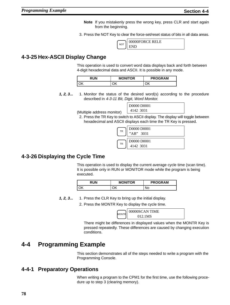- **Note** If you mistakenly press the wrong key, press CLR and start again from the beginning.
- 3. Press the NOT Key to clear the force-set/reset status of bits in all data areas.

| <b>NOT</b> | 00000FORCE RELE |
|------------|-----------------|
|            | END             |

#### **4-3-25 Hex-ASCII Display Change**

This operation is used to convert word data displays back and forth between 4-digit hexadecimal data and ASCII. It is possible in any mode.

| RUN | <b>MONITOR</b> | <b>PROGRAM</b> |
|-----|----------------|----------------|
| nκ  | ٦k             | ΟK             |

**1, 2, 3...** 1. Monitor the status of the desired word(s) according to the procedure described in [4-3-11 Bit, Digit, Word Monitor](#page-79-0).

| D0000 D0001 |  |
|-------------|--|
| 4142 3031   |  |

2. Press the TR Key to switch to ASCII display. The display will toggle between hexadecimal and ASCII displays each time the TR Key is pressed.

| <b>TR</b> | D0000 D0001<br>"AB" 3031 |
|-----------|--------------------------|
| <b>TR</b> | D0000 D0001<br>4142 3031 |

#### **4-3-26 Displaying the Cycle Time**

This operation is used to display the current average cycle time (scan time). It is possible only in RUN or MONITOR mode while the program is being executed.

| <b>RUN</b> | <b>MONITOR</b> | <b>PROGRAM</b> |
|------------|----------------|----------------|
| OK         | ٦ĸ             | No             |

**1, 2, 3...** 1. Press the CLR Key to bring up the initial display.

(Multiple address monitor)

2. Press the MONTR Key to display the cycle time.



There might be differences in displayed values when the MONTR Key is pressed repeatedly. These differences are caused by changing execution conditions.

## **4-4 Programming Example**

This section demonstrates all of the steps needed to write a program with the Programming Console.

#### **4-4-1 Preparatory Operations**

When writing a program to the CPM1 for the first time, use the following procedure up to step 3 (clearing memory).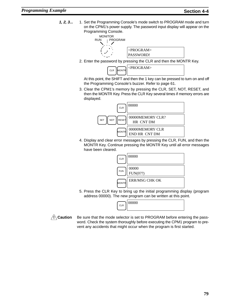**1, 2, 3...** 1. Set the Programming Console's mode switch to PROGRAM mode and turn on the CPM1's power supply. The password input display will appear on the Programming Console.



2. Enter the password by pressing the CLR and then the MONTR Key.

<PROGRAM>



At this point, the SHIFT and then the 1 key can be pressed to turn on and off the Programming Console's buzzer. Refer to pag[e 6](#page-72-0)1.

3. Clear the CPM1's memory by pressing the CLR, SET, NOT, RESET, and then the MONTR Key. Press the CLR Key several times if memory errors are displayed.



4. Display and clear error messages by pressing the CLR, FUN, and then the MONTR Key. Continue pressing the MONTR Key until all error messages have been cleared.



5. Press the CLR Key to bring up the initial programming display (program address 00000). The new program can be written at this point.





Be sure that the mode selector is set to PROGRAM before entering the password. Check the system thoroughly before executing the CPM1 program to prevent any accidents that might occur when the program is first started.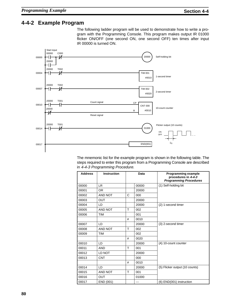#### <span id="page-91-0"></span>**4-4-2 Example Program**

The following ladder program will be used to demonstrate how to write a program with the Programming Console. This program makes output IR 01000 flicker ON/OFF (one second ON, one second OFF) ten times after input IR 00000 is turned ON.



The mnemonic list for the example program is shown in the following table. The steps required to enter this program from a Programming Console are described in [4-4-3 Programming Procedure](#page-92-0).

| <b>Address</b> | <b>Instruction</b> |   | Data  | Programming example<br>procedures in 4-4-3<br><b>Programming Procedures</b> |
|----------------|--------------------|---|-------|-----------------------------------------------------------------------------|
| 00000          | <b>LR</b>          |   | 00000 | (1) Self-holding bit                                                        |
| 00001          | <b>OR</b>          |   | 20000 |                                                                             |
| 00002          | AND NOT            | C | 000   |                                                                             |
| 00003          | <b>OUT</b>         |   | 20000 |                                                                             |
| 00004          | LD                 |   | 20000 | (2) 1-second timer                                                          |
| 00005          | <b>AND NOT</b>     | т | 002   |                                                                             |
| 00006          | <b>TIM</b>         |   | 001   |                                                                             |
|                |                    | # | 0010  |                                                                             |
| 00007          | ID                 |   | 20000 | (3) 2-second timer                                                          |
| 00008          | AND NOT            | T | 002   |                                                                             |
| 00009          | <b>TIM</b>         |   | 002   |                                                                             |
|                |                    | # | 0020  |                                                                             |
| 00010          | LD                 |   | 20000 | (4) 10-count counter                                                        |
| 00011          | <b>AND</b>         | T | 001   |                                                                             |
| 00012          | LD NOT             |   | 20000 |                                                                             |
| 00013          | CNT                |   | 000   |                                                                             |
|                |                    | # | 0010  |                                                                             |
| 00014          | LD                 |   | 20000 | (5) Flicker output (10 counts)                                              |
| 00015          | AND NOT            | T | 001   |                                                                             |
| 00016          | <b>OUT</b>         |   | 01000 |                                                                             |
| 00017          | END (001)          |   | $---$ | (6) END(001) instruction                                                    |

**80**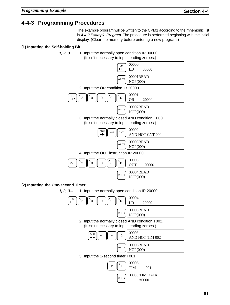### <span id="page-92-0"></span>**4-4-3 Programming Procedures**

 $\mathbf{H}$ 

 $\rm{^{c}}_2$ 

 $\degree$ 0

The example program will be written to the CPM1 according to the mnemonic list in [4-4-2 Example Program](#page-91-0). The procedure is performed beginning with the initial display. (Clear the memory before entering a new program.)

#### **(1) Inputting the Self-holding Bit**

**1, 2, 3...** 1. Input the normally open condition IR 00000.

(It isn't necessary to input leading zeroes.)



NOP(000) 3. Input the normally closed AND condition C000.

(It isn't necessary to input leading zeroes.)  $\begin{bmatrix} AND \\ HE \end{bmatrix}$  NOT  $\begin{bmatrix} \end{bmatrix}$  CNT 00002 AND NOT CNT 000  $\sum_{\text{WRITE}}$  00003READ NOP(000)

 $\sum_{\text{WRITE}}$  00002READ

4. Input the OUT instruction IR 20000.



#### **(2) Inputting the One-second Timer**

**1, 2, 3...** 1. Input the normally open condition IR 20000.



2. Input the normally closed AND condition T002. (It isn't necessary to input leading zeroes.)



3. Input the 1-second timer T001.

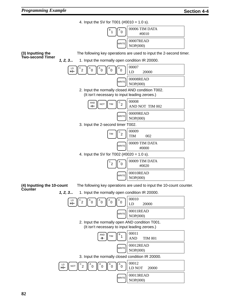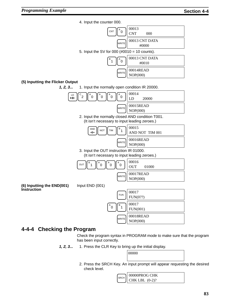4. Input the counter 000. CNT `0 00013 CNT 000  $\sum_{\text{WRITE}}$  00013 CNT DATA #0000 5. Input the SV for 000 (#0010 = 10 counts). B  $\overline{1}$  $\mathfrak{o}$ 00013 CNT DATA #0010  $\sum_{\text{WRITE}}$  00014READ NOP(000) **(5) Inputting the Flicker Output 1, 2, 3...** 1. Input the normally open condition IR 20000. LD  $\parallel$   $\degree$  2  $\parallel$   $\degree$  $\overline{0}$  $\degree$  $^{\mathsf{A}}$ 0 `0 00014 LD 20000  $\sum_{\text{WRITE}}$  00015READ NOP(000) 2. Input the normally closed AND condition T001. (It isn't necessary to input leading zeroes.)  $\begin{bmatrix} AND \\ HE \end{bmatrix}$  NOT  $\begin{bmatrix} 1 \end{bmatrix}$  TIM  $B_{1}$ 00015 AND NOT TIM 001  $W$ RITE $\Big|\Big| 00016$ READ NOP(000) 3. Input the OUT instruction IR 01000. (It isn't necessary to input leading zeroes.) **OUT** 1  $\parallel$ <sup>A</sup>  $0 \parallel^A$  $0 \parallel^{\mathsf{A}} 0$ 00016 OUT 01000  $W$ RITE  $00017$ READ NOP(000) Input END (001)  $\left| \frac{0.0017}{\text{EUN}} \right|$ FUN(0??)  $^4$ 0  $0 \parallel^{\mathsf{B}} 1$ 00017 FUN(001) **(6) Inputting the END(001) Instruction**

#### **4-4-4 Checking the Program**

Check the program syntax in PROGRAM mode to make sure that the program has been input correctly.

 $W$ RITE $\left| \begin{array}{c} 0.0018 \text{READ} \\ 0.0018 \text{READ} \end{array} \right|$ NOP(000)

00000

- **1, 2, 3...** 1. Press the CLR Key to bring up the initial display.
	- 2. Press the SRCH Key. An input prompt will appear requesting the desired check level.

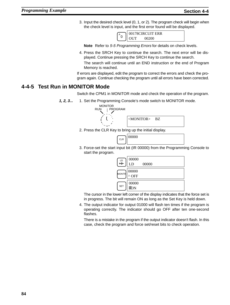3. Input the desired check level (0, 1, or 2). The program check will begin when the check level is input, and the first error found will be displayed.



**Note** Refer to [5-5 Programming Errors](#page-102-0) for details on check levels.

4. Press the SRCH Key to continue the search. The next error will be displayed. Continue pressing the SRCH Key to continue the search.

The search will continue until an END instruction or the end of Program Memory is reached.

If errors are displayed, edit the program to correct the errors and check the program again. Continue checking the program until all errors have been corrected.

#### **4-4-5 Test Run in MONITOR Mode**

Switch the CPM1 in MONITOR mode and check the operation of the program.

**1, 2, 3...** 1. Set the Programming Console's mode switch to MONITOR mode.



2. Press the CLR Key to bring up the initial display.



3. Force-set the start input bit (IR 00000) from the Programming Console to start the program.



The cursor in the lower left corner of the display indicates that the force set is in progress. The bit will remain ON as long as the Set Key is held down.

4. The output indicator for output 01000 will flash ten times if the program is operating correctly. The indicator should go OFF after ten one-second flashes.

There is a mistake in the program if the output indicator doesn't flash. In this case, check the program and force set/reset bits to check operation.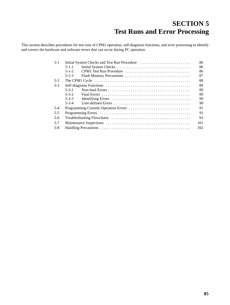# **SECTION 5 Test Runs and Error Processing**

<span id="page-96-0"></span>This section describes procedures for test runs of CPM1 operation, self-diagnosis functions, and error processing to identify and correct the hardware and software errors that can occur during PC operation.

| $5-1$   | Initial System Checks and Test Run Procedure |  |    |  |
|---------|----------------------------------------------|--|----|--|
|         | $5 - 1 - 1$                                  |  | 86 |  |
|         | $5 - 1 - 2$                                  |  | 86 |  |
|         | $5 - 1 - 3$                                  |  | 87 |  |
| $5-2$   |                                              |  | 88 |  |
| $5-3$   |                                              |  |    |  |
|         | $5 - 3 - 1$                                  |  | 89 |  |
|         | $5 - 3 - 2$                                  |  | 89 |  |
|         | $5 - 3 - 3$                                  |  | 90 |  |
|         | $5 - 3 - 4$                                  |  | 90 |  |
| $5-4$   |                                              |  |    |  |
| $5-5$   | 91                                           |  |    |  |
| $5-6$   | 93                                           |  |    |  |
| $5 - 7$ | 101                                          |  |    |  |
| $5-8$   | 102                                          |  |    |  |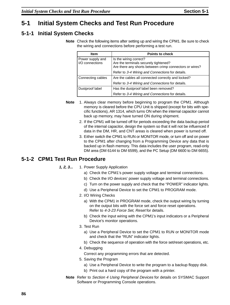## <span id="page-97-0"></span>**5-1 Initial System Checks and Test Run Procedure**

## **5-1-1 Initial System Checks**

**Note** Check the following items after setting up and wiring the CPM1. Be sure to check the wiring and connections before performing a test run.

| <b>Item</b>                         | <b>Points to check</b>                                                                                                     |
|-------------------------------------|----------------------------------------------------------------------------------------------------------------------------|
| Power supply and<br>I/O connections | Is the wiring correct?<br>Are the terminals securely tightened?<br>Are there any shorts between crimp connectors or wires? |
|                                     | Refer to 3-4 Wiring and Connections for details.                                                                           |
| Connecting cables                   | Are the cables all connected correctly and locked?                                                                         |
|                                     | Refer to 3-4 Wiring and Connections for details.                                                                           |
| Dustproof label                     | Has the dustproof label been removed?                                                                                      |
|                                     | Refer to 3-4 Wiring and Connections for details.                                                                           |

- **Note** 1. Always clear memory before beginning to program the CPM1. Although memory is cleared before the CPU Unit is shipped (except for bits with specific functions), AR 1314, which turns ON when the internal capacitor cannot back up memory, may have turned ON during shipment.
	- 2. If the CPM1 will be turned off for periods exceeding the data backup period of the internal capacitor, design the system so that it will not be influenced if data in the DM, HR, and CNT areas is cleared when power is turned off.
	- 3. Either switch the CPM1 to RUN or MONITOR mode, or turn off and on power to the CPM1 after changing from a Programming Device any data that is backed up in flash memory. This data includes the user program, read-only DM area (DM 6144 to DM 6599), and the PC Setup (DM 6600 to DM 6655).

#### **5-1-2 CPM1 Test Run Procedure**

- **1, 2, 3...** 1. Power Supply Application
	- a) Check the CPM1's power supply voltage and terminal connections.
	- b) Check the I/O devices' power supply voltage and terminal connections.
	- c) Turn on the power supply and check that the "POWER" indicator lights.
	- d) Use a Peripheral Device to set the CPM1 to PROGRAM mode.
	- 2. I/O Wiring Checks
		- a) With the CPM1 in PROGRAM mode, check the output wiring by turning on the output bits with the force set and force reset operations. Refer to [4-3-23 Force Set, Reset](#page-88-0) for details.
		- b) Check the input wiring with the CPM1's input indicators or a Peripheral Device's monitor operations.
	- 3. Test Run
		- a) Use a Peripheral Device to set the CPM1 to RUN or MONITOR mode and check that the "RUN" indicator lights.
		- b) Check the sequence of operation with the force set/reset operations, etc.
	- 4. Debugging
		- Correct any programming errors that are detected.
	- 5. Saving the Program
		- a) Use a Peripheral Device to write the program to a backup floppy disk.
		- b) Print out a hard copy of the program with a printer.
	- **Note** Refer to [Section 4 Using Peripheral Devices](#page-58-0) for details on SYSMAC Support Software or Programming Console operations.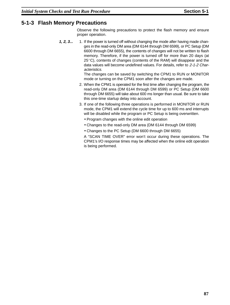### <span id="page-98-0"></span>**5-1-3 Flash Memory Precautions**

Observe the following precautions to protect the flash memory and ensure proper operation.

**1, 2, 3...** 1. If the power is turned off without changing the mode after having made changes in the read-only DM area (DM 6144 through DM 6599), or PC Setup (DM 6600 through DM 6655), the contents of changes will not be written to flash memory. Therefore, if the power is turned off for more than 20 days (at 25°C), contents of changes (contents of the RAM) will disappear and the data values will become undefined values. For details, refer to [2-1-2 Char](#page-28-0)[acteristics](#page-28-0).

The changes can be saved by switching the CPM1 to RUN or MONITOR mode or turning on the CPM1 soon after the changes are made.

- 2. When the CPM1 is operated for the first time after changing the program, the read-only DM area (DM 6144 through DM 6599) or PC Setup (DM 6600 through DM 6655) will take about 600 ms longer than usual. Be sure to take this one-time startup delay into account.
- 3. If one of the following three operations is performed in MONITOR or RUN mode, the CPM1 will extend the cycle time for up to 600 ms and interrupts will be disabled while the program or PC Setup is being overwritten.
	- Program changes with the online edit operation
	- Changes to the read-only DM area (DM 6144 through DM 6599)
	- Changes to the PC Setup (DM 6600 through DM 6655)

A "SCAN TIME OVER" error won't occur during these operations. The CPM1's I/O response times may be affected when the online edit operation is being performed.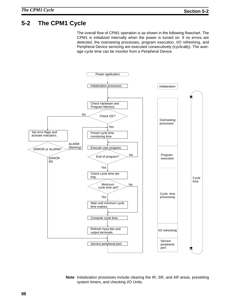## <span id="page-99-0"></span>**5-2 The CPM1 Cycle**

The overall flow of CPM1 operation is as shown in the following flowchart. The CPM1 is initialized internally when the power is turned on. If no errors are detected, the overseeing processes, program execution, I/O refreshing, and Peripheral Device servicing are executed consecutively (cyclically). The average cycle time can be monitor from a Peripheral Device.



**Note** Initialization processes include clearing the IR, SR, and AR areas, presetting system timers, and checking I/O Units.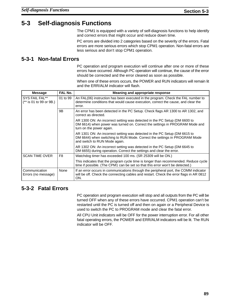## <span id="page-100-0"></span>**5-3 Self-diagnosis Functions**

The CPM1 is equipped with a variety of self-diagnosis functions to help identify and correct errors that might occur and reduce down time.

PC errors are divided into 2 categories based on the severity of the errors. Fatal errors are more serious errors which stop CPM1 operation. Non-fatal errors are less serious and don't stop CPM1 operation.

## **5-3-1 Non-fatal Errors**

PC operation and program execution will continue after one or more of these errors have occurred. Although PC operation will continue, the cause of the error should be corrected and the error cleared as soon as possible.

When one of these errors occurs, the POWER and RUN indicators will remain lit and the ERR/ALM indicator will flash.

| <b>Message</b>                            | FAL No.        | Meaning and appropriate response                                                                                                                                                        |
|-------------------------------------------|----------------|-----------------------------------------------------------------------------------------------------------------------------------------------------------------------------------------|
| SYS FAIL FAL**<br>(** is 01 to 99 or 9B.) | 01 to 99       | An FAL(06) instruction has been executed in the program. Check the FAL number to<br>determine conditions that would cause execution, correct the cause, and clear the<br>error.         |
|                                           | 9B             | An error has been detected in the PC Setup. Check flags AR 1300 to AR 1302, and<br>correct as directed.                                                                                 |
|                                           |                | AR 1300 ON: An incorrect setting was detected in the PC Setup (DM 6600 to<br>DM 6614) when power was turned on. Correct the settings in PROGRAM Mode and<br>turn on the power again.    |
|                                           |                | AR 1301 ON: An incorrect setting was detected in the PC Setup (DM 6615 to<br>DM 6644) when switching to RUN Mode. Correct the settings in PROGRAM Mode<br>and switch to RUN Mode again. |
|                                           |                | AR 1302 ON: An incorrect setting was detected in the PC Setup (DM 6645 to<br>DM 6655) during operation. Correct the settings and clear the error.                                       |
| <b>SCAN TIME OVER</b>                     | F <sub>8</sub> | Watchdog timer has exceeded 100 ms. (SR 25309 will be ON.)                                                                                                                              |
|                                           |                | This indicates that the program cycle time is longer than recommended. Reduce cycle<br>time if possible. (The CPM1 can be set so that this error won't be detected.)                    |
| Communication<br>Errors (no message)      | None           | If an error occurs in communications through the peripheral port, the COMM indicator<br>will be off. Check the connecting cables and restart. Check the error flags in AR 0812<br>ON.   |

## **5-3-2 Fatal Errors**

PC operation and program execution will stop and all outputs from the PC will be turned OFF when any of these errors have occurred. CPM1 operation can't be restarted until the PC is turned off and then on again or a Peripheral Device is used to switch the PC to PROGRAM mode and clear the fatal error.

All CPU Unit indicators will be OFF for the power interruption error. For all other fatal operating errors, the POWER and ERR/ALM indicators will be lit. The RUN indicator will be OFF.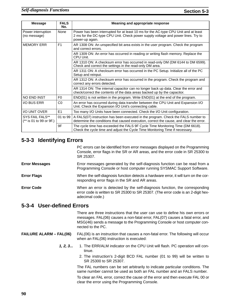<span id="page-101-0"></span>

| <b>Message</b>                               | <b>FALS</b><br>No. | Meaning and appropriate response                                                                                                                                                            |
|----------------------------------------------|--------------------|---------------------------------------------------------------------------------------------------------------------------------------------------------------------------------------------|
| Power interruption<br>(no message)           | None               | Power has been interrupted for at least 10 ms for the AC-type CPU Unit and at least<br>2 ms for the DC-type CPU Unit. Check power supply voltage and power lines. Try to<br>power-up again. |
| <b>MEMORY ERR</b>                            | F <sub>1</sub>     | AR 1308 ON: An unspecified bit area exists in the user program. Check the program<br>and correct errors.                                                                                    |
|                                              |                    | AR 1309 ON: An error has occurred in reading or writing flash memory. Replace the<br>CPU Unit.                                                                                              |
|                                              |                    | AR 1310 ON: A checksum error has occurred in read-only DM (DM 6144 to DM 6599).<br>Check and correct the settings in the read-only DM area.                                                 |
|                                              |                    | AR 1311 ON: A checksum error has occurred in the PC Setup. Initialize all of the PC<br>Setup and reinput.                                                                                   |
|                                              |                    | AR 1312 ON: A checksum error has occurred in the program. Check the program and<br>correct any errors detected.                                                                             |
|                                              |                    | AR 1314 ON: The internal capacitor can no longer back up data. Clear the error and<br>check/correct the contents of the data areas backed up by the capacitor.                              |
| NO END INST                                  | F <sub>0</sub>     | $END(01)$ is not written in the program. Write $END(01)$ at the end of the program.                                                                                                         |
| <b>I/O BUS ERR</b>                           | CO                 | An error has occurred during data transfer between the CPU Unit and Expansion I/O<br>Unit. Check the Expansion I/O Unit's connecting cable.                                                 |
| I/O UNIT OVER                                | E1                 | Too many I/O Units have been connected. Check the I/O Unit configuration.                                                                                                                   |
| SYS FAIL FALS**<br>$(**$ is 01 to 99 or 9F.) | 01 to 99           | A FALS(07) instruction has been executed in the program. Check the FALS number to<br>determine the conditions that caused execution, correct the cause, and clear the error.                |
|                                              | 9F                 | The cycle time has exceeded the FALS 9F Cycle Time Monitoring Time (DM 6618).<br>Check the cycle time and adjust the Cycle Time Monitoring Time if necessary.                               |

#### **5-3-3 Identifying Errors**

PC errors can be identified from error messages displayed on the Programming Console, error flags in the SR or AR areas, and the error code in SR 25300 to SR 25307.

| <b>Error Messages</b> | Error messages generated by the self-diagnosis function can be read from a |
|-----------------------|----------------------------------------------------------------------------|
|                       | Programming Console or host computer running SYSMAC Support Software.      |

**Error Flags** When the self-diagnosis function detects a hardware error, it will turn on the corresponding error flags in the SR and AR areas.

**Error Code** When an error is detected by the self-diagnosis function, the corresponding error code is written to SR 25300 to SR 25307. (The error code is an 2-digit hexadecimal code.)

#### **5-3-4 User-defined Errors**

There are three instructions that the user can use to define his own errors or messages. FAL(06) causes a non-fatal error, FAL(07) causes a fatal error, and MSG(46) sends a message to the Programming Console or host computer connected to the PC.

**FAILURE ALARM – FAL(06)** FAL(06) is an instruction that causes a non-fatal error. The following will occur when an FAL(06) instruction is executed:

- **1, 2, 3...** 1. The ERR/ALM indicator on the CPU Unit will flash. PC operation will continue.
	- 2. The instruction's 2-digit BCD FAL number (01 to 99) will be written to SR 25300 to SR 25307.

The FAL numbers can be set arbitrarily to indicate particular conditions. The same number cannot be used as both an FAL number and an FALS number.

To clear an FAL error, correct the cause of the error and then execute FAL 00 or clear the error using the Programming Console.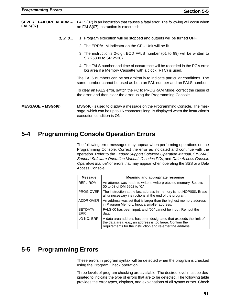<span id="page-102-0"></span>

| <b>SEVERE FAILURE ALARM -</b><br><b>FALS(07)</b> | FALS(07) is an instruction that causes a fatal error. The following will occur when<br>an FALS(07) instruction is executed:                                                                 |
|--------------------------------------------------|---------------------------------------------------------------------------------------------------------------------------------------------------------------------------------------------|
| 1, 2, 3                                          | 1. Program execution will be stopped and outputs will be turned OFF.                                                                                                                        |
|                                                  | 2. The ERR/ALM indicator on the CPU Unit will be lit.                                                                                                                                       |
|                                                  | 3. The instruction's 2-digit BCD FALS number (01 to 99) will be written to<br>SR 25300 to SR 25307.                                                                                         |
|                                                  | 4. The FALS number and time of occurrence will be recorded in the PC's error<br>log area if a Memory Cassette with a clock (RTC) is used.                                                   |
|                                                  | The FALS numbers can be set arbitrarily to indicate particular conditions. The<br>same number cannot be used as both an FAL number and an FALS number.                                      |
|                                                  | To clear an FALS error, switch the PC to PROGRAM Mode, correct the cause of<br>the error, and then clear the error using the Programming Console.                                           |
| $MESSAGE - MSG(46)$                              | MSG(46) is used to display a message on the Programming Console. The mes-<br>sage, which can be up to 16 characters long, is displayed when the instruction's<br>execution condition is ON. |

## **5-4 Programming Console Operation Errors**

The following error messages may appear when performing operations on the Programming Console. Correct the error as indicated and continue with the operation. Refer to the Ladder Support Software Operation Manual, SYSMAC Support Software Operation Manual: C-series PCs, and Data Access Console Operation Manual for errors that may appear when operating the SSS or a Data Access Console.

| <b>Message</b>        | Meaning and appropriate response                                                                                                                                                             |
|-----------------------|----------------------------------------------------------------------------------------------------------------------------------------------------------------------------------------------|
| <b>REPL ROM</b>       | An attempt was made to write to write-protected memory. Set bits<br>00 to 03 of DM 6602 to "0."                                                                                              |
| PROG OVER             | The instruction at the last address in memory is not NOP(00). Erase<br>all unnecessary instructions at the end of the program.                                                               |
| ADDR OVER             | An address was set that is larger than the highest memory address<br>in Program Memory. Input a smaller address.                                                                             |
| <b>SETDATA</b><br>ERR | FALS 00 has been input, and "00" cannot be input. Reinput the<br>data.                                                                                                                       |
| I/O NO. ERR           | A data area address has been designated that exceeds the limit of<br>the data area, e.g., an address is too large. Confirm the<br>requirements for the instruction and re-enter the address. |

## **5-5 Programming Errors**

These errors in program syntax will be detected when the program is checked using the Program Check operation.

Three levels of program checking are available. The desired level must be designated to indicate the type of errors that are to be detected. The following table provides the error types, displays, and explanations of all syntax errors. Check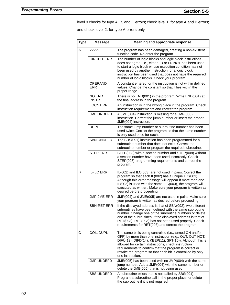level 0 checks for type A, B, and C errors; check level 1, for type A and B errors; and check level 2, for type A errors only.

| <b>Type</b> | <b>Message</b>                | <b>Meaning and appropriate response</b>                                                                                                                                                                                                                                                                                                                                           |
|-------------|-------------------------------|-----------------------------------------------------------------------------------------------------------------------------------------------------------------------------------------------------------------------------------------------------------------------------------------------------------------------------------------------------------------------------------|
| A           | ?????                         | The program has been damaged, creating a non-existent<br>function code. Re-enter the program.                                                                                                                                                                                                                                                                                     |
|             | <b>CIRCUIT ERR</b>            | The number of logic blocks and logic block instructions<br>does not agree, i.e., either LD or LD NOT has been used<br>to start a logic block whose execution condition has not<br>been used by another instruction, or a logic block<br>instruction has been used that does not have the required<br>number of logic blocks. Check your program.                                  |
|             | OPERAND<br><b>ERR</b>         | A constant entered for the instruction is not within defined<br>values. Change the constant so that it lies within the<br>proper range.                                                                                                                                                                                                                                           |
|             | <b>NO END</b><br><b>INSTR</b> | There is no END(001) in the program. Write END(001) at<br>the final address in the program.                                                                                                                                                                                                                                                                                       |
|             | <b>LOCN ERR</b>               | An instruction is in the wrong place in the program. Check<br>instruction requirements and correct the program.                                                                                                                                                                                                                                                                   |
|             | <b>JME UNDEFD</b>             | A JME(004) instruction is missing for a JMP(005)<br>instruction. Correct the jump number or insert the proper<br>JME(004) instruction.                                                                                                                                                                                                                                            |
|             | <b>DUPL</b>                   | The same jump number or subroutine number has been<br>used twice. Correct the program so that the same number<br>is only used once for each.                                                                                                                                                                                                                                      |
|             | <b>SBN UNDEFD</b>             | The SBS(091) instruction has been programmed for a<br>subroutine number that does not exist. Correct the<br>subroutine number or program the required subroutine.                                                                                                                                                                                                                 |
|             | <b>STEP ERR</b>               | STEP(008) with a section number and STEP(008) without<br>a section number have been used incorrectly. Check<br>STEP(008) programming requirements and correct the<br>program.                                                                                                                                                                                                     |
| B           | <b>IL-ILC ERR</b>             | IL(002) and ILC(003) are not used in pairs. Correct the<br>program so that each IL(002) has a unique ILC(003).<br>Although this error message will appear if more than one<br>IL(002) is used with the same ILC(003), the program will<br>executed as written. Make sure your program is written as<br>desired before proceeding.                                                 |
|             | <b>JMP-JME ERR</b>            | JMP(004) and JME(005) are not used in pairs. Make sure<br>your program is written as desired before proceeding.                                                                                                                                                                                                                                                                   |
|             | <b>SBN-RET ERR</b>            | If the displayed address is that of SBN(092), two different<br>subroutines have been defined with the same subroutine<br>number. Change one of the subroutine numbers or delete<br>one of the subroutines. If the displayed address is that of<br>RET(093), RET(093) has not been used properly. Check<br>requirements for RET(093) and correct the program.                      |
| С           | <b>COIL DUPL</b>              | The same bit is being controlled (i.e., turned ON and/or<br>OFF) by more than one instruction (e.g., OUT, OUT NOT,<br>DIFU(13), DIFD(14), KEEP(11), SFT(10)). Although this is<br>allowed for certain instructions, check instruction<br>requirements to confirm that the program is correct or<br>rewrite the program so that each bit is controlled by only<br>one instruction. |
|             | <b>JMP UNDEFD</b>             | JME(005) has been used with no JMP(004) with the same<br>jump number. Add a JMP(004) with the same number or<br>delete the JME(005) that is not being used.                                                                                                                                                                                                                       |
|             | <b>SBS UNDEFD</b>             | A subroutine exists that is not called by SBS(091).<br>Program a subroutine call in the proper place, or delete<br>the subroutine if it is not required.                                                                                                                                                                                                                          |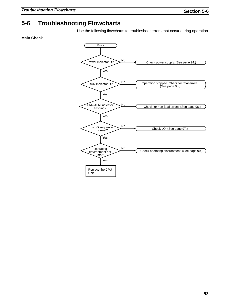# <span id="page-104-0"></span>**5-6 Troubleshooting Flowcharts**

Use the following flowcharts to troubleshoot errors that occur during operation.

#### **Main Check**

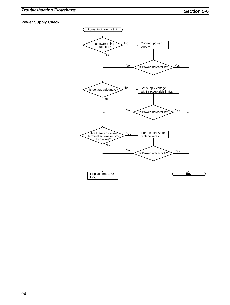#### <span id="page-105-0"></span>**Power Supply Check**

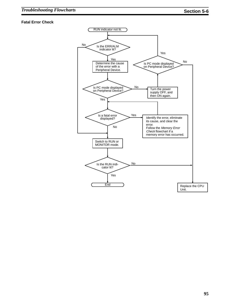#### <span id="page-106-0"></span>**Fatal Error Check**

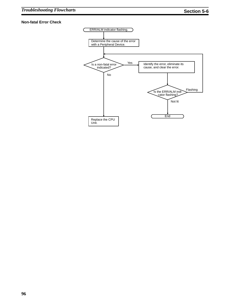#### <span id="page-107-0"></span>**Non-fatal Error Check**

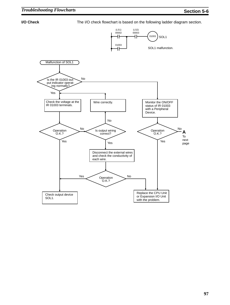<span id="page-108-0"></span>

**I/O Check** The I/O check flowchart is based on the following ladder diagram section.

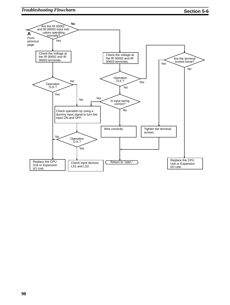**Troubleshooting Flowcharts Section 5-6** 

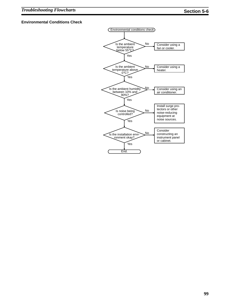#### <span id="page-110-0"></span>**Environmental Conditions Check**

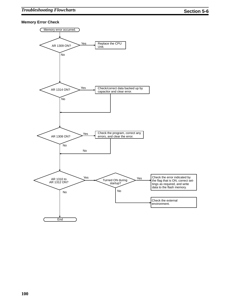#### <span id="page-111-0"></span>**Memory Error Check**

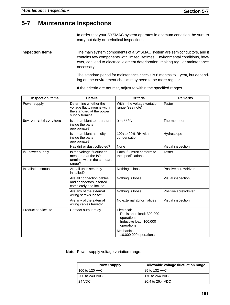# <span id="page-112-0"></span>**5-7 Maintenance Inspections**

In order that your SYSMAC system operates in optimum condition, be sure to carry out daily or periodical inspections.

**Inspection Items** The main system components of a SYSMAC system are semiconductors, and it contains few components with limited lifetimes. Environmental conditions, however, can lead to electrical element deterioration, making regular maintenance necessary.

> The standard period for maintenance checks is 6 months to 1 year, but depending on the environment checks may need to be more regular.

| <b>Inspection items</b>         | <b>Details</b>                                                                                          | Criteria                                                                                                      | <b>Remarks</b>       |
|---------------------------------|---------------------------------------------------------------------------------------------------------|---------------------------------------------------------------------------------------------------------------|----------------------|
| Power supply                    | Determine whether the<br>voltage fluctuation is within<br>the standard at the power<br>supply terminal. | Within the voltage variation<br>range (see note)                                                              | <b>Tester</b>        |
| <b>Environmental conditions</b> | Is the ambient temperature<br>inside the panel<br>appropriate?                                          | 0 to $55^{\circ}$ C                                                                                           | Thermometer          |
|                                 | Is the ambient humidity<br>inside the panel<br>appropriate?                                             | 10% to 90% RH with no<br>condensation                                                                         | Hydroscope           |
|                                 | Has dirt or dust collected?                                                                             | None                                                                                                          | Visual inspection    |
| I/O power supply                | Is the voltage fluctuation<br>measured at the I/O<br>terminal within the standard<br>range?             | Each I/O must conform to<br>the specifications                                                                | <b>Tester</b>        |
| Installation status             | Are all units securely<br>installed?                                                                    | Nothing is loose                                                                                              | Positive screwdriver |
|                                 | Are all connection cables<br>and connectors inserted<br>completely and locked?                          | Nothing is loose                                                                                              | Visual inspection    |
|                                 | Are any of the external<br>wiring screws loose?                                                         | Nothing is loose                                                                                              | Positive screwdriver |
|                                 | Are any of the external<br>wiring cables frayed?                                                        | No external abnormalities                                                                                     | Visual inspection    |
| Product service life            | Contact output relay                                                                                    | Electrical:<br>Resistance load: 300,000<br>operations<br>Inductive load: 100,000<br>operations<br>Mechanical: |                      |
|                                 |                                                                                                         | 10,000,000 operations                                                                                         |                      |

If the criteria are not met, adjust to within the specified ranges.

**Note** Power supply voltage variation range.

| Power supply   | Allowable voltage fluctuation range |
|----------------|-------------------------------------|
| 100 to 120 VAC | 85 to 132 VAC                       |
| 200 to 240 VAC | 170 to 264 VAC                      |
| 24 VDC         | 20.4 to 26.4 VDC                    |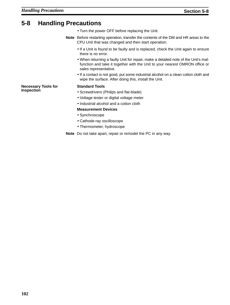# <span id="page-113-0"></span>**5-8 Handling Precautions**

- Turn the power OFF before replacing the Unit.
- **Note** Before restarting operation, transfer the contents of the DM and HR areas to the CPU Unit that was changed and then start operation.
	- If a Unit is found to be faulty and is replaced, check the Unit again to ensure there is no error.
	- When returning a faulty Unit for repair, make a detailed note of the Unit's malfunction and take it together with the Unit to your nearest OMRON office or sales representative.
	- If a contact is not good, put some industrial alcohol on a clean cotton cloth and wipe the surface. After doing this, install the Unit.

**Necessary Tools for Inspection**

#### **Standard Tools**

- Screwdrivers (Philips and flat-blade)
- Voltage tester or digital voltage meter
- Industrial alcohol and a cotton cloth

#### **Measurement Devices**

- Synchroscope
- Cathode-ray oscilloscope
- Thermometer, hydroscope

**Note** Do not take apart, repair or remodel the PC in any way.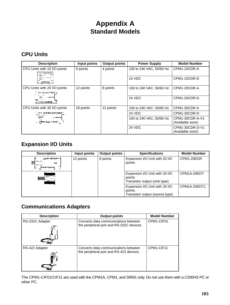# **Appendix A Standard Models**

### <span id="page-114-0"></span>**CPU Units**

| <b>Description</b>                                                              | Input points | <b>Output points</b> | <b>Power Supply</b>      | <b>Model Number</b>                 |
|---------------------------------------------------------------------------------|--------------|----------------------|--------------------------|-------------------------------------|
| CPU Units with 10 I/O points<br><sup>း</sup> ေစ စစ္ေဆေစစစ္ေ<br>Thuru            | 6 points     | 4 points             | 100 to 240 VAC, 50/60 Hz | CPM1-10CDR-A                        |
| <b>There</b><br>0.000000000                                                     |              |                      | 24 VDC                   | CPM1-10CDR-D                        |
| CPU Units with 20 I/O points<br><b>The Committee Committee Committee</b>        | 12 points    | 8 points             | 100 to 240 VAC, 50/60 Hz | CPM1-20CDR-A                        |
| <b>THE BEAR OF</b>                                                              |              |                      | 24 VDC                   | CPM1-20CDR-D                        |
| CPU Units with 30 I/O points                                                    | 18 points    | 12 points            | 100 to 240 VAC, 50/60 Hz | CPM1-30CDR-A                        |
| <b>AFT SYMMONSMILE</b><br>$\sim 100$<br>1.0013<br>$\sim$ 1000 mm mM mM $_\odot$ |              |                      | 24 VDC                   | CPM1-30CDR-D                        |
|                                                                                 |              |                      | 100 to 240 VAC, 50/60 Hz | CPM1-30CDR-A-V1<br>(Available soon) |
|                                                                                 |              |                      | 24 VDC                   | CPM1-30CDR-D-V1<br>(Available soon) |

### **Expansion I/O Units**

| <b>Description</b>                                                                                       | Input points | <b>Output points</b> | <b>Specifications</b>                                                       | <b>Model Number</b> |
|----------------------------------------------------------------------------------------------------------|--------------|----------------------|-----------------------------------------------------------------------------|---------------------|
| こういせいせい う<br><b>Contract Contract</b><br>肖<br><b>A 10</b><br><b>To case</b><br><b>SAME PERSONA</b><br>h. | 12 points    | 8 points             | Expansion I/O Unit with 20 I/O<br>points                                    | CPM1-20EDR          |
| $201000 - 2$<br>— الموسود الموسيقية<br>التاريخ الموسيقية الموسيقية                                       |              |                      | Expansion I/O Unit with 20 I/O<br>points<br>Transistor output (sink type)   | CPM1A-20EDT         |
|                                                                                                          |              |                      | Expansion I/O Unit with 20 I/O<br>points<br>Transistor output (source type) | CPM1A-20EDT1        |

# **Communications Adapters**

| <b>Description</b> | <b>Output points</b>                                                             | <b>Model Number</b> |
|--------------------|----------------------------------------------------------------------------------|---------------------|
| RS-232C Adapter    | Converts data communications between<br>the peripheral port and RS-232C devices. | CPM1-CIF01          |
| RS-422 Adapter     | Converts data communications between<br>the peripheral port and RS-422 devices.  | CPM1-CIF11          |

The CPM1-CIF01/CIF11 are used with the CPM1A, CPM1, and SRM1 only. Do not use them with a C200HS PC or other PC.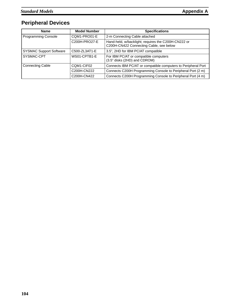# <span id="page-115-0"></span>**Peripheral Devices**

| <b>Name</b>                    | <b>Model Number</b> | <b>Specifications</b>                                                                          |
|--------------------------------|---------------------|------------------------------------------------------------------------------------------------|
| <b>Programming Console</b>     | CQM1-PRO01-E        | 2-m Connecting Cable attached                                                                  |
|                                | C200H-PRO27-E       | Hand-held, w/backlight; requires the C200H-CN222 or<br>C200H-CN422 Connecting Cable, see below |
| <b>SYSMAC Support Software</b> | C500-ZL3AT1-E       | 3.5", 2HD for IBM PC/AT compatible                                                             |
| SYSMAC-CPT                     | WS01-CPTB1-E        | For IBM PC/AT or compatible computers<br>(3.5" disks (2HD) and CDROM)                          |
| <b>Connecting Cable</b>        | COM1-CIF02          | Connects IBM PC/AT or compatible computers to Peripheral Port                                  |
|                                | C200H-CN222         | Connects C200H Programming Console to Peripheral Port (2 m)                                    |
|                                | C200H-CN422         | Connects C200H Programming Console to Peripheral Port (4 m)                                    |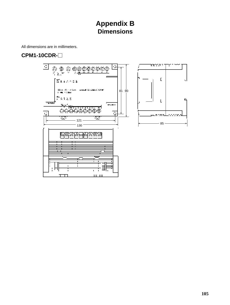# **Appendix B Dimensions**

Y

С

L

<span id="page-116-0"></span>All dimensions are in millimeters.

### **CPM1-10CDR-**j

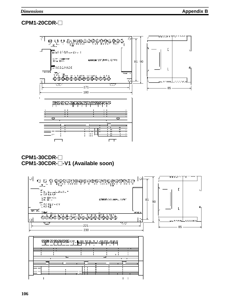### **CPM1-20CDR-**j



#### **CPM1-30CDR-**j **CPM1-30CDR-**j**-V1 (Available soon)**

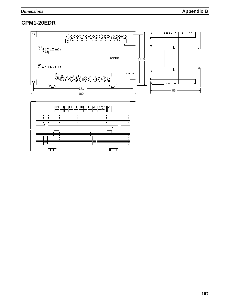### **CPM1-20EDR**



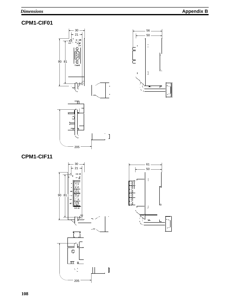# **CPM1-CIF01**





**CPM1-CIF11**



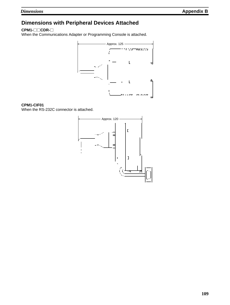# **Dimensions with Peripheral Devices Attached**

**CPM1-**jj**CDR-**j

When the Communications Adapter or Programming Console is attached.



#### **CPM1-CIF01**

When the RS-232C connector is attached.

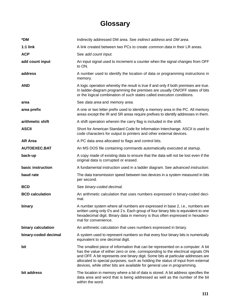# **Glossary**

| *DM                    | Indirectly addressed DM area. See indirect address and DM area.                                                                                                                                                                                                                                                                                                                                                       |
|------------------------|-----------------------------------------------------------------------------------------------------------------------------------------------------------------------------------------------------------------------------------------------------------------------------------------------------------------------------------------------------------------------------------------------------------------------|
| $1:1$ link             | A link created between two PCs to create <i>common data</i> in their LR areas.                                                                                                                                                                                                                                                                                                                                        |
| <b>ACP</b>             | See add count input.                                                                                                                                                                                                                                                                                                                                                                                                  |
| add count input        | An input signal used to increment a counter when the signal changes from OFF<br>to ON.                                                                                                                                                                                                                                                                                                                                |
| address                | A number used to identify the location of data or programming instructions in<br>memory.                                                                                                                                                                                                                                                                                                                              |
| <b>AND</b>             | A logic operation whereby the result is true if and only if both premises are true.<br>In ladder-diagram programming the premises are usually ON/OFF states of bits<br>or the logical combination of such states called execution conditions.                                                                                                                                                                         |
| area                   | See data area and memory area.                                                                                                                                                                                                                                                                                                                                                                                        |
| area prefix            | A one or two letter prefix used to identify a memory area in the PC. All memory<br>areas except the IR and SR areas require prefixes to identify addresses in them.                                                                                                                                                                                                                                                   |
| arithmetic shift       | A shift operation wherein the carry flag is included in the shift.                                                                                                                                                                                                                                                                                                                                                    |
| <b>ASCII</b>           | Short for American Standard Code for Information Interchange. ASCII is used to<br>code characters for output to printers and other external devices.                                                                                                                                                                                                                                                                  |
| <b>AR Area</b>         | A PC data area allocated to flags and control bits.                                                                                                                                                                                                                                                                                                                                                                   |
| <b>AUTOEXEC.BAT</b>    | An MS DOS file containing commands automatically executed at startup.                                                                                                                                                                                                                                                                                                                                                 |
| back-up                | A copy made of existing data to ensure that the data will not be lost even if the<br>original data is corrupted or erased.                                                                                                                                                                                                                                                                                            |
| basic instruction      | A fundamental instruction used in a ladder diagram. See advanced instruction.                                                                                                                                                                                                                                                                                                                                         |
| baud rate              | The data transmission speed between two devices in a system measured in bits<br>per second.                                                                                                                                                                                                                                                                                                                           |
| <b>BCD</b>             | See binary-coded decimal.                                                                                                                                                                                                                                                                                                                                                                                             |
| <b>BCD calculation</b> | An arithmetic calculation that uses numbers expressed in binary-coded deci-<br>mal.                                                                                                                                                                                                                                                                                                                                   |
| binary                 | A number system where all numbers are expressed in base 2, i.e., numbers are<br>written using only 0's and 1's. Each group of four binary bits is equivalent to one<br>hexadecimal digit. Binary data in memory is thus often expressed in hexadeci-<br>mal for convenience.                                                                                                                                          |
| binary calculation     | An arithmetic calculation that uses numbers expressed in binary.                                                                                                                                                                                                                                                                                                                                                      |
| binary-coded decimal   | A system used to represent numbers so that every four binary bits is numerically<br>equivalent to one decimal digit.                                                                                                                                                                                                                                                                                                  |
| bit                    | The smallest piece of information that can be represented on a computer. A bit<br>has the value of either zero or one, corresponding to the electrical signals ON<br>and OFF. A bit represents one binary digit. Some bits at particular addresses are<br>allocated to special purposes, such as holding the status of input from external<br>devices, while other bits are available for general use in programming. |
| bit address            | The location in memory where a bit of data is stored. A bit address specifies the<br>data area and word that is being addressed as well as the number of the bit<br>within the word.                                                                                                                                                                                                                                  |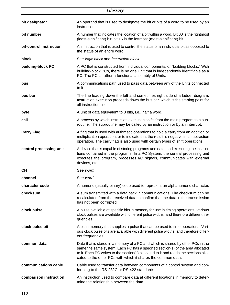| <b>Glossary</b>         |                                                                                                                                                                                                                                                                                                                           |  |
|-------------------------|---------------------------------------------------------------------------------------------------------------------------------------------------------------------------------------------------------------------------------------------------------------------------------------------------------------------------|--|
| bit designator          | An operand that is used to designate the bit or bits of a word to be used by an<br>instruction.                                                                                                                                                                                                                           |  |
| bit number              | A number that indicates the location of a bit within a word. Bit 00 is the rightmost<br>(least-significant) bit; bit 15 is the leftmost (most-significant) bit.                                                                                                                                                           |  |
| bit-control instruction | An instruction that is used to control the status of an individual bit as opposed to<br>the status of an entire word.                                                                                                                                                                                                     |  |
| block                   | See logic block and instruction block.                                                                                                                                                                                                                                                                                    |  |
| building-block PC       | A PC that is constructed from individual components, or "building blocks." With<br>building-block PCs, there is no one Unit that is independently identifiable as a<br>PC. The PC is rather a functional assembly of Units.                                                                                               |  |
| bus                     | A communications path used to pass data between any of the Units connected<br>to it.                                                                                                                                                                                                                                      |  |
| bus bar                 | The line leading down the left and sometimes right side of a ladder diagram.<br>Instruction execution proceeds down the bus bar, which is the starting point for<br>all instruction lines.                                                                                                                                |  |
| byte                    | A unit of data equivalent to 8 bits, i.e., half a word.                                                                                                                                                                                                                                                                   |  |
| call                    | A process by which instruction execution shifts from the main program to a sub-<br>routine. The subroutine may be called by an instruction or by an interrupt.                                                                                                                                                            |  |
| <b>Carry Flag</b>       | A flag that is used with arithmetic operations to hold a carry from an addition or<br>multiplication operation, or to indicate that the result is negative in a subtraction<br>operation. The carry flag is also used with certain types of shift operations.                                                             |  |
| central processing unit | A device that is capable of storing programs and data, and executing the instruc-<br>tions contained in the programs. In a PC System, the central processing unit<br>executes the program, processes I/O signals, communicates with external<br>devices, etc.                                                             |  |
| <b>CH</b>               | See word.                                                                                                                                                                                                                                                                                                                 |  |
| channel                 | See word.                                                                                                                                                                                                                                                                                                                 |  |
| character code          | A numeric (usually binary) code used to represent an alphanumeric character.                                                                                                                                                                                                                                              |  |
| checksum                | A sum transmitted with a data pack in communications. The checksum can be<br>recalculated from the received data to confirm that the data in the transmission<br>has not been corrupted.                                                                                                                                  |  |
| clock pulse             | A pulse available at specific bits in memory for use in timing operations. Various<br>clock pulses are available with different pulse widths, and therefore different fre-<br>quencies.                                                                                                                                   |  |
| clock pulse bit         | A bit in memory that supplies a pulse that can be used to time operations. Vari-<br>ous clock pulse bits are available with different pulse widths, and therefore differ-<br>ent frequencies.                                                                                                                             |  |
| common data             | Data that is stored in a memory of a PC and which is shared by other PCs in the<br>same the same system. Each PC has a specified section(s) of the area allocated<br>to it. Each PC writes to the section(s) allocated to it and reads the sections allo-<br>cated to the other PCs with which it shares the common data. |  |
| communications cable    | Cable used to transfer data between components of a control system and con-<br>forming to the RS-232C or RS-422 standards.                                                                                                                                                                                                |  |
| comparison instruction  | An instruction used to compare data at different locations in memory to deter-<br>mine the relationship between the data.                                                                                                                                                                                                 |  |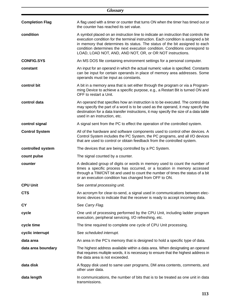| <b>Glossary</b>        |                                                                                                                                                                                                                                                                                                                                                                                                       |  |
|------------------------|-------------------------------------------------------------------------------------------------------------------------------------------------------------------------------------------------------------------------------------------------------------------------------------------------------------------------------------------------------------------------------------------------------|--|
| <b>Completion Flag</b> | A flag used with a timer or counter that turns ON when the timer has timed out or<br>the counter has reached its set value.                                                                                                                                                                                                                                                                           |  |
| condition              | A symbol placed on an instruction line to indicate an instruction that controls the<br>execution condition for the terminal instruction. Each condition is assigned a bit<br>in memory that determines its status. The status of the bit assigned to each<br>condition determines the next execution condition. Conditions correspond to<br>LOAD, LOAD NOT, AND, AND NOT, OR, or OR NOT instructions. |  |
| <b>CONFIG.SYS</b>      | An MS DOS file containing environment settings for a personal computer.                                                                                                                                                                                                                                                                                                                               |  |
| constant               | An input for an operand in which the actual numeric value is specified. Constants<br>can be input for certain operands in place of memory area addresses. Some<br>operands must be input as constants.                                                                                                                                                                                                |  |
| control bit            | A bit in a memory area that is set either through the program or via a Program-<br>ming Device to achieve a specific purpose, e.g., a Restart Bit is turned ON and<br>OFF to restart a Unit.                                                                                                                                                                                                          |  |
| control data           | An operand that specifies how an instruction is to be executed. The control data<br>may specify the part of a word is to be used as the operand, it may specify the<br>destination for a data transfer instructions, it may specify the size of a data table<br>used in an instruction, etc.                                                                                                          |  |
| control signal         | A signal sent from the PC to effect the operation of the controlled system.                                                                                                                                                                                                                                                                                                                           |  |
| <b>Control System</b>  | All of the hardware and software components used to control other devices. A<br>Control System includes the PC System, the PC programs, and all I/O devices<br>that are used to control or obtain feedback from the controlled system.                                                                                                                                                                |  |
| controlled system      | The devices that are being controlled by a PC System.                                                                                                                                                                                                                                                                                                                                                 |  |
| count pulse            | The signal counted by a counter.                                                                                                                                                                                                                                                                                                                                                                      |  |
| counter                | A dedicated group of digits or words in memory used to count the number of<br>times a specific process has occurred, or a location in memory accessed<br>through a TIM/CNT bit and used to count the number of times the status of a bit<br>or an execution condition has changed from OFF to ON.                                                                                                     |  |
| <b>CPU Unit</b>        | See central processing unit.                                                                                                                                                                                                                                                                                                                                                                          |  |
| <b>CTS</b>             | An acronym for clear-to-send, a signal used in communications between elec-<br>tronic devices to indicate that the receiver is ready to accept incoming data.                                                                                                                                                                                                                                         |  |
| <b>CY</b>              | See Carry Flag.                                                                                                                                                                                                                                                                                                                                                                                       |  |
| cycle                  | One unit of processing performed by the CPU Unit, including ladder program<br>execution, peripheral servicing, I/O refreshing, etc.                                                                                                                                                                                                                                                                   |  |
| cycle time             | The time required to complete one cycle of CPU Unit processing.                                                                                                                                                                                                                                                                                                                                       |  |
| cyclic interrupt       | See scheduled interrupt.                                                                                                                                                                                                                                                                                                                                                                              |  |
| data area              | An area in the PC's memory that is designed to hold a specific type of data.                                                                                                                                                                                                                                                                                                                          |  |
| data area boundary     | The highest address available within a data area. When designating an operand<br>that requires multiple words, it is necessary to ensure that the highest address in<br>the data area is not exceeded.                                                                                                                                                                                                |  |
| data disk              | A floppy disk used to same user programs, DM area contents, comments, and<br>other user data.                                                                                                                                                                                                                                                                                                         |  |
| data length            | In communications, the number of bits that is to be treated as one unit in data<br>transmissions.                                                                                                                                                                                                                                                                                                     |  |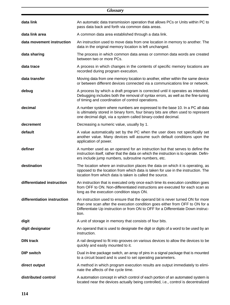| <b>Glossary</b>             |                                                                                                                                                                                                                                                             |
|-----------------------------|-------------------------------------------------------------------------------------------------------------------------------------------------------------------------------------------------------------------------------------------------------------|
| data link                   | An automatic data transmission operation that allows PCs or Units within PC to<br>pass data back and forth via common data areas.                                                                                                                           |
| data link area              | A common data area established through a data link.                                                                                                                                                                                                         |
| data movement instruction   | An instruction used to move data from one location in memory to another. The<br>data in the original memory location is left unchanged.                                                                                                                     |
| data sharing                | The process in which common data areas or common data words are created<br>between two or more PCs.                                                                                                                                                         |
| data trace                  | A process in which changes in the contents of specific memory locations are<br>recorded during program execution.                                                                                                                                           |
| data transfer               | Moving data from one memory location to another, either within the same device<br>or between different devices connected via a communications line or network.                                                                                              |
| debug                       | A process by which a draft program is corrected until it operates as intended.<br>Debugging includes both the removal of syntax errors, as well as the fine-tuning<br>of timing and coordination of control operations.                                     |
| decimal                     | A number system where numbers are expressed to the base 10. In a PC all data<br>is ultimately stored in binary form, four binary bits are often used to represent<br>one decimal digit, via a system called binary-coded decimal.                           |
| decrement                   | Decreasing a numeric value, usually by 1.                                                                                                                                                                                                                   |
| default                     | A value automatically set by the PC when the user does not specifically set<br>another value. Many devices will assume such default conditions upon the<br>application of power.                                                                            |
| definer                     | A number used as an operand for an instruction but that serves to define the<br>instruction itself, rather that the data on which the instruction is to operate. Defin-<br>ers include jump numbers, subroutine numbers, etc.                               |
| destination                 | The location where an instruction places the data on which it is operating, as<br>opposed to the location from which data is taken for use in the instruction. The<br>location from which data is taken is called the source.                               |
| differentiated instruction  | An instruction that is executed only once each time its execution condition goes<br>from OFF to ON. Non-differentiated instructions are executed for each scan as<br>long as the execution condition stays ON.                                              |
| differentiation instruction | An instruction used to ensure that the operand bit is never turned ON for more<br>than one scan after the execution condition goes either from OFF to ON for a<br>Differentiate Up instruction or from ON to OFF for a Differentiate Down instruc-<br>tion. |
| digit                       | A unit of storage in memory that consists of four bits.                                                                                                                                                                                                     |
| digit designator            | An operand that is used to designate the digit or digits of a word to be used by an<br>instruction.                                                                                                                                                         |
| <b>DIN track</b>            | A rail designed to fit into grooves on various devices to allow the devices to be<br>quickly and easily mounted to it.                                                                                                                                      |
| <b>DIP switch</b>           | Dual in-line package switch, an array of pins in a signal package that is mounted<br>to a circuit board and is used to set operating parameters.                                                                                                            |
| direct output               | A method in which program execution results are output immediately to elimi-<br>nate the affects of the cycle time.                                                                                                                                         |
| distributed control         | A automation concept in which control of each portion of an automated system is<br>located near the devices actually being controlled, i.e., control is decentralized                                                                                       |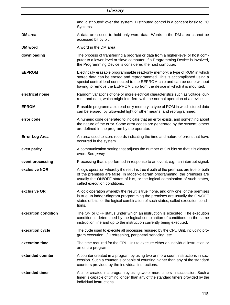| <b>Glossary</b>       |                                                                                                                                                                                                                                                                                                                  |  |
|-----------------------|------------------------------------------------------------------------------------------------------------------------------------------------------------------------------------------------------------------------------------------------------------------------------------------------------------------|--|
|                       | and 'distributed' over the system. Distributed control is a concept basic to PC<br>Systems.                                                                                                                                                                                                                      |  |
| DM area               | A data area used to hold only word data. Words in the DM area cannot be<br>accessed bit by bit.                                                                                                                                                                                                                  |  |
| DM word               | A word in the DM area.                                                                                                                                                                                                                                                                                           |  |
| downloading           | The process of transferring a program or data from a higher-level or host com-<br>puter to a lower-level or slave computer. If a Programming Device is involved,<br>the Programming Device is considered the host computer.                                                                                      |  |
| <b>EEPROM</b>         | Electrically erasable programmable read-only memory; a type of ROM in which<br>stored data can be erased and reprogrammed. This is accomplished using a<br>special control lead connected to the EEPROM chip and can be done without<br>having to remove the EEPROM chip from the device in which it is mounted. |  |
| electrical noise      | Random variations of one or more electrical characteristics such as voltage, cur-<br>rent, and data, which might interfere with the normal operation of a device.                                                                                                                                                |  |
| <b>EPROM</b>          | Erasable programmable read-only memory; a type of ROM in which stored data<br>can be erased, by ultraviolet light or other means, and reprogrammed.                                                                                                                                                              |  |
| error code            | A numeric code generated to indicate that an error exists, and something about<br>the nature of the error. Some error codes are generated by the system; others<br>are defined in the program by the operator.                                                                                                   |  |
| <b>Error Log Area</b> | An area used to store records indicating the time and nature of errors that have<br>occurred in the system.                                                                                                                                                                                                      |  |
| even parity           | A communication setting that adjusts the number of ON bits so that it is always<br>even. See parity.                                                                                                                                                                                                             |  |
| event processing      | Processing that is performed in response to an event, e.g., an interrupt signal.                                                                                                                                                                                                                                 |  |
| exclusive NOR         | A logic operation whereby the result is true if both of the premises are true or both<br>of the premises are false. In ladder-diagram programming, the premises are<br>usually the ON/OFF states of bits, or the logical combination of such states,<br>called execution conditions.                             |  |
| exclusive OR          | A logic operation whereby the result is true if one, and only one, of the premises<br>is true. In ladder-diagram programming the premises are usually the ON/OFF<br>states of bits, or the logical combination of such states, called execution condi-<br>tions.                                                 |  |
| execution condition   | The ON or OFF status under which an instruction is executed. The execution<br>condition is determined by the logical combination of conditions on the same<br>instruction line and up to the instruction currently being executed.                                                                               |  |
| execution cycle       | The cycle used to execute all processes required by the CPU Unit, including pro-<br>gram execution, I/O refreshing, peripheral servicing, etc.                                                                                                                                                                   |  |
| execution time        | The time required for the CPU Unit to execute either an individual instruction or<br>an entire program.                                                                                                                                                                                                          |  |
| extended counter      | A counter created in a program by using two or more count instructions in suc-<br>cession. Such a counter is capable of counting higher than any of the standard<br>counters provided by the individual instructions.                                                                                            |  |
| extended timer        | A timer created in a program by using two or more timers in succession. Such a<br>timer is capable of timing longer than any of the standard timers provided by the<br>individual instructions.                                                                                                                  |  |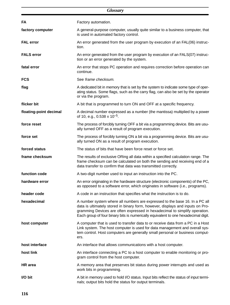| <b>Glossary</b>        |                                                                                                                                                                                                                                                                                                                                   |  |
|------------------------|-----------------------------------------------------------------------------------------------------------------------------------------------------------------------------------------------------------------------------------------------------------------------------------------------------------------------------------|--|
| FA                     | Factory automation.                                                                                                                                                                                                                                                                                                               |  |
| factory computer       | A general-purpose computer, usually quite similar to a business computer, that<br>is used in automated factory control.                                                                                                                                                                                                           |  |
| <b>FAL error</b>       | An error generated from the user program by execution of an FAL(06) instruc-<br>tion.                                                                                                                                                                                                                                             |  |
| <b>FALS error</b>      | An error generated from the user program by execution of an FALS(07) instruc-<br>tion or an error generated by the system.                                                                                                                                                                                                        |  |
| fatal error            | An error that stops PC operation and requires correction before operation can<br>continue.                                                                                                                                                                                                                                        |  |
| <b>FCS</b>             | See frame checksum.                                                                                                                                                                                                                                                                                                               |  |
| flag                   | A dedicated bit in memory that is set by the system to indicate some type of oper-<br>ating status. Some flags, such as the carry flag, can also be set by the operator<br>or via the program.                                                                                                                                    |  |
| flicker bit            | A bit that is programmed to turn ON and OFF at a specific frequency.                                                                                                                                                                                                                                                              |  |
| floating-point decimal | A decimal number expressed as a number (the mantissa) multiplied by a power<br>of 10, e.g., $0.538 \times 10^{-5}$ .                                                                                                                                                                                                              |  |
| force reset            | The process of forcibly turning OFF a bit via a programming device. Bits are usu-<br>ally turned OFF as a result of program execution.                                                                                                                                                                                            |  |
| force set              | The process of forcibly turning ON a bit via a programming device. Bits are usu-<br>ally turned ON as a result of program execution.                                                                                                                                                                                              |  |
| forced status          | The status of bits that have been force reset or force set.                                                                                                                                                                                                                                                                       |  |
| frame checksum         | The results of exclusive ORing all data within a specified calculation range. The<br>frame checksum can be calculated on both the sending and receiving end of a<br>data transfer to confirm that data was transmitted correctly.                                                                                                 |  |
| function code          | A two-digit number used to input an instruction into the PC.                                                                                                                                                                                                                                                                      |  |
| hardware error         | An error originating in the hardware structure (electronic components) of the PC,<br>as opposed to a software error, which originates in software (i.e., programs).                                                                                                                                                               |  |
| header code            | A code in an instruction that specifies what the instruction is to do.                                                                                                                                                                                                                                                            |  |
| hexadecimal            | A number system where all numbers are expressed to the base 16. In a PC all<br>data is ultimately stored in binary form, however, displays and inputs on Pro-<br>gramming Devices are often expressed in hexadecimal to simplify operation.<br>Each group of four binary bits is numerically equivalent to one hexadecimal digit. |  |
| host computer          | A computer that is used to transfer data to or receive data from a PC in a Host<br>Link system. The host computer is used for data management and overall sys-<br>tem control. Host computers are generally small personal or business comput-<br>ers.                                                                            |  |
| host interface         | An interface that allows communications with a host computer.                                                                                                                                                                                                                                                                     |  |
| host link              | An interface connecting a PC to a host computer to enable monitoring or pro-<br>gram control from the host computer.                                                                                                                                                                                                              |  |
| HR area                | A memory area that preserves bit status during power interrupts and used as<br>work bits in programming.                                                                                                                                                                                                                          |  |
| I/O bit                | A bit in memory used to hold I/O status. Input bits reflect the status of input termi-<br>nals; output bits hold the status for output terminals.                                                                                                                                                                                 |  |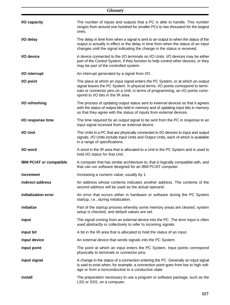| <b>Glossary</b>         |                                                                                                                                                                                                                                                                                           |
|-------------------------|-------------------------------------------------------------------------------------------------------------------------------------------------------------------------------------------------------------------------------------------------------------------------------------------|
| I/O capacity            | The number of inputs and outputs that a PC is able to handle. This number<br>ranges from around one hundred for smaller PCs to two thousand for the largest<br>ones.                                                                                                                      |
| I/O delay               | The delay in time from when a signal is sent to an output to when the status of the<br>output is actually in effect or the delay in time from when the status of an input<br>changes until the signal indicating the change in the status is received.                                    |
| I/O device              | A device connected to the I/O terminals on I/O Units. I/O devices may be either<br>part of the Control System, if they function to help control other devices, or they<br>may be part of the controlled system.                                                                           |
| I/O interrupt           | An interrupt generated by a signal from I/O.                                                                                                                                                                                                                                              |
| I/O point               | The place at which an input signal enters the PC System, or at which an output<br>signal leaves the PC System. In physical terms, I/O points correspond to termi-<br>nals or connector pins on a Unit; in terms of programming, an I/O points corre-<br>spond to I/O bits in the IR area. |
| I/O refreshing          | The process of updating output status sent to external devices so that it agrees<br>with the status of output bits held in memory and of updating input bits in memory<br>so that they agree with the status of inputs from external devices.                                             |
| I/O response time       | The time required for an output signal to be sent from the PC in response to an<br>input signal received from an external device.                                                                                                                                                         |
| I/O Unit                | The Units in a PC that are physically connected to I/O devices to input and output<br>signals. I/O Units include Input Units and Output Units, each of which is available<br>in a range of specifications.                                                                                |
| I/O word                | A word in the IR area that is allocated to a Unit in the PC System and is used to<br>hold I/O status for that Unit.                                                                                                                                                                       |
| IBM PC/AT or compatible | A computer that has similar architecture to, that is logically compatible with, and<br>that can run software designed for an IBM PC/AT computer.                                                                                                                                          |
| increment               | Increasing a numeric value, usually by 1.                                                                                                                                                                                                                                                 |
| indirect address        | An address whose contents indicates another address. The contents of the<br>second address will be used as the actual operand.                                                                                                                                                            |
| initialization error    | An error that occurs either in hardware or software during the PC System<br>startup, i.e., during initialization.                                                                                                                                                                         |
| initialize              | Part of the startup process whereby some memory areas are cleared, system<br>setup is checked, and default values are set.                                                                                                                                                                |
| input                   | The signal coming from an external device into the PC. The term input is often<br>used abstractly or collectively to refer to incoming signals.                                                                                                                                           |
| input bit               | A bit in the IR area that is allocated to hold the status of an input.                                                                                                                                                                                                                    |
| input device            | An external device that sends signals into the PC System.                                                                                                                                                                                                                                 |
| input point             | The point at which an input enters the PC System. Input points correspond<br>physically to terminals or connector pins.                                                                                                                                                                   |
| input signal            | A change in the status of a connection entering the PC. Generally an input signal<br>is said to exist when, for example, a connection point goes from low to high volt-<br>age or from a nonconductive to a conductive state.                                                             |
| install                 | The preparation necessary to use a program or software package, such as the<br>LSS or SSS, on a computer.                                                                                                                                                                                 |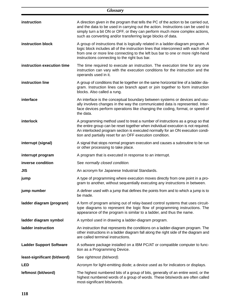| <b>Glossary</b>                |                                                                                                                                                                                                                                                                                                                       |
|--------------------------------|-----------------------------------------------------------------------------------------------------------------------------------------------------------------------------------------------------------------------------------------------------------------------------------------------------------------------|
| instruction                    | A direction given in the program that tells the PC of the action to be carried out,<br>and the data to be used in carrying out the action. Instructions can be used to<br>simply turn a bit ON or OFF, or they can perform much more complex actions,<br>such as converting and/or transferring large blocks of data. |
| instruction block              | A group of instructions that is logically related in a ladder-diagram program. A<br>logic block includes all of the instruction lines that interconnect with each other<br>from one or more line connecting to the left bus bar to one or more right-hand<br>instructions connecting to the right bus bar.            |
| instruction execution time     | The time required to execute an instruction. The execution time for any one<br>instruction can vary with the execution conditions for the instruction and the<br>operands used in it.                                                                                                                                 |
| instruction line               | A group of conditions that lie together on the same horizontal line of a ladder dia-<br>gram. Instruction lines can branch apart or join together to form instruction<br>blocks. Also called a rung.                                                                                                                  |
| interface                      | An interface is the conceptual boundary between systems or devices and usu-<br>ally involves changes in the way the communicated data is represented. Inter-<br>face devices perform operations like changing the coding, format, or speed of<br>the data.                                                            |
| interlock                      | A programming method used to treat a number of instructions as a group so that<br>the entire group can be reset together when individual execution is not required.<br>An interlocked program section is executed normally for an ON execution condi-<br>tion and partially reset for an OFF execution condition.     |
| interrupt (signal)             | A signal that stops normal program execution and causes a subroutine to be run<br>or other processing to take place.                                                                                                                                                                                                  |
| interrupt program              | A program that is executed in response to an interrupt.                                                                                                                                                                                                                                                               |
| inverse condition              | See normally closed condition.                                                                                                                                                                                                                                                                                        |
| <b>JIS</b>                     | An acronym for Japanese Industrial Standards.                                                                                                                                                                                                                                                                         |
| jump                           | A type of programming where execution moves directly from one point in a pro-<br>gram to another, without sequentially executing any instructions in between.                                                                                                                                                         |
| jump number                    | A definer used with a jump that defines the points from and to which a jump is to<br>be made.                                                                                                                                                                                                                         |
| ladder diagram (program)       | A form of program arising out of relay-based control systems that uses circuit-<br>type diagrams to represent the logic flow of programming instructions. The<br>appearance of the program is similar to a ladder, and thus the name.                                                                                 |
| ladder diagram symbol          | A symbol used in drawing a ladder-diagram program.                                                                                                                                                                                                                                                                    |
| ladder instruction             | An instruction that represents the conditions on a ladder-diagram program. The<br>other instructions in a ladder diagram fall along the right side of the diagram and<br>are called terminal instructions.                                                                                                            |
| <b>Ladder Support Software</b> | A software package installed on a IBM PC/AT or compatible computer to func-<br>tion as a Programming Device.                                                                                                                                                                                                          |
| least-significant (bit/word)   | See rightmost (bit/word).                                                                                                                                                                                                                                                                                             |
| <b>LED</b>                     | Acronym for light-emitting diode; a device used as for indicators or displays.                                                                                                                                                                                                                                        |
| leftmost (bit/word)            | The highest numbered bits of a group of bits, generally of an entire word, or the<br>highest numbered words of a group of words. These bits/words are often called<br>most-significant bits/words.                                                                                                                    |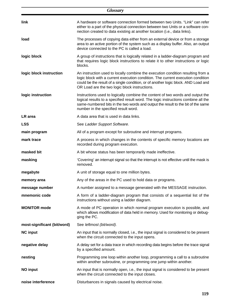| <b>Glossary</b>             |                                                                                                                                                                                                                                                                                                           |
|-----------------------------|-----------------------------------------------------------------------------------------------------------------------------------------------------------------------------------------------------------------------------------------------------------------------------------------------------------|
| link                        | A hardware or software connection formed between two Units. "Link" can refer<br>either to a part of the physical connection between two Units or a software con-<br>nection created to data existing at another location (i.e., data links).                                                              |
| load                        | The processes of copying data either from an external device or from a storage<br>area to an active portion of the system such as a display buffer. Also, an output<br>device connected to the PC is called a load.                                                                                       |
| logic block                 | A group of instructions that is logically related in a ladder-diagram program and<br>that requires logic block instructions to relate it to other instructions or logic<br>blocks.                                                                                                                        |
| logic block instruction     | An instruction used to locally combine the execution condition resulting from a<br>logic block with a current execution condition. The current execution condition<br>could be the result of a single condition, or of another logic block. AND Load and<br>OR Load are the two logic block instructions. |
| logic instruction           | Instructions used to logically combine the content of two words and output the<br>logical results to a specified result word. The logic instructions combine all the<br>same-numbered bits in the two words and output the result to the bit of the same<br>number in the specified result word.          |
| LR area                     | A data area that is used in data links.                                                                                                                                                                                                                                                                   |
| <b>LSS</b>                  | See Ladder Support Software.                                                                                                                                                                                                                                                                              |
| main program                | All of a program except for subroutine and interrupt programs.                                                                                                                                                                                                                                            |
| mark trace                  | A process in which changes in the contents of specific memory locations are<br>recorded during program execution.                                                                                                                                                                                         |
| masked bit                  | A bit whose status has been temporarily made ineffective.                                                                                                                                                                                                                                                 |
| masking                     | 'Covering' an interrupt signal so that the interrupt is not effective until the mask is<br>removed.                                                                                                                                                                                                       |
| megabyte                    | A unit of storage equal to one million bytes.                                                                                                                                                                                                                                                             |
| memory area                 | Any of the areas in the PC used to hold data or programs.                                                                                                                                                                                                                                                 |
| message number              | A number assigned to a message generated with the MESSAGE instruction.                                                                                                                                                                                                                                    |
| mnemonic code               | A form of a ladder-diagram program that consists of a sequential list of the<br>instructions without using a ladder diagram.                                                                                                                                                                              |
| <b>MONITOR</b> mode         | A mode of PC operation in which normal program execution is possible, and<br>which allows modification of data held in memory. Used for monitoring or debug-<br>ging the PC.                                                                                                                              |
| most-significant (bit/word) | See leftmost (bit/word).                                                                                                                                                                                                                                                                                  |
| <b>NC input</b>             | An input that is normally closed, i.e., the input signal is considered to be present<br>when the circuit connected to the input opens.                                                                                                                                                                    |
| negative delay              | A delay set for a data trace in which recording data begins before the trace signal<br>by a specified amount.                                                                                                                                                                                             |
| nesting                     | Programming one loop within another loop, programming a call to a subroutine<br>within another subroutine, or programming one jump within another.                                                                                                                                                        |
| <b>NO input</b>             | An input that is normally open, i.e., the input signal is considered to be present<br>when the circuit connected to the input closes.                                                                                                                                                                     |
| noise interference          | Disturbances in signals caused by electrical noise.                                                                                                                                                                                                                                                       |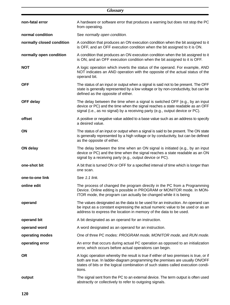| <b>Glossary</b>           |                                                                                                                                                                                                                                                                     |
|---------------------------|---------------------------------------------------------------------------------------------------------------------------------------------------------------------------------------------------------------------------------------------------------------------|
| non-fatal error           | A hardware or software error that produces a warning but does not stop the PC<br>from operating.                                                                                                                                                                    |
| normal condition          | See normally open condition.                                                                                                                                                                                                                                        |
| normally closed condition | A condition that produces an ON execution condition when the bit assigned to it<br>is OFF, and an OFF execution condition when the bit assigned to it is ON.                                                                                                        |
| normally open condition   | A condition that produces an ON execution condition when the bit assigned to it<br>is ON, and an OFF execution condition when the bit assigned to it is OFF.                                                                                                        |
| <b>NOT</b>                | A logic operation which inverts the status of the operand. For example, AND<br>NOT indicates an AND operation with the opposite of the actual status of the<br>operand bit.                                                                                         |
| <b>OFF</b>                | The status of an input or output when a signal is said not to be present. The OFF<br>state is generally represented by a low voltage or by non-conductivity, but can be<br>defined as the opposite of either.                                                       |
| OFF delay                 | The delay between the time when a signal is switched OFF (e.g., by an input<br>device or PC) and the time when the signal reaches a state readable as an OFF<br>signal (i.e., as no signal) by a receiving party (e.g., output device or PC).                       |
| offset                    | A positive or negative value added to a base value such as an address to specify<br>a desired value.                                                                                                                                                                |
| <b>ON</b>                 | The status of an input or output when a signal is said to be present. The ON state<br>is generally represented by a high voltage or by conductivity, but can be defined<br>as the opposite of either.                                                               |
| ON delay                  | The delay between the time when an ON signal is initiated (e.g., by an input<br>device or PC) and the time when the signal reaches a state readable as an ON<br>signal by a receiving party (e.g., output device or PC).                                            |
| one-shot bit              | A bit that is turned ON or OFF for a specified interval of time which is longer than<br>one scan.                                                                                                                                                                   |
| one-to-one link           | See 1:1 link.                                                                                                                                                                                                                                                       |
| online edit               | The process of changed the program directly in the PC from a Programming<br>Device. Online editing is possible in PROGRAM or MONITOR mode. In MON-<br>ITOR mode, the program can actually be changed while it is being                                              |
| operand                   | The values designated as the data to be used for an instruction. An operand can<br>be input as a constant expressing the actual numeric value to be used or as an<br>address to express the location in memory of the data to be used.                              |
| operand bit               | A bit designated as an operand for an instruction.                                                                                                                                                                                                                  |
| operand word              | A word designated as an operand for an instruction.                                                                                                                                                                                                                 |
| operating modes           | One of three PC modes: PROGRAM mode, MONITOR mode, and RUN mode.                                                                                                                                                                                                    |
| operating error           | An error that occurs during actual PC operation as opposed to an initialization<br>error, which occurs before actual operations can begin.                                                                                                                          |
| <b>OR</b>                 | A logic operation whereby the result is true if either of two premises is true, or if<br>both are true. In ladder-diagram programming the premises are usually ON/OFF<br>states of bits or the logical combination of such states called execution condi-<br>tions. |
| output                    | The signal sent from the PC to an external device. The term output is often used<br>abstractly or collectively to refer to outgoing signals.                                                                                                                        |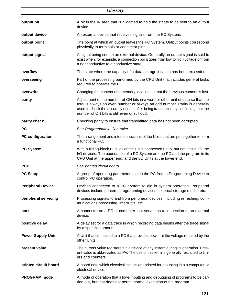| <b>Glossary</b>          |                                                                                                                                                                                                                                                                                                      |
|--------------------------|------------------------------------------------------------------------------------------------------------------------------------------------------------------------------------------------------------------------------------------------------------------------------------------------------|
| output bit               | A bit in the IR area that is allocated to hold the status to be sent to an output<br>device.                                                                                                                                                                                                         |
| output device            | An external device that receives signals from the PC System.                                                                                                                                                                                                                                         |
| output point             | The point at which an output leaves the PC System. Output points correspond<br>physically to terminals or connector pins.                                                                                                                                                                            |
| output signal            | A signal being sent to an external device. Generally an output signal is said to<br>exist when, for example, a connection point goes from low to high voltage or from<br>a nonconductive to a conductive state.                                                                                      |
| overflow                 | The state where the capacity of a data storage location has been exceeded.                                                                                                                                                                                                                           |
| overseeing               | Part of the processing performed by the CPU Unit that includes general tasks<br>required to operate the PC.                                                                                                                                                                                          |
| overwrite                | Changing the content of a memory location so that the previous content is lost.                                                                                                                                                                                                                      |
| parity                   | Adjustment of the number of ON bits in a word or other unit of data so that the<br>total is always an even number or always an odd number. Parity is generally<br>used to check the accuracy of data after being transmitted by confirming that the<br>number of ON bits is still even or still odd. |
| parity check             | Checking parity to ensure that transmitted data has not been corrupted.                                                                                                                                                                                                                              |
| <b>PC</b>                | See Programmable Controller.                                                                                                                                                                                                                                                                         |
| <b>PC</b> configuration  | The arrangement and interconnections of the Units that are put together to form<br>a functional PC.                                                                                                                                                                                                  |
| <b>PC System</b>         | With building-block PCs, all of the Units connected up to, but not including, the<br>I/O devices. The boundaries of a PC System are the PC and the program in its<br>CPU Unit at the upper end; and the I/O Units at the lower end.                                                                  |
| <b>PCB</b>               | See printed circuit board.                                                                                                                                                                                                                                                                           |
| <b>PC Setup</b>          | A group of operating parameters set in the PC from a Programming Device to<br>control PC operation.                                                                                                                                                                                                  |
| <b>Peripheral Device</b> | Devices connected to a PC System to aid in system operation. Peripheral<br>devices include printers, programming devices, external storage media, etc.                                                                                                                                               |
| peripheral servicing     | Processing signals to and from peripheral devices, including refreshing, com-<br>munications processing, interrupts, etc.                                                                                                                                                                            |
| port                     | A connector on a PC or computer that serves as a connection to an external<br>device.                                                                                                                                                                                                                |
| positive delay           | A delay set for a data trace in which recording data begins after the trace signal<br>by a specified amount.                                                                                                                                                                                         |
| <b>Power Supply Unit</b> | A Unit that connected to a PC that provides power at the voltage required by the<br>other Units.                                                                                                                                                                                                     |
| present value            | The current value registered in a device at any instant during its operation. Pres-<br>ent value is abbreviated as PV. The use of this term is generally restricted to tim-<br>ers and counters.                                                                                                     |
| printed circuit board    | A board onto which electrical circuits are printed for mounting into a computer or<br>electrical device.                                                                                                                                                                                             |
| <b>PROGRAM</b> mode      | A mode of operation that allows inputting and debugging of programs to be car-<br>ried out, but that does not permit normal execution of the program.                                                                                                                                                |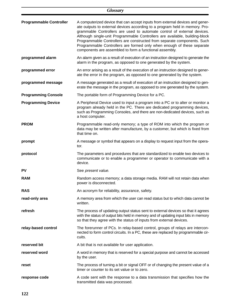| <b>Glossary</b>                |                                                                                                                                                                                                                                                                                                                                                                                                                                                                                                                                        |
|--------------------------------|----------------------------------------------------------------------------------------------------------------------------------------------------------------------------------------------------------------------------------------------------------------------------------------------------------------------------------------------------------------------------------------------------------------------------------------------------------------------------------------------------------------------------------------|
| <b>Programmable Controller</b> | A computerized device that can accept inputs from external devices and gener-<br>ate outputs to external devices according to a program held in memory. Pro-<br>grammable Controllers are used to automate control of external devices.<br>Although single-unit Programmable Controllers are available, building-block<br>Programmable Controllers are constructed from separate components. Such<br>Programmable Controllers are formed only when enough of these separate<br>components are assembled to form a functional assembly. |
| programmed alarm               | An alarm given as a result of execution of an instruction designed to generate the<br>alarm in the program, as opposed to one generated by the system.                                                                                                                                                                                                                                                                                                                                                                                 |
| programmed error               | An error arising as a result of the execution of an instruction designed to gener-<br>ate the error in the program, as opposed to one generated by the system.                                                                                                                                                                                                                                                                                                                                                                         |
| programmed message             | A message generated as a result of execution of an instruction designed to gen-<br>erate the message in the program, as opposed to one generated by the system.                                                                                                                                                                                                                                                                                                                                                                        |
| <b>Programming Console</b>     | The portable form of Programming Device for a PC.                                                                                                                                                                                                                                                                                                                                                                                                                                                                                      |
| <b>Programming Device</b>      | A Peripheral Device used to input a program into a PC or to alter or monitor a<br>program already held in the PC. There are dedicated programming devices,<br>such as Programming Consoles, and there are non-dedicated devices, such as<br>a host computer.                                                                                                                                                                                                                                                                           |
| <b>PROM</b>                    | Programmable read-only memory; a type of ROM into which the program or<br>data may be written after manufacture, by a customer, but which is fixed from<br>that time on.                                                                                                                                                                                                                                                                                                                                                               |
| prompt                         | A message or symbol that appears on a display to request input from the opera-<br>tor.                                                                                                                                                                                                                                                                                                                                                                                                                                                 |
| protocol                       | The parameters and procedures that are standardized to enable two devices to<br>communicate or to enable a programmer or operator to communicate with a<br>device.                                                                                                                                                                                                                                                                                                                                                                     |
| <b>PV</b>                      | See present value.                                                                                                                                                                                                                                                                                                                                                                                                                                                                                                                     |
| <b>RAM</b>                     | Random access memory; a data storage media. RAM will not retain data when<br>power is disconnected.                                                                                                                                                                                                                                                                                                                                                                                                                                    |
| <b>RAS</b>                     | An acronym for reliability, assurance, safety.                                                                                                                                                                                                                                                                                                                                                                                                                                                                                         |
| read-only area                 | A memory area from which the user can read status but to which data cannot be<br>written.                                                                                                                                                                                                                                                                                                                                                                                                                                              |
| refresh                        | The process of updating output status sent to external devices so that it agrees<br>with the status of output bits held in memory and of updating input bits in memory<br>so that they agree with the status of inputs from external devices.                                                                                                                                                                                                                                                                                          |
| relay-based control            | The forerunner of PCs. In relay-based control, groups of relays are intercon-<br>nected to form control circuits. In a PC, these are replaced by programmable cir-<br>cuits.                                                                                                                                                                                                                                                                                                                                                           |
| reserved bit                   | A bit that is not available for user application.                                                                                                                                                                                                                                                                                                                                                                                                                                                                                      |
| reserved word                  | A word in memory that is reserved for a special purpose and cannot be accessed<br>by the user.                                                                                                                                                                                                                                                                                                                                                                                                                                         |
| reset                          | The process of turning a bit or signal OFF or of changing the present value of a<br>timer or counter to its set value or to zero.                                                                                                                                                                                                                                                                                                                                                                                                      |
| response code                  | A code sent with the response to a data transmission that specifies how the<br>transmitted data was processed.                                                                                                                                                                                                                                                                                                                                                                                                                         |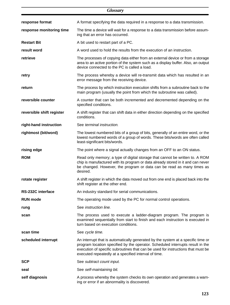| <b>Glossary</b>           |                                                                                                                                                                                                                                                                                                                |
|---------------------------|----------------------------------------------------------------------------------------------------------------------------------------------------------------------------------------------------------------------------------------------------------------------------------------------------------------|
| response format           | A format specifying the data required in a response to a data transmission.                                                                                                                                                                                                                                    |
| response monitoring time  | The time a device will wait for a response to a data transmission before assum-<br>ing that an error has occurred.                                                                                                                                                                                             |
| <b>Restart Bit</b>        | A bit used to restart part of a PC.                                                                                                                                                                                                                                                                            |
| result word               | A word used to hold the results from the execution of an instruction.                                                                                                                                                                                                                                          |
| retrieve                  | The processes of copying data either from an external device or from a storage<br>area to an active portion of the system such as a display buffer. Also, an output<br>device connected to the PC is called a load.                                                                                            |
| retry                     | The process whereby a device will re-transmit data which has resulted in an<br>error message from the receiving device.                                                                                                                                                                                        |
| return                    | The process by which instruction execution shifts from a subroutine back to the<br>main program (usually the point from which the subroutine was called).                                                                                                                                                      |
| reversible counter        | A counter that can be both incremented and decremented depending on the<br>specified conditions.                                                                                                                                                                                                               |
| reversible shift register | A shift register that can shift data in either direction depending on the specified<br>conditions.                                                                                                                                                                                                             |
| right-hand instruction    | See terminal instruction.                                                                                                                                                                                                                                                                                      |
| rightmost (bit/word)      | The lowest numbered bits of a group of bits, generally of an entire word, or the<br>lowest numbered words of a group of words. These bits/words are often called<br>least-significant bits/words.                                                                                                              |
| rising edge               | The point where a signal actually changes from an OFF to an ON status.                                                                                                                                                                                                                                         |
| <b>ROM</b>                | Read only memory; a type of digital storage that cannot be written to. A ROM<br>chip is manufactured with its program or data already stored in it and can never<br>be changed. However, the program or data can be read as many times as<br>desired.                                                          |
| rotate register           | A shift register in which the data moved out from one end is placed back into the<br>shift register at the other end.                                                                                                                                                                                          |
| RS-232C interface         | An industry standard for serial communications.                                                                                                                                                                                                                                                                |
| <b>RUN mode</b>           | The operating mode used by the PC for normal control operations.                                                                                                                                                                                                                                               |
| rung                      | See instruction line.                                                                                                                                                                                                                                                                                          |
| scan                      | The process used to execute a ladder-diagram program. The program is<br>examined sequentially from start to finish and each instruction is executed in<br>turn based on execution conditions.                                                                                                                  |
| scan time                 | See cycle time.                                                                                                                                                                                                                                                                                                |
| scheduled interrupt       | An interrupt that is automatically generated by the system at a specific time or<br>program location specified by the operator. Scheduled interrupts result in the<br>execution of specific subroutines that can be used for instructions that must be<br>executed repeatedly at a specified interval of time. |
| <b>SCP</b>                | See subtract count input.                                                                                                                                                                                                                                                                                      |
| seal                      | See self-maintaining bit.                                                                                                                                                                                                                                                                                      |
| self diagnosis            | A process whereby the system checks its own operation and generates a warn-<br>ing or error if an abnormality is discovered.                                                                                                                                                                                   |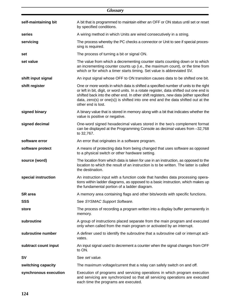| <b>Glossary</b>       |                                                                                                                                                                                                                                                                                                                                                                                   |
|-----------------------|-----------------------------------------------------------------------------------------------------------------------------------------------------------------------------------------------------------------------------------------------------------------------------------------------------------------------------------------------------------------------------------|
| self-maintaining bit  | A bit that is programmed to maintain either an OFF or ON status until set or reset<br>by specified conditions.                                                                                                                                                                                                                                                                    |
| series                | A wiring method in which Units are wired consecutively in a string.                                                                                                                                                                                                                                                                                                               |
| servicing             | The process whereby the PC checks a connector or Unit to see if special proces-<br>sing is required.                                                                                                                                                                                                                                                                              |
| set                   | The process of turning a bit or signal ON.                                                                                                                                                                                                                                                                                                                                        |
| set value             | The value from which a decrementing counter starts counting down or to which<br>an incrementing counter counts up (i.e., the maximum count), or the time from<br>which or for which a timer starts timing. Set value is abbreviated SV.                                                                                                                                           |
| shift input signal    | An input signal whose OFF to ON transition causes data to be shifted one bit.                                                                                                                                                                                                                                                                                                     |
| shift register        | One or more words in which data is shifted a specified number of units to the right<br>or left in bit, digit, or word units. In a rotate register, data shifted out one end is<br>shifted back into the other end. In other shift registers, new data (either specified<br>data, zero(s) or one(s)) is shifted into one end and the data shifted out at the<br>other end is lost. |
| signed binary         | A binary value that is stored in memory along with a bit that indicates whether the<br>value is positive or negative.                                                                                                                                                                                                                                                             |
| signed decimal        | One-word signed hexadecimal values stored in the two's complement format<br>can be displayed at the Programming Console as decimal values from -32,768<br>to 32,767.                                                                                                                                                                                                              |
| software error        | An error that originates in a software program.                                                                                                                                                                                                                                                                                                                                   |
| software protect      | A means of protecting data from being changed that uses software as opposed<br>to a physical switch or other hardware setting.                                                                                                                                                                                                                                                    |
| source (word)         | The location from which data is taken for use in an instruction, as opposed to the<br>location to which the result of an instruction is to be written. The latter is called<br>the destination.                                                                                                                                                                                   |
| special instruction   | An instruction input with a function code that handles data processing opera-<br>tions within ladder diagrams, as opposed to a basic instruction, which makes up<br>the fundamental portion of a ladder diagram.                                                                                                                                                                  |
| <b>SR</b> area        | A memory area containing flags and other bits/words with specific functions.                                                                                                                                                                                                                                                                                                      |
| <b>SSS</b>            | See SYSMAC Support Software.                                                                                                                                                                                                                                                                                                                                                      |
| store                 | The process of recording a program written into a display buffer permanently in<br>memory.                                                                                                                                                                                                                                                                                        |
| subroutine            | A group of instructions placed separate from the main program and executed<br>only when called from the main program or activated by an interrupt.                                                                                                                                                                                                                                |
| subroutine number     | A definer used to identify the subroutine that a subroutine call or interrupt acti-<br>vates.                                                                                                                                                                                                                                                                                     |
| subtract count input  | An input signal used to decrement a counter when the signal changes from OFF<br>to ON.                                                                                                                                                                                                                                                                                            |
| <b>SV</b>             | See set value.                                                                                                                                                                                                                                                                                                                                                                    |
| switching capacity    | The maximum voltage/current that a relay can safely switch on and off.                                                                                                                                                                                                                                                                                                            |
| synchronous execution | Execution of programs and servicing operations in which program execution<br>and servicing are synchronized so that all servicing operations are executed<br>each time the programs are executed.                                                                                                                                                                                 |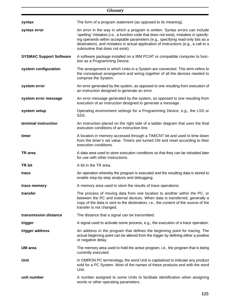| <b>Glossary</b>                |                                                                                                                                                                                                                                                                                                                                                                                     |
|--------------------------------|-------------------------------------------------------------------------------------------------------------------------------------------------------------------------------------------------------------------------------------------------------------------------------------------------------------------------------------------------------------------------------------|
| syntax                         | The form of a program statement (as opposed to its meaning).                                                                                                                                                                                                                                                                                                                        |
| syntax error                   | An error in the way in which a program is written. Syntax errors can include<br>'spelling' mistakes (i.e., a function code that does not exist), mistakes in specify-<br>ing operands within acceptable parameters (e.g., specifying read-only bits as a<br>destination), and mistakes in actual application of instructions (e.g., a call to a<br>subroutine that does not exist). |
| <b>SYSMAC Support Software</b> | A software package installed on a IBM PC/AT or compatible computer to func-<br>tion as a Programming Device.                                                                                                                                                                                                                                                                        |
| system configuration           | The arrangement in which Units in a System are connected. This term refers to<br>the conceptual arrangement and wiring together of all the devices needed to<br>comprise the System.                                                                                                                                                                                                |
| system error                   | An error generated by the system, as opposed to one resulting from execution of<br>an instruction designed to generate an error.                                                                                                                                                                                                                                                    |
| system error message           | An error message generated by the system, as opposed to one resulting from<br>execution of an instruction designed to generate a message.                                                                                                                                                                                                                                           |
| system setup                   | Operating environment settings for a Programming Device, e.g., the LSS or<br>SSS.                                                                                                                                                                                                                                                                                                   |
| terminal instruction           | An instruction placed on the right side of a ladder diagram that uses the final<br>execution conditions of an instruction line.                                                                                                                                                                                                                                                     |
| timer                          | A location in memory accessed through a TIM/CNT bit and used to time down<br>from the timer's set value. Timers are turned ON and reset according to their<br>execution conditions.                                                                                                                                                                                                 |
| <b>TR</b> area                 | A data area used to store execution conditions so that they can be reloaded later<br>for use with other instructions.                                                                                                                                                                                                                                                               |
| TR bit                         | A bit in the TR area.                                                                                                                                                                                                                                                                                                                                                               |
| trace                          | An operation whereby the program is executed and the resulting data is stored to<br>enable step-by-step analysis and debugging.                                                                                                                                                                                                                                                     |
| trace memory                   | A memory area used to store the results of trace operations.                                                                                                                                                                                                                                                                                                                        |
| transfer                       | The process of moving data from one location to another within the PC, or<br>between the PC and external devices. When data is transferred, generally a<br>copy of the data is sent to the destination, i.e., the content of the source of the<br>transfer is not changed.                                                                                                          |
| transmission distance          | The distance that a signal can be transmitted.                                                                                                                                                                                                                                                                                                                                      |
| trigger                        | A signal used to activate some process, e.g., the execution of a trace operation.                                                                                                                                                                                                                                                                                                   |
| trigger address                | An address in the program that defines the beginning point for tracing. The<br>actual beginning point can be altered from the trigger by defining either a positive<br>or negative delay.                                                                                                                                                                                           |
| <b>UM</b> area                 | The memory area used to hold the active program, i.e., the program that is being<br>currently executed.                                                                                                                                                                                                                                                                             |
| Unit                           | In OMRON PC terminology, the word Unit is capitalized to indicate any product<br>sold for a PC System. Most of the names of these products end with the word<br>Unit.                                                                                                                                                                                                               |
| unit number                    | A number assigned to some Units to facilitate identification when assigning<br>words or other operating parameters.                                                                                                                                                                                                                                                                 |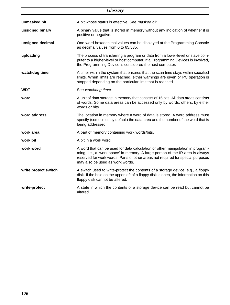| <b>Glossary</b>      |                                                                                                                                                                                                                                                                                        |
|----------------------|----------------------------------------------------------------------------------------------------------------------------------------------------------------------------------------------------------------------------------------------------------------------------------------|
| unmasked bit         | A bit whose status is effective. See masked bit.                                                                                                                                                                                                                                       |
| unsigned binary      | A binary value that is stored in memory without any indication of whether it is<br>positive or negative.                                                                                                                                                                               |
| unsigned decimal     | One-word hexadecimal values can be displayed at the Programming Console<br>as decimal values from 0 to 65,535.                                                                                                                                                                         |
| uploading            | The process of transferring a program or data from a lower-level or slave com-<br>puter to a higher-level or host computer. If a Programming Devices is involved,<br>the Programming Device is considered the host computer.                                                           |
| watchdog timer       | A timer within the system that ensures that the scan time stays within specified<br>limits. When limits are reached, either warnings are given or PC operation is<br>stopped depending on the particular limit that is reached.                                                        |
| <b>WDT</b>           | See watchdog timer.                                                                                                                                                                                                                                                                    |
| word                 | A unit of data storage in memory that consists of 16 bits. All data areas consists<br>of words. Some data areas can be accessed only by words; others, by either<br>words or bits.                                                                                                     |
| word address         | The location in memory where a word of data is stored. A word address must<br>specify (sometimes by default) the data area and the number of the word that is<br>being addressed.                                                                                                      |
| work area            | A part of memory containing work words/bits.                                                                                                                                                                                                                                           |
| work bit             | A bit in a work word.                                                                                                                                                                                                                                                                  |
| work word            | A word that can be used for data calculation or other manipulation in program-<br>ming, i.e., a 'work space' in memory. A large portion of the IR area is always<br>reserved for work words. Parts of other areas not required for special purposes<br>may also be used as work words. |
| write protect switch | A switch used to write-protect the contents of a storage device, e.g., a floppy<br>disk. If the hole on the upper left of a floppy disk is open, the information on this<br>floppy disk cannot be altered.                                                                             |
| write-protect        | A state in which the contents of a storage device can be read but cannot be<br>altered.                                                                                                                                                                                                |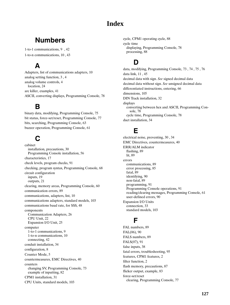# **Index**

# Numbers

1to1 communications, [9](#page-20-0) , [42](#page-53-0) 1-to-n communications, [10](#page-21-0), [43](#page-54-0)

# A

Adapters, list of communications adapters, [10](#page-21-0)  analog setting function, [3](#page-14-0) , [4](#page-15-0)  analog volume controls, [4](#page-15-0)  location, [24](#page-35-0) arc killer, examples, [41](#page-52-0)  ASCII, converting displays, Programming Console, [78](#page-89-0)

# B

binary data, modifying, Programming Console, [75](#page-86-0)  bit status, force-set/reset, Programming Console, 77 bits, searching, Programming Console, [63](#page-74-0) buzzer operation, Programming Console, [61](#page-72-0) 

# C

cabinet installation, precautions, [30](#page-41-0) Programming Console installation, [56](#page-67-0)  characteristics, [17](#page-28-0) check levels, program checks, [91](#page-102-0)  checking, program syntax, Programming Console, [68](#page-79-0) circuit configuration inputs, [19](#page-30-0)  outputs, [21](#page-32-0) clearing, memory areas, Programming Console, [60](#page-71-0) communication errors, [89](#page-100-0)  communications, adapters, list, [10](#page-21-0) communications adapters, standard models, [103](#page-114-0)  communications baud rate, for SSS, [48](#page-59-0)  components Communication Adapters, [26](#page-37-0)  CPU Unit, [22](#page-33-0) Expansion I/O Unit, [25](#page-36-0)  computer 1-to-1 communications, 9 1-to-n communications, 10 connecting, [42](#page-53-0) conduit installation, [34](#page-45-0)  configuration, [8](#page-19-0)  Counter Mode, [5](#page-16-0) countermeasures, EMC Directives, [40](#page-51-0)  counters changing SV, Programming Console, [73](#page-84-0) example of inputting, [82](#page-93-0)  CPM1 installation, [31](#page-42-0)  CPU Units, standard models, [103](#page-114-0) 

cycle, CPM1 operating cycle, [88](#page-99-0) cycle time displaying, Programming Console, [78](#page-89-0)  processing, [88](#page-99-0) 

# D

data, modifying, Programming Console, [73](#page-84-0) , [74](#page-85-0) , [75](#page-86-0) , [76](#page-87-0) data link, [11](#page-22-0) , [45](#page-56-0) decimal data with sign. See signed decimal data decimal data without sign. See unsigned decimal data differentiated instructions, entering, [66](#page-77-0) dimensions, [105](#page-116-0)  DIN Track installation, [32](#page-43-0) displays converting between hex and ASCII, Programming Con sole, [78](#page-89-0)  cycle time, Programming Console, [78](#page-89-0)  duct installation, [34](#page-45-0) 

### E

electrical noise, preventing, [30](#page-41-0) , [34](#page-45-0)  EMC Directives, countermeasures, [40](#page-51-0)  ERR/ALM indicator flashing, [89](#page-100-0) lit, [89](#page-100-0) errors communications, [89](#page-100-0) error processing, [85](#page-96-0)  fatal, [89](#page-100-0) identifying, [90](#page-101-0) non-fatal, [89](#page-100-0) programming, [91](#page-102-0)  Programming Console operations, [91](#page-102-0)  reading/clearing messages, Programming Console, [61](#page-72-0) user-defined errors, [90](#page-101-0) Expansion I/O Units connection, [33](#page-44-0)  standard models, [103](#page-114-0)

### F

FAL numbers, [89](#page-100-0)  FAL(06), [90](#page-101-0) FALS numbers, [89](#page-100-0)  FALS(07), [91](#page-102-0)  false inputs, [38](#page-49-0) fatal errors, troubleshooting, [95](#page-106-0)  features, CPM1 features, [2](#page-13-0)  filter function, [2](#page-13-0)  flash memory, precautions, [87](#page-98-0) flicker output, example, [83](#page-94-0)  force-set/reset clearing, Programming Console, [77](#page-88-0)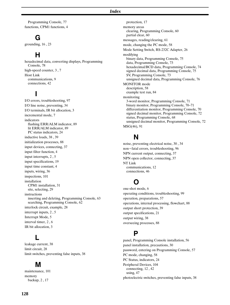Programming Console, [77](#page-88-0)  functions, CPM1 functions, [4](#page-15-0) 

## G

grounding, [16](#page-27-0) , [23](#page-34-0) 

# H

hexadecimal data, converting displays, Programming Console, [78](#page-89-0)  high-speed counter, 3,7 Host Link communications, [9](#page-20-0)  connections, [42](#page-53-0)

### I

I/O errors, troubleshooting, [97](#page-108-0)  I/O line noise, preventing, [34](#page-45-0)  I/O terminals, IR bit allocation, [3](#page-14-0)  incremental mode, [7](#page-18-0)  indicators flashing ERR/ALM indicator, [89](#page-100-0) lit ERR/ALM indicator, [89](#page-100-0)  PC status indicators, [24](#page-35-0)  inductive loads, [38](#page-49-0) , [39](#page-50-0) initialization processes, [88](#page-99-0)  input devices, connecting, [37](#page-48-0)  input filter function, [4](#page-15-0)  input interrupts, [2 ,](#page-13-0) [5](#page-16-0)  input specifications, [19](#page-30-0)  input time constant, [4](#page-15-0)  inputs, wiring, [36](#page-47-0)  inspections, [101](#page-112-0)  installation CPM1 installation, [31](#page-42-0) site, selecting, [29](#page-40-0)  instructions inserting and deleting, Programming Console, [63](#page-74-0)  searching, Programming Console, [62](#page-73-0)  interlock circuit, example, [28](#page-39-0) interrupt inputs, [2](#page-13-0) [, 5](#page-16-0)  Interrupt Mode, [5](#page-16-0)  interval timer, [2 ,](#page-13-0) [6](#page-17-0)  IR bit allocation, [3](#page-14-0) 

# L

leakage current, [38](#page-49-0) limit circuit, [28](#page-39-0)  limit switches, preventing false inputs, [38](#page-49-0)

# M

maintenance, [101](#page-112-0)  memory backup, [2](#page-13-0) , [17](#page-28-0) 

protection, [17](#page-28-0) memory areas clearing, Programming Console, [60](#page-71-0)  partial clear, [60](#page-71-0) messages, reading/clearing, [61](#page-72-0) mode, changing the PC mode, [58](#page-69-0) Mode Setting Switch, RS-232C Adapter, [26](#page-37-0) modifying binary data, Programming Console, [75](#page-86-0) data, Programming Console, [73](#page-84-0)  hexadecimal/BCD data, Programming Console, [74](#page-85-0) signed decimal data, Programming Console, [75](#page-86-0) SV, Programming Console, [73](#page-84-0)  unsigned decimal data, Programming Console, [76](#page-87-0) MONITOR mode description, [58](#page-69-0) example test run, [84](#page-95-0) monitoring 3-word monitor, Programming Console, [71](#page-82-0) binary monitor, Programming Console, 70-71 differentiation monitor, Programming Console, [70](#page-81-0) signed decimal monitor, Programming Console, [72](#page-83-0)  status, Programming Console, [68](#page-79-0) unsigned decimal monitor, Programming Console, [72](#page-83-0)  MSG(46), [91](#page-102-0)

# N

noise, preventing electrical noise, [30](#page-41-0) , [34](#page-45-0) non−fatal errors, troubleshooting, [96](#page-107-0) NPN current output, connecting, [37](#page-48-0)  NPN open collector, connecting, [37](#page-48-0)  NT Link communications, [12](#page-23-0) connections, [46](#page-57-0)

# O

oneshot mode[, 6](#page-17-0)  operating conditions, troubleshooting, [99](#page-110-0)  operation, preparations, [57](#page-68-0)  operations, internal processing, flowchart, [88](#page-99-0)  output short protection, [39](#page-50-0)  output specifications, [21](#page-32-0) output wiring, [38](#page-49-0) overseeing processes, [88](#page-99-0) 

### P

panel, Programming Console installation, [56](#page-67-0) panel installation, precautions, [30](#page-41-0) password, entering on Programming Console, [57](#page-68-0)  PC mode, changing, [58](#page-69-0)  PC Status, indicators, [24](#page-35-0) Peripheral Devices, [104](#page-115-0)  connecting, [12](#page-23-0) , [42](#page-53-0) using, [47](#page-58-0) photoelectric switches, preventing false inputs, [38](#page-49-0)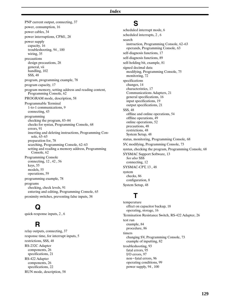PNP current output, connecting, [37](#page-48-0) power, consumption, [16](#page-27-0)  power cables, [34](#page-45-0) power interruptions, CPM1, [28](#page-39-0)  power supply capacity, [16](#page-27-0) troubleshooting, [94](#page-105-0) , [100](#page-111-0) wiring, [35](#page-46-0)  precautions design precautions, [28](#page-39-0) general, [vii](#page-6-0)  handling, [102](#page-113-0) SSS, [48](#page-59-0)  program, programming example, [78](#page-89-0)  program capacity, [17](#page-28-0) program memory, setting address and reading content, Programming Console, [62](#page-73-0)  PROGRAM mode, description, [58](#page-69-0) Programmable Terminal 1-to-1 communications, 9 connecting, [43](#page-54-0) programming checking the program, 83-84 checks for syntax, Programming Console, [68](#page-79-0) errors, [91](#page-102-0) inserting and deleting instructions, Programming Con sole, 63–65 preparation for, [78](#page-89-0) searching, Programming Console, 62–63 setting and reading a memory address, Programming Console, [62](#page-73-0) Programming Console connecting, [12](#page-23-0) , [42](#page-53-0) , [56](#page-67-0)  keys, [55](#page-66-0)  models, [55](#page-66-0)  operations, [59](#page-70-0) programming example, [78](#page-89-0) programs checking, check levels, [91](#page-102-0) entering and editing, Programming Console, [65](#page-76-0)  proximity switches, preventing false inputs, [38](#page-49-0)

# Q)

quick-response inputs, 2, 6

# R

relay outputs, connecting, [37](#page-48-0) response time, for interrupt inputs, [5](#page-16-0)  restrictions, SSS, [48](#page-59-0)  RS-232C Adapter components, [26](#page-37-0) specifications, [21](#page-32-0)  RS422 Adapter components, [26](#page-37-0) specifications, [22](#page-33-0)  RUN mode, description, [58](#page-69-0)

#### S

scheduled interrupt mode, [6](#page-17-0)  scheduled interrupts, [2](#page-13-0) , [6](#page-17-0)  search instruction, Programming Console, 62–63 operands, Programming Console, [63](#page-74-0)  self-diagnosis functions, [17](#page-28-0) self-diagnosis functions, [89](#page-100-0) self-holding bit, example, [81](#page-92-0) signed decimal data modifying, Programming Console, [75](#page-86-0)  monitoring, [72](#page-83-0) specifications changes, [14](#page-25-0)  characteristics, [17](#page-28-0) Communications Adapters, [21](#page-32-0)  general specifications, [16](#page-27-0) input specifications, [19](#page-30-0)  output specifications, [21](#page-32-0) SSS, [48](#page-59-0) offline and online operations, [54](#page-65-0)  offline operations, [49](#page-60-0)  online operations, [52](#page-63-0)  precautions, [48](#page-59-0) restrictions, [48](#page-59-0) System Setup, [48](#page-59-0)  status, monitoring, Programming Console, [68](#page-79-0) SV, modifying, Programming Console, [73](#page-84-0) syntax, checking the program, Programming Console, [68](#page-79-0)  SYSMAC Support Software, [13](#page-24-0)  See also SSS connecting, [12](#page-23-0) SYSMAC-CPT, 13, [48](#page-59-0) system checks, [86](#page-97-0)  configuration, [8](#page-19-0)  System Setup, [48](#page-59-0)

# T

temperature effect on capacitor backup, [18](#page-29-0)  operating, storage, [16](#page-27-0)  Termination Resistance Switch, RS-422 Adapter, [26](#page-37-0) test run example, [84](#page-95-0) procedure, [86](#page-97-0)  timers changing SV, Programming Console, [73](#page-84-0) example of inputting, [82](#page-93-0)  troubleshooting, [93](#page-104-0)  fatal errors, [95](#page-106-0)  I/O errors, [97](#page-108-0)  non−fatal errors, [96](#page-107-0) operating conditions, [99](#page-110-0) power supply, [94](#page-105-0) , [100](#page-111-0)